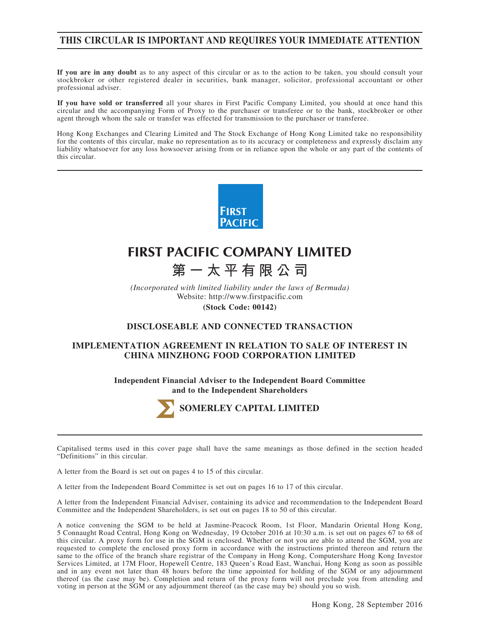## **THIS CIRCULAR IS IMPORTANT AND REQUIRES YOUR IMMEDIATE ATTENTION**

**If you are in any doubt** as to any aspect of this circular or as to the action to be taken, you should consult your stockbroker or other registered dealer in securities, bank manager, solicitor, professional accountant or other professional adviser.

**If you have sold or transferred** all your shares in First Pacific Company Limited, you should at once hand this circular and the accompanying Form of Proxy to the purchaser or transferee or to the bank, stockbroker or other agent through whom the sale or transfer was effected for transmission to the purchaser or transferee.

Hong Kong Exchanges and Clearing Limited and The Stock Exchange of Hong Kong Limited take no responsibility for the contents of this circular, make no representation as to its accuracy or completeness and expressly disclaim any liability whatsoever for any loss howsoever arising from or in reliance upon the whole or any part of the contents of this circular.



# **FIRST PACIFIC COMPANY LIMITED 第一太平有限公司**

*(Incorporated with limited liability under the laws of Bermuda)* Website: http://www.firstpacific.com **(Stock Code: 00142)**

## **DISCLOSEABLE AND CONNECTED TRANSACTION**

### **IMPLEMENTATION AGREEMENT IN RELATION TO SALE OF INTEREST IN CHINA MINZHONG FOOD CORPORATION LIMITED**

**Independent Financial Adviser to the Independent Board Committee and to the Independent Shareholders**



Capitalised terms used in this cover page shall have the same meanings as those defined in the section headed "Definitions" in this circular.

A letter from the Board is set out on pages 4 to 15 of this circular.

A letter from the Independent Board Committee is set out on pages 16 to 17 of this circular.

A letter from the Independent Financial Adviser, containing its advice and recommendation to the Independent Board Committee and the Independent Shareholders, is set out on pages 18 to 50 of this circular.

A notice convening the SGM to be held at Jasmine-Peacock Room, 1st Floor, Mandarin Oriental Hong Kong, 5 Connaught Road Central, Hong Kong on Wednesday, 19 October 2016 at 10:30 a.m. is set out on pages 67 to 68 of this circular. A proxy form for use in the SGM is enclosed. Whether or not you are able to attend the SGM, you are requested to complete the enclosed proxy form in accordance with the instructions printed thereon and return the same to the office of the branch share registrar of the Company in Hong Kong, Computershare Hong Kong Investor Services Limited, at 17M Floor, Hopewell Centre, 183 Queen's Road East, Wanchai, Hong Kong as soon as possible and in any event not later than 48 hours before the time appointed for holding of the SGM or any adjournment thereof (as the case may be). Completion and return of the proxy form will not preclude you from attending and voting in person at the SGM or any adjournment thereof (as the case may be) should you so wish.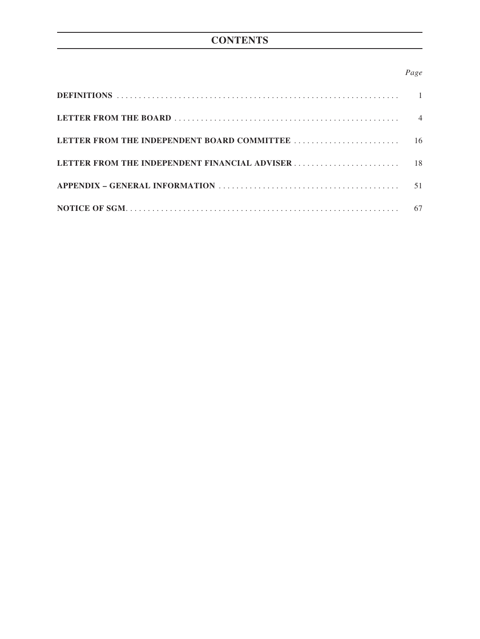## **CONTENTS**

## *Page*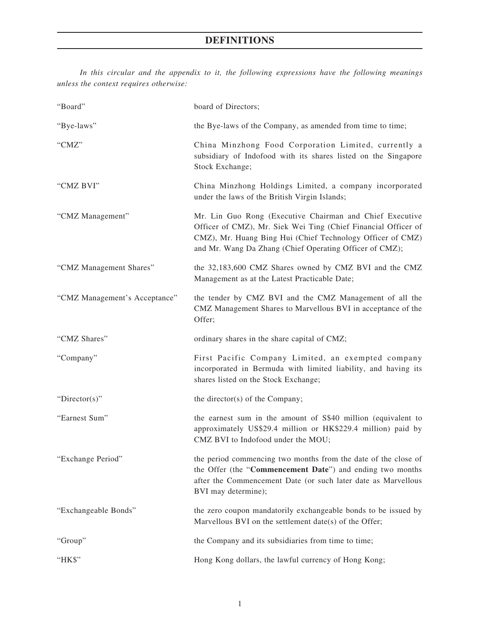## **DEFINITIONS**

*In this circular and the appendix to it, the following expressions have the following meanings unless the context requires otherwise:*

| "Board"                       | board of Directors;                                                                                                                                                                                                                                 |
|-------------------------------|-----------------------------------------------------------------------------------------------------------------------------------------------------------------------------------------------------------------------------------------------------|
| "Bye-laws"                    | the Bye-laws of the Company, as amended from time to time;                                                                                                                                                                                          |
| "CMZ"                         | China Minzhong Food Corporation Limited, currently a<br>subsidiary of Indofood with its shares listed on the Singapore<br>Stock Exchange;                                                                                                           |
| "CMZ BVI"                     | China Minzhong Holdings Limited, a company incorporated<br>under the laws of the British Virgin Islands;                                                                                                                                            |
| "CMZ Management"              | Mr. Lin Guo Rong (Executive Chairman and Chief Executive<br>Officer of CMZ), Mr. Siek Wei Ting (Chief Financial Officer of<br>CMZ), Mr. Huang Bing Hui (Chief Technology Officer of CMZ)<br>and Mr. Wang Da Zhang (Chief Operating Officer of CMZ); |
| "CMZ Management Shares"       | the 32,183,600 CMZ Shares owned by CMZ BVI and the CMZ<br>Management as at the Latest Practicable Date;                                                                                                                                             |
| "CMZ Management's Acceptance" | the tender by CMZ BVI and the CMZ Management of all the<br>CMZ Management Shares to Marvellous BVI in acceptance of the<br>Offer;                                                                                                                   |
| "CMZ Shares"                  | ordinary shares in the share capital of CMZ;                                                                                                                                                                                                        |
| "Company"                     | First Pacific Company Limited, an exempted company<br>incorporated in Bermuda with limited liability, and having its<br>shares listed on the Stock Exchange;                                                                                        |
| " $Directory$ "               | the director(s) of the Company;                                                                                                                                                                                                                     |
| "Earnest Sum"                 | the earnest sum in the amount of S\$40 million (equivalent to<br>approximately US\$29.4 million or HK\$229.4 million) paid by<br>CMZ BVI to Indofood under the MOU;                                                                                 |
| "Exchange Period"             | the period commencing two months from the date of the close of<br>the Offer (the "Commencement Date") and ending two months<br>after the Commencement Date (or such later date as Marvellous<br>BVI may determine);                                 |
| "Exchangeable Bonds"          | the zero coupon mandatorily exchangeable bonds to be issued by<br>Marvellous BVI on the settlement date(s) of the Offer;                                                                                                                            |
| "Group"                       | the Company and its subsidiaries from time to time;                                                                                                                                                                                                 |
| "HK\$"                        | Hong Kong dollars, the lawful currency of Hong Kong;                                                                                                                                                                                                |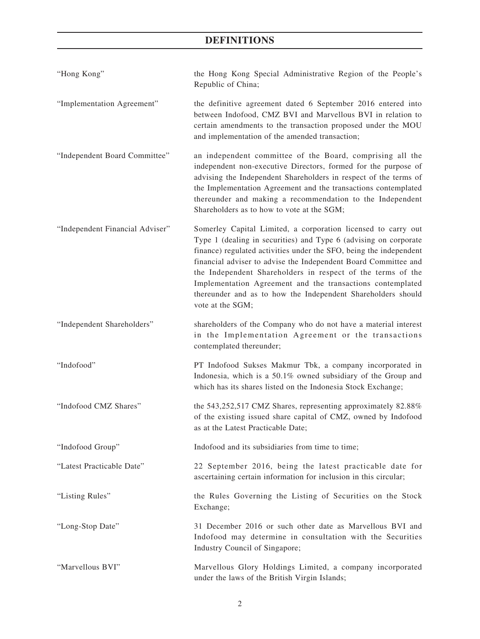# **DEFINITIONS**

| "Hong Kong"                     | the Hong Kong Special Administrative Region of the People's<br>Republic of China;                                                                                                                                                                                                                                                                                                                                                                                                           |
|---------------------------------|---------------------------------------------------------------------------------------------------------------------------------------------------------------------------------------------------------------------------------------------------------------------------------------------------------------------------------------------------------------------------------------------------------------------------------------------------------------------------------------------|
| "Implementation Agreement"      | the definitive agreement dated 6 September 2016 entered into<br>between Indofood, CMZ BVI and Marvellous BVI in relation to<br>certain amendments to the transaction proposed under the MOU<br>and implementation of the amended transaction;                                                                                                                                                                                                                                               |
| "Independent Board Committee"   | an independent committee of the Board, comprising all the<br>independent non-executive Directors, formed for the purpose of<br>advising the Independent Shareholders in respect of the terms of<br>the Implementation Agreement and the transactions contemplated<br>thereunder and making a recommendation to the Independent<br>Shareholders as to how to vote at the SGM;                                                                                                                |
| "Independent Financial Adviser" | Somerley Capital Limited, a corporation licensed to carry out<br>Type 1 (dealing in securities) and Type 6 (advising on corporate<br>finance) regulated activities under the SFO, being the independent<br>financial adviser to advise the Independent Board Committee and<br>the Independent Shareholders in respect of the terms of the<br>Implementation Agreement and the transactions contemplated<br>thereunder and as to how the Independent Shareholders should<br>vote at the SGM; |
| "Independent Shareholders"      | shareholders of the Company who do not have a material interest<br>in the Implementation Agreement or the transactions<br>contemplated thereunder;                                                                                                                                                                                                                                                                                                                                          |
| "Indofood"                      | PT Indofood Sukses Makmur Tbk, a company incorporated in<br>Indonesia, which is a 50.1% owned subsidiary of the Group and<br>which has its shares listed on the Indonesia Stock Exchange;                                                                                                                                                                                                                                                                                                   |
| "Indofood CMZ Shares"           | the 543,252,517 CMZ Shares, representing approximately 82.88%<br>of the existing issued share capital of CMZ, owned by Indofood<br>as at the Latest Practicable Date;                                                                                                                                                                                                                                                                                                                       |
| "Indofood Group"                | Indofood and its subsidiaries from time to time;                                                                                                                                                                                                                                                                                                                                                                                                                                            |
| "Latest Practicable Date"       | 22 September 2016, being the latest practicable date for<br>ascertaining certain information for inclusion in this circular;                                                                                                                                                                                                                                                                                                                                                                |
| "Listing Rules"                 | the Rules Governing the Listing of Securities on the Stock<br>Exchange;                                                                                                                                                                                                                                                                                                                                                                                                                     |
| "Long-Stop Date"                | 31 December 2016 or such other date as Marvellous BVI and<br>Indofood may determine in consultation with the Securities<br>Industry Council of Singapore;                                                                                                                                                                                                                                                                                                                                   |
| "Marvellous BVI"                | Marvellous Glory Holdings Limited, a company incorporated<br>under the laws of the British Virgin Islands;                                                                                                                                                                                                                                                                                                                                                                                  |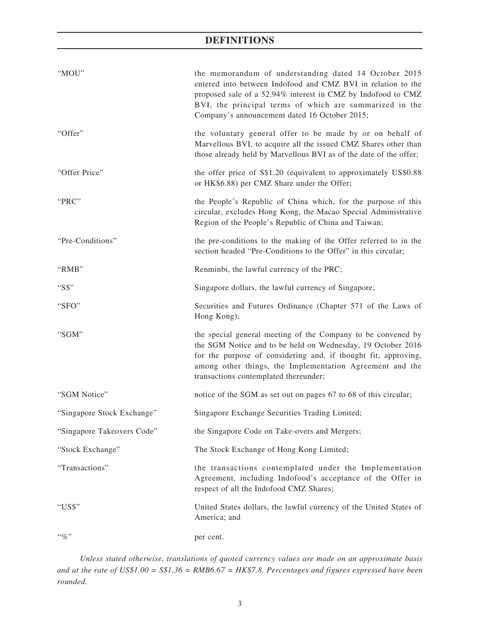## **DEFINITIONS**

| "MOU"                      | the memorandum of understanding dated 14 October 2015<br>entered into between Indofood and CMZ BVI in relation to the<br>proposed sale of a 52.94% interest in CMZ by Indofood to CMZ<br>BVI, the principal terms of which are summarized in the<br>Company's announcement dated 16 October 2015;  |
|----------------------------|----------------------------------------------------------------------------------------------------------------------------------------------------------------------------------------------------------------------------------------------------------------------------------------------------|
| "Offer"                    | the voluntary general offer to be made by or on behalf of<br>Marvellous BVI, to acquire all the issued CMZ Shares other than<br>those already held by Marvellous BVI as of the date of the offer;                                                                                                  |
| "Offer Price"              | the offer price of S\$1.20 (equivalent to approximately US\$0.88<br>or HK\$6.88) per CMZ Share under the Offer;                                                                                                                                                                                    |
| "PRC"                      | the People's Republic of China which, for the purpose of this<br>circular, excludes Hong Kong, the Macao Special Administrative<br>Region of the People's Republic of China and Taiwan;                                                                                                            |
| "Pre-Conditions"           | the pre-conditions to the making of the Offer referred to in the<br>section headed "Pre-Conditions to the Offer" in this circular;                                                                                                                                                                 |
| "RMB"                      | Renminbi, the lawful currency of the PRC;                                                                                                                                                                                                                                                          |
| "S\$"                      | Singapore dollars, the lawful currency of Singapore;                                                                                                                                                                                                                                               |
| "SFO"                      | Securities and Futures Ordinance (Chapter 571 of the Laws of<br>Hong Kong);                                                                                                                                                                                                                        |
| "SGM"                      | the special general meeting of the Company to be convened by<br>the SGM Notice and to be held on Wednesday, 19 October 2016<br>for the purpose of considering and, if thought fit, approving,<br>among other things, the Implementation Agreement and the<br>transactions contemplated thereunder; |
| "SGM Notice"               | notice of the SGM as set out on pages 67 to 68 of this circular;                                                                                                                                                                                                                                   |
| "Singapore Stock Exchange" | Singapore Exchange Securities Trading Limited;                                                                                                                                                                                                                                                     |
| "Singapore Takeovers Code" | the Singapore Code on Take-overs and Mergers;                                                                                                                                                                                                                                                      |
| "Stock Exchange"           | The Stock Exchange of Hong Kong Limited;                                                                                                                                                                                                                                                           |
| "Transactions"             | the transactions contemplated under the Implementation<br>Agreement, including Indofood's acceptance of the Offer in<br>respect of all the Indofood CMZ Shares;                                                                                                                                    |
| "US\$"                     | United States dollars, the lawful currency of the United States of<br>America; and                                                                                                                                                                                                                 |
| $``q_0"$                   | per cent.                                                                                                                                                                                                                                                                                          |

*Unless stated otherwise, translations of quoted currency values are made on an approximate basis and at the rate of US\$1.00 = S\$1.36 = RMB6.67 = HK\$7.8. Percentages and figures expressed have been rounded.*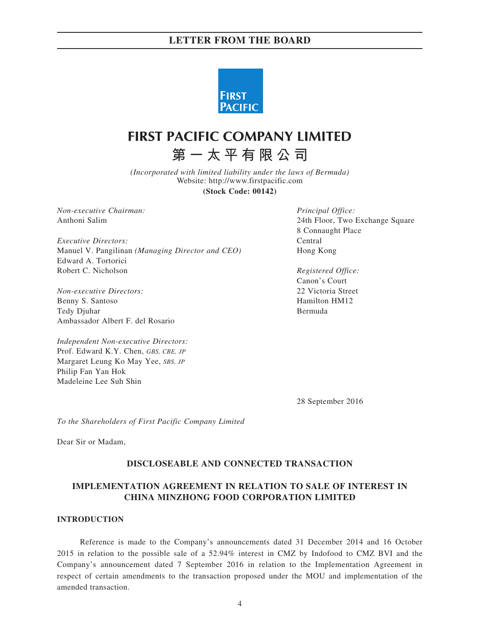

# **FIRST PACIFIC COMPANY LIMITED**

**第一太平有限公司**

*(Incorporated with limited liability under the laws of Bermuda)* Website: http://www.firstpacific.com

**(Stock Code: 00142)**

*Non-executive Chairman: Principal Office:*

*Executive Directors:* Central Manuel V. Pangilinan *(Managing Director and CEO)* Hong Kong Edward A. Tortorici Robert C. Nicholson *Registered Office:*

*Non-executive Directors:* 22 Victoria Street Benny S. Santoso Hamilton HM12 Tedy Djuhar Bermuda Ambassador Albert F. del Rosario

*Independent Non-executive Directors:* Prof. Edward K.Y. Chen, *GBS, CBE, JP* Margaret Leung Ko May Yee, *SBS, JP* Philip Fan Yan Hok Madeleine Lee Suh Shin

Anthoni Salim 24th Floor, Two Exchange Square 8 Connaught Place

Canon's Court

28 September 2016

*To the Shareholders of First Pacific Company Limited*

Dear Sir or Madam,

### **DISCLOSEABLE AND CONNECTED TRANSACTION**

## **IMPLEMENTATION AGREEMENT IN RELATION TO SALE OF INTEREST IN CHINA MINZHONG FOOD CORPORATION LIMITED**

#### **INTRODUCTION**

Reference is made to the Company's announcements dated 31 December 2014 and 16 October 2015 in relation to the possible sale of a 52.94% interest in CMZ by Indofood to CMZ BVI and the Company's announcement dated 7 September 2016 in relation to the Implementation Agreement in respect of certain amendments to the transaction proposed under the MOU and implementation of the amended transaction.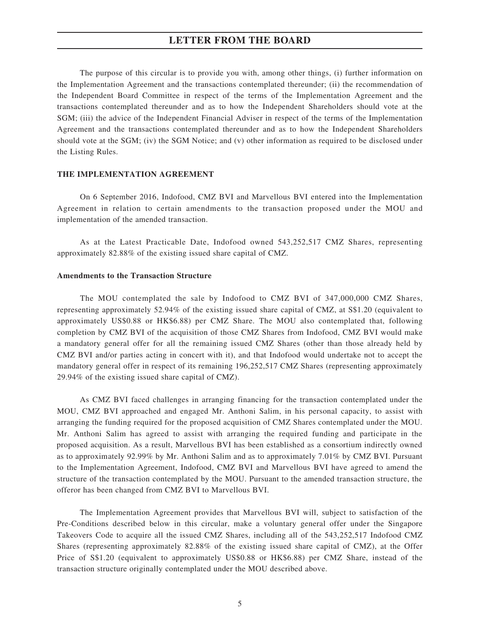The purpose of this circular is to provide you with, among other things, (i) further information on the Implementation Agreement and the transactions contemplated thereunder; (ii) the recommendation of the Independent Board Committee in respect of the terms of the Implementation Agreement and the transactions contemplated thereunder and as to how the Independent Shareholders should vote at the SGM; (iii) the advice of the Independent Financial Adviser in respect of the terms of the Implementation Agreement and the transactions contemplated thereunder and as to how the Independent Shareholders should vote at the SGM; (iv) the SGM Notice; and (v) other information as required to be disclosed under the Listing Rules.

#### **THE IMPLEMENTATION AGREEMENT**

On 6 September 2016, Indofood, CMZ BVI and Marvellous BVI entered into the Implementation Agreement in relation to certain amendments to the transaction proposed under the MOU and implementation of the amended transaction.

As at the Latest Practicable Date, Indofood owned 543,252,517 CMZ Shares, representing approximately 82.88% of the existing issued share capital of CMZ.

#### **Amendments to the Transaction Structure**

The MOU contemplated the sale by Indofood to CMZ BVI of 347,000,000 CMZ Shares, representing approximately 52.94% of the existing issued share capital of CMZ, at S\$1.20 (equivalent to approximately US\$0.88 or HK\$6.88) per CMZ Share. The MOU also contemplated that, following completion by CMZ BVI of the acquisition of those CMZ Shares from Indofood, CMZ BVI would make a mandatory general offer for all the remaining issued CMZ Shares (other than those already held by CMZ BVI and/or parties acting in concert with it), and that Indofood would undertake not to accept the mandatory general offer in respect of its remaining 196,252,517 CMZ Shares (representing approximately 29.94% of the existing issued share capital of CMZ).

As CMZ BVI faced challenges in arranging financing for the transaction contemplated under the MOU, CMZ BVI approached and engaged Mr. Anthoni Salim, in his personal capacity, to assist with arranging the funding required for the proposed acquisition of CMZ Shares contemplated under the MOU. Mr. Anthoni Salim has agreed to assist with arranging the required funding and participate in the proposed acquisition. As a result, Marvellous BVI has been established as a consortium indirectly owned as to approximately 92.99% by Mr. Anthoni Salim and as to approximately 7.01% by CMZ BVI. Pursuant to the Implementation Agreement, Indofood, CMZ BVI and Marvellous BVI have agreed to amend the structure of the transaction contemplated by the MOU. Pursuant to the amended transaction structure, the offeror has been changed from CMZ BVI to Marvellous BVI.

The Implementation Agreement provides that Marvellous BVI will, subject to satisfaction of the Pre-Conditions described below in this circular, make a voluntary general offer under the Singapore Takeovers Code to acquire all the issued CMZ Shares, including all of the 543,252,517 Indofood CMZ Shares (representing approximately 82.88% of the existing issued share capital of CMZ), at the Offer Price of S\$1.20 (equivalent to approximately US\$0.88 or HK\$6.88) per CMZ Share, instead of the transaction structure originally contemplated under the MOU described above.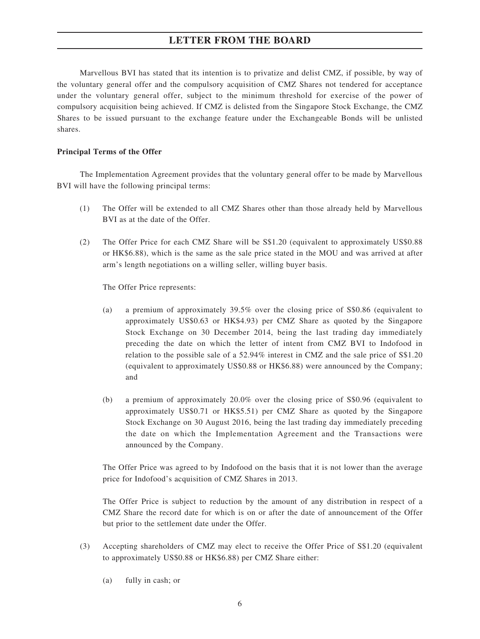Marvellous BVI has stated that its intention is to privatize and delist CMZ, if possible, by way of the voluntary general offer and the compulsory acquisition of CMZ Shares not tendered for acceptance under the voluntary general offer, subject to the minimum threshold for exercise of the power of compulsory acquisition being achieved. If CMZ is delisted from the Singapore Stock Exchange, the CMZ Shares to be issued pursuant to the exchange feature under the Exchangeable Bonds will be unlisted shares.

#### **Principal Terms of the Offer**

The Implementation Agreement provides that the voluntary general offer to be made by Marvellous BVI will have the following principal terms:

- (1) The Offer will be extended to all CMZ Shares other than those already held by Marvellous BVI as at the date of the Offer.
- (2) The Offer Price for each CMZ Share will be S\$1.20 (equivalent to approximately US\$0.88 or HK\$6.88), which is the same as the sale price stated in the MOU and was arrived at after arm's length negotiations on a willing seller, willing buyer basis.

The Offer Price represents:

- (a) a premium of approximately 39.5% over the closing price of S\$0.86 (equivalent to approximately US\$0.63 or HK\$4.93) per CMZ Share as quoted by the Singapore Stock Exchange on 30 December 2014, being the last trading day immediately preceding the date on which the letter of intent from CMZ BVI to Indofood in relation to the possible sale of a 52.94% interest in CMZ and the sale price of S\$1.20 (equivalent to approximately US\$0.88 or HK\$6.88) were announced by the Company; and
- (b) a premium of approximately 20.0% over the closing price of S\$0.96 (equivalent to approximately US\$0.71 or HK\$5.51) per CMZ Share as quoted by the Singapore Stock Exchange on 30 August 2016, being the last trading day immediately preceding the date on which the Implementation Agreement and the Transactions were announced by the Company.

The Offer Price was agreed to by Indofood on the basis that it is not lower than the average price for Indofood's acquisition of CMZ Shares in 2013.

The Offer Price is subject to reduction by the amount of any distribution in respect of a CMZ Share the record date for which is on or after the date of announcement of the Offer but prior to the settlement date under the Offer.

- (3) Accepting shareholders of CMZ may elect to receive the Offer Price of S\$1.20 (equivalent to approximately US\$0.88 or HK\$6.88) per CMZ Share either:
	- (a) fully in cash; or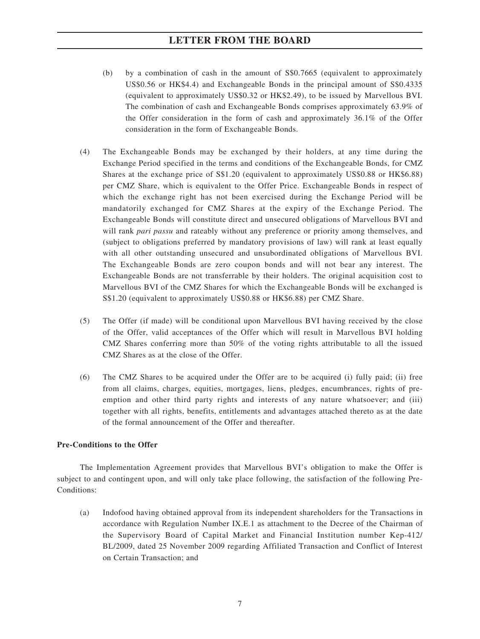- (b) by a combination of cash in the amount of S\$0.7665 (equivalent to approximately US\$0.56 or HK\$4.4) and Exchangeable Bonds in the principal amount of S\$0.4335 (equivalent to approximately US\$0.32 or HK\$2.49), to be issued by Marvellous BVI. The combination of cash and Exchangeable Bonds comprises approximately 63.9% of the Offer consideration in the form of cash and approximately 36.1% of the Offer consideration in the form of Exchangeable Bonds.
- (4) The Exchangeable Bonds may be exchanged by their holders, at any time during the Exchange Period specified in the terms and conditions of the Exchangeable Bonds, for CMZ Shares at the exchange price of S\$1.20 (equivalent to approximately US\$0.88 or HK\$6.88) per CMZ Share, which is equivalent to the Offer Price. Exchangeable Bonds in respect of which the exchange right has not been exercised during the Exchange Period will be mandatorily exchanged for CMZ Shares at the expiry of the Exchange Period. The Exchangeable Bonds will constitute direct and unsecured obligations of Marvellous BVI and will rank *pari passu* and rateably without any preference or priority among themselves, and (subject to obligations preferred by mandatory provisions of law) will rank at least equally with all other outstanding unsecured and unsubordinated obligations of Marvellous BVI. The Exchangeable Bonds are zero coupon bonds and will not bear any interest. The Exchangeable Bonds are not transferrable by their holders. The original acquisition cost to Marvellous BVI of the CMZ Shares for which the Exchangeable Bonds will be exchanged is S\$1.20 (equivalent to approximately US\$0.88 or HK\$6.88) per CMZ Share.
- (5) The Offer (if made) will be conditional upon Marvellous BVI having received by the close of the Offer, valid acceptances of the Offer which will result in Marvellous BVI holding CMZ Shares conferring more than 50% of the voting rights attributable to all the issued CMZ Shares as at the close of the Offer.
- (6) The CMZ Shares to be acquired under the Offer are to be acquired (i) fully paid; (ii) free from all claims, charges, equities, mortgages, liens, pledges, encumbrances, rights of preemption and other third party rights and interests of any nature whatsoever; and (iii) together with all rights, benefits, entitlements and advantages attached thereto as at the date of the formal announcement of the Offer and thereafter.

#### **Pre-Conditions to the Offer**

The Implementation Agreement provides that Marvellous BVI's obligation to make the Offer is subject to and contingent upon, and will only take place following, the satisfaction of the following Pre-Conditions:

(a) Indofood having obtained approval from its independent shareholders for the Transactions in accordance with Regulation Number IX.E.1 as attachment to the Decree of the Chairman of the Supervisory Board of Capital Market and Financial Institution number Kep-412/ BL/2009, dated 25 November 2009 regarding Affiliated Transaction and Conflict of Interest on Certain Transaction; and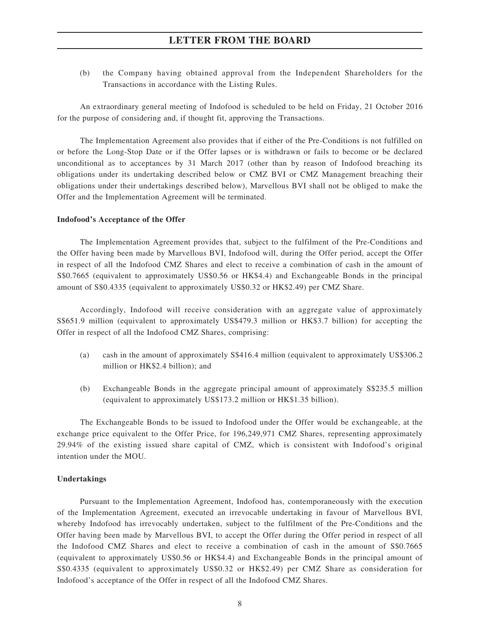(b) the Company having obtained approval from the Independent Shareholders for the Transactions in accordance with the Listing Rules.

An extraordinary general meeting of Indofood is scheduled to be held on Friday, 21 October 2016 for the purpose of considering and, if thought fit, approving the Transactions.

The Implementation Agreement also provides that if either of the Pre-Conditions is not fulfilled on or before the Long-Stop Date or if the Offer lapses or is withdrawn or fails to become or be declared unconditional as to acceptances by 31 March 2017 (other than by reason of Indofood breaching its obligations under its undertaking described below or CMZ BVI or CMZ Management breaching their obligations under their undertakings described below), Marvellous BVI shall not be obliged to make the Offer and the Implementation Agreement will be terminated.

#### **Indofood's Acceptance of the Offer**

The Implementation Agreement provides that, subject to the fulfilment of the Pre-Conditions and the Offer having been made by Marvellous BVI, Indofood will, during the Offer period, accept the Offer in respect of all the Indofood CMZ Shares and elect to receive a combination of cash in the amount of S\$0.7665 (equivalent to approximately US\$0.56 or HK\$4.4) and Exchangeable Bonds in the principal amount of S\$0.4335 (equivalent to approximately US\$0.32 or HK\$2.49) per CMZ Share.

Accordingly, Indofood will receive consideration with an aggregate value of approximately S\$651.9 million (equivalent to approximately US\$479.3 million or HK\$3.7 billion) for accepting the Offer in respect of all the Indofood CMZ Shares, comprising:

- (a) cash in the amount of approximately S\$416.4 million (equivalent to approximately US\$306.2 million or HK\$2.4 billion); and
- (b) Exchangeable Bonds in the aggregate principal amount of approximately S\$235.5 million (equivalent to approximately US\$173.2 million or HK\$1.35 billion).

The Exchangeable Bonds to be issued to Indofood under the Offer would be exchangeable, at the exchange price equivalent to the Offer Price, for 196,249,971 CMZ Shares, representing approximately 29.94% of the existing issued share capital of CMZ, which is consistent with Indofood's original intention under the MOU.

#### **Undertakings**

Pursuant to the Implementation Agreement, Indofood has, contemporaneously with the execution of the Implementation Agreement, executed an irrevocable undertaking in favour of Marvellous BVI, whereby Indofood has irrevocably undertaken, subject to the fulfilment of the Pre-Conditions and the Offer having been made by Marvellous BVI, to accept the Offer during the Offer period in respect of all the Indofood CMZ Shares and elect to receive a combination of cash in the amount of S\$0.7665 (equivalent to approximately US\$0.56 or HK\$4.4) and Exchangeable Bonds in the principal amount of S\$0.4335 (equivalent to approximately US\$0.32 or HK\$2.49) per CMZ Share as consideration for Indofood's acceptance of the Offer in respect of all the Indofood CMZ Shares.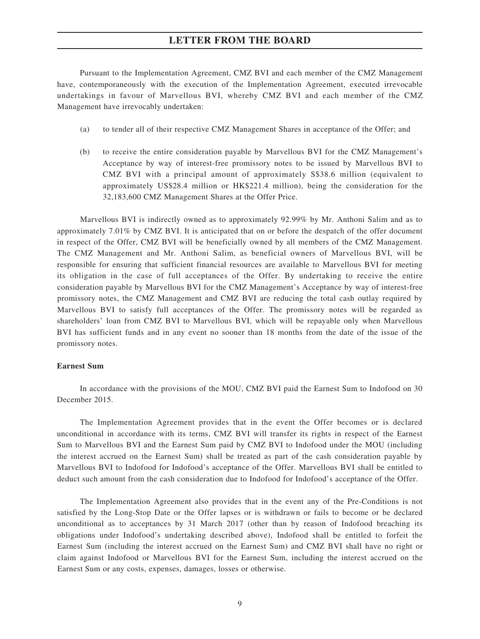Pursuant to the Implementation Agreement, CMZ BVI and each member of the CMZ Management have, contemporaneously with the execution of the Implementation Agreement, executed irrevocable undertakings in favour of Marvellous BVI, whereby CMZ BVI and each member of the CMZ Management have irrevocably undertaken:

- (a) to tender all of their respective CMZ Management Shares in acceptance of the Offer; and
- (b) to receive the entire consideration payable by Marvellous BVI for the CMZ Management's Acceptance by way of interest-free promissory notes to be issued by Marvellous BVI to CMZ BVI with a principal amount of approximately S\$38.6 million (equivalent to approximately US\$28.4 million or HK\$221.4 million), being the consideration for the 32,183,600 CMZ Management Shares at the Offer Price.

Marvellous BVI is indirectly owned as to approximately 92.99% by Mr. Anthoni Salim and as to approximately 7.01% by CMZ BVI. It is anticipated that on or before the despatch of the offer document in respect of the Offer, CMZ BVI will be beneficially owned by all members of the CMZ Management. The CMZ Management and Mr. Anthoni Salim, as beneficial owners of Marvellous BVI, will be responsible for ensuring that sufficient financial resources are available to Marvellous BVI for meeting its obligation in the case of full acceptances of the Offer. By undertaking to receive the entire consideration payable by Marvellous BVI for the CMZ Management's Acceptance by way of interest-free promissory notes, the CMZ Management and CMZ BVI are reducing the total cash outlay required by Marvellous BVI to satisfy full acceptances of the Offer. The promissory notes will be regarded as shareholders' loan from CMZ BVI to Marvellous BVI, which will be repayable only when Marvellous BVI has sufficient funds and in any event no sooner than 18 months from the date of the issue of the promissory notes.

#### **Earnest Sum**

In accordance with the provisions of the MOU, CMZ BVI paid the Earnest Sum to Indofood on 30 December 2015.

The Implementation Agreement provides that in the event the Offer becomes or is declared unconditional in accordance with its terms, CMZ BVI will transfer its rights in respect of the Earnest Sum to Marvellous BVI and the Earnest Sum paid by CMZ BVI to Indofood under the MOU (including the interest accrued on the Earnest Sum) shall be treated as part of the cash consideration payable by Marvellous BVI to Indofood for Indofood's acceptance of the Offer. Marvellous BVI shall be entitled to deduct such amount from the cash consideration due to Indofood for Indofood's acceptance of the Offer.

The Implementation Agreement also provides that in the event any of the Pre-Conditions is not satisfied by the Long-Stop Date or the Offer lapses or is withdrawn or fails to become or be declared unconditional as to acceptances by 31 March 2017 (other than by reason of Indofood breaching its obligations under Indofood's undertaking described above), Indofood shall be entitled to forfeit the Earnest Sum (including the interest accrued on the Earnest Sum) and CMZ BVI shall have no right or claim against Indofood or Marvellous BVI for the Earnest Sum, including the interest accrued on the Earnest Sum or any costs, expenses, damages, losses or otherwise.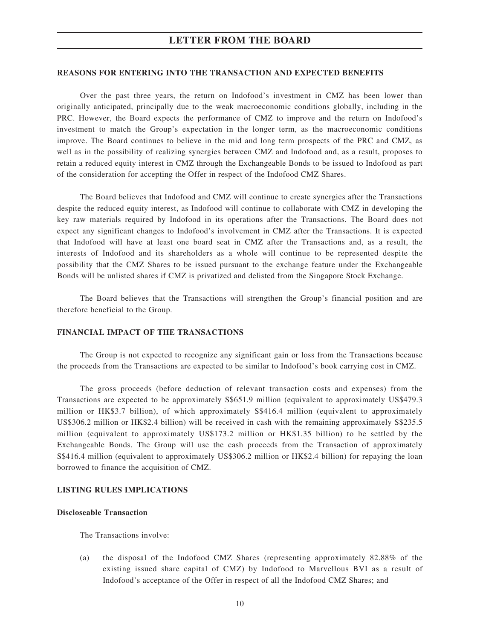#### **REASONS FOR ENTERING INTO THE TRANSACTION AND EXPECTED BENEFITS**

Over the past three years, the return on Indofood's investment in CMZ has been lower than originally anticipated, principally due to the weak macroeconomic conditions globally, including in the PRC. However, the Board expects the performance of CMZ to improve and the return on Indofood's investment to match the Group's expectation in the longer term, as the macroeconomic conditions improve. The Board continues to believe in the mid and long term prospects of the PRC and CMZ, as well as in the possibility of realizing synergies between CMZ and Indofood and, as a result, proposes to retain a reduced equity interest in CMZ through the Exchangeable Bonds to be issued to Indofood as part of the consideration for accepting the Offer in respect of the Indofood CMZ Shares.

The Board believes that Indofood and CMZ will continue to create synergies after the Transactions despite the reduced equity interest, as Indofood will continue to collaborate with CMZ in developing the key raw materials required by Indofood in its operations after the Transactions. The Board does not expect any significant changes to Indofood's involvement in CMZ after the Transactions. It is expected that Indofood will have at least one board seat in CMZ after the Transactions and, as a result, the interests of Indofood and its shareholders as a whole will continue to be represented despite the possibility that the CMZ Shares to be issued pursuant to the exchange feature under the Exchangeable Bonds will be unlisted shares if CMZ is privatized and delisted from the Singapore Stock Exchange.

The Board believes that the Transactions will strengthen the Group's financial position and are therefore beneficial to the Group.

#### **FINANCIAL IMPACT OF THE TRANSACTIONS**

The Group is not expected to recognize any significant gain or loss from the Transactions because the proceeds from the Transactions are expected to be similar to Indofood's book carrying cost in CMZ.

The gross proceeds (before deduction of relevant transaction costs and expenses) from the Transactions are expected to be approximately S\$651.9 million (equivalent to approximately US\$479.3 million or HK\$3.7 billion), of which approximately S\$416.4 million (equivalent to approximately US\$306.2 million or HK\$2.4 billion) will be received in cash with the remaining approximately S\$235.5 million (equivalent to approximately US\$173.2 million or HK\$1.35 billion) to be settled by the Exchangeable Bonds. The Group will use the cash proceeds from the Transaction of approximately S\$416.4 million (equivalent to approximately US\$306.2 million or HK\$2.4 billion) for repaying the loan borrowed to finance the acquisition of CMZ.

#### **LISTING RULES IMPLICATIONS**

#### **Discloseable Transaction**

The Transactions involve:

(a) the disposal of the Indofood CMZ Shares (representing approximately 82.88% of the existing issued share capital of CMZ) by Indofood to Marvellous BVI as a result of Indofood's acceptance of the Offer in respect of all the Indofood CMZ Shares; and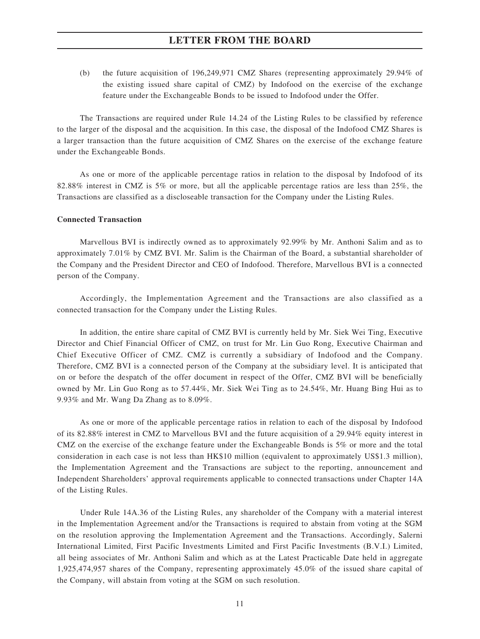(b) the future acquisition of 196,249,971 CMZ Shares (representing approximately 29.94% of the existing issued share capital of CMZ) by Indofood on the exercise of the exchange feature under the Exchangeable Bonds to be issued to Indofood under the Offer.

The Transactions are required under Rule 14.24 of the Listing Rules to be classified by reference to the larger of the disposal and the acquisition. In this case, the disposal of the Indofood CMZ Shares is a larger transaction than the future acquisition of CMZ Shares on the exercise of the exchange feature under the Exchangeable Bonds.

As one or more of the applicable percentage ratios in relation to the disposal by Indofood of its 82.88% interest in CMZ is 5% or more, but all the applicable percentage ratios are less than 25%, the Transactions are classified as a discloseable transaction for the Company under the Listing Rules.

#### **Connected Transaction**

Marvellous BVI is indirectly owned as to approximately 92.99% by Mr. Anthoni Salim and as to approximately 7.01% by CMZ BVI. Mr. Salim is the Chairman of the Board, a substantial shareholder of the Company and the President Director and CEO of Indofood. Therefore, Marvellous BVI is a connected person of the Company.

Accordingly, the Implementation Agreement and the Transactions are also classified as a connected transaction for the Company under the Listing Rules.

In addition, the entire share capital of CMZ BVI is currently held by Mr. Siek Wei Ting, Executive Director and Chief Financial Officer of CMZ, on trust for Mr. Lin Guo Rong, Executive Chairman and Chief Executive Officer of CMZ. CMZ is currently a subsidiary of Indofood and the Company. Therefore, CMZ BVI is a connected person of the Company at the subsidiary level. It is anticipated that on or before the despatch of the offer document in respect of the Offer, CMZ BVI will be beneficially owned by Mr. Lin Guo Rong as to 57.44%, Mr. Siek Wei Ting as to 24.54%, Mr. Huang Bing Hui as to 9.93% and Mr. Wang Da Zhang as to 8.09%.

As one or more of the applicable percentage ratios in relation to each of the disposal by Indofood of its 82.88% interest in CMZ to Marvellous BVI and the future acquisition of a 29.94% equity interest in CMZ on the exercise of the exchange feature under the Exchangeable Bonds is 5% or more and the total consideration in each case is not less than HK\$10 million (equivalent to approximately US\$1.3 million), the Implementation Agreement and the Transactions are subject to the reporting, announcement and Independent Shareholders' approval requirements applicable to connected transactions under Chapter 14A of the Listing Rules.

Under Rule 14A.36 of the Listing Rules, any shareholder of the Company with a material interest in the Implementation Agreement and/or the Transactions is required to abstain from voting at the SGM on the resolution approving the Implementation Agreement and the Transactions. Accordingly, Salerni International Limited, First Pacific Investments Limited and First Pacific Investments (B.V.I.) Limited, all being associates of Mr. Anthoni Salim and which as at the Latest Practicable Date held in aggregate 1,925,474,957 shares of the Company, representing approximately 45.0% of the issued share capital of the Company, will abstain from voting at the SGM on such resolution.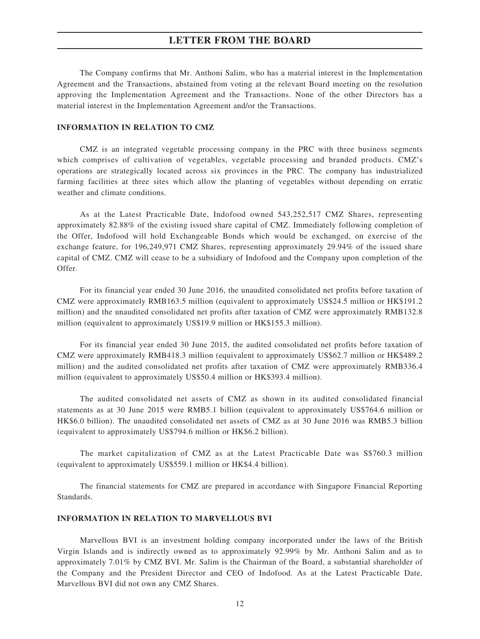The Company confirms that Mr. Anthoni Salim, who has a material interest in the Implementation Agreement and the Transactions, abstained from voting at the relevant Board meeting on the resolution approving the Implementation Agreement and the Transactions. None of the other Directors has a material interest in the Implementation Agreement and/or the Transactions.

### **INFORMATION IN RELATION TO CMZ**

CMZ is an integrated vegetable processing company in the PRC with three business segments which comprises of cultivation of vegetables, vegetable processing and branded products. CMZ's operations are strategically located across six provinces in the PRC. The company has industrialized farming facilities at three sites which allow the planting of vegetables without depending on erratic weather and climate conditions.

As at the Latest Practicable Date, Indofood owned 543,252,517 CMZ Shares, representing approximately 82.88% of the existing issued share capital of CMZ. Immediately following completion of the Offer, Indofood will hold Exchangeable Bonds which would be exchanged, on exercise of the exchange feature, for 196,249,971 CMZ Shares, representing approximately 29.94% of the issued share capital of CMZ. CMZ will cease to be a subsidiary of Indofood and the Company upon completion of the Offer.

For its financial year ended 30 June 2016, the unaudited consolidated net profits before taxation of CMZ were approximately RMB163.5 million (equivalent to approximately US\$24.5 million or HK\$191.2 million) and the unaudited consolidated net profits after taxation of CMZ were approximately RMB132.8 million (equivalent to approximately US\$19.9 million or HK\$155.3 million).

For its financial year ended 30 June 2015, the audited consolidated net profits before taxation of CMZ were approximately RMB418.3 million (equivalent to approximately US\$62.7 million or HK\$489.2 million) and the audited consolidated net profits after taxation of CMZ were approximately RMB336.4 million (equivalent to approximately US\$50.4 million or HK\$393.4 million).

The audited consolidated net assets of CMZ as shown in its audited consolidated financial statements as at 30 June 2015 were RMB5.1 billion (equivalent to approximately US\$764.6 million or HK\$6.0 billion). The unaudited consolidated net assets of CMZ as at 30 June 2016 was RMB5.3 billion (equivalent to approximately US\$794.6 million or HK\$6.2 billion).

The market capitalization of CMZ as at the Latest Practicable Date was S\$760.3 million (equivalent to approximately US\$559.1 million or HK\$4.4 billion).

The financial statements for CMZ are prepared in accordance with Singapore Financial Reporting Standards.

#### **INFORMATION IN RELATION TO MARVELLOUS BVI**

Marvellous BVI is an investment holding company incorporated under the laws of the British Virgin Islands and is indirectly owned as to approximately 92.99% by Mr. Anthoni Salim and as to approximately 7.01% by CMZ BVI. Mr. Salim is the Chairman of the Board, a substantial shareholder of the Company and the President Director and CEO of Indofood. As at the Latest Practicable Date, Marvellous BVI did not own any CMZ Shares.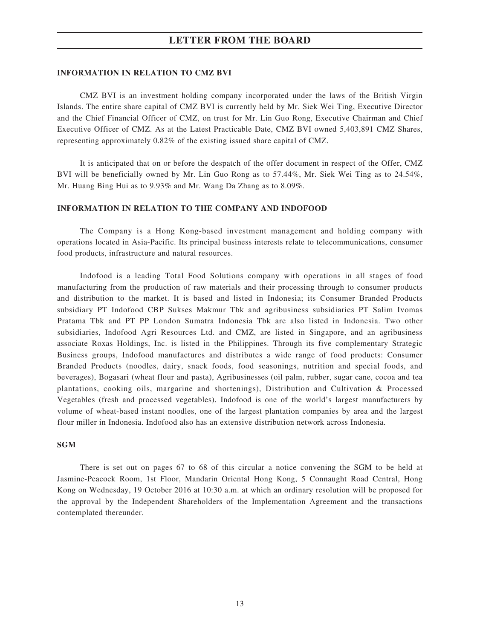#### **INFORMATION IN RELATION TO CMZ BVI**

CMZ BVI is an investment holding company incorporated under the laws of the British Virgin Islands. The entire share capital of CMZ BVI is currently held by Mr. Siek Wei Ting, Executive Director and the Chief Financial Officer of CMZ, on trust for Mr. Lin Guo Rong, Executive Chairman and Chief Executive Officer of CMZ. As at the Latest Practicable Date, CMZ BVI owned 5,403,891 CMZ Shares, representing approximately 0.82% of the existing issued share capital of CMZ.

It is anticipated that on or before the despatch of the offer document in respect of the Offer, CMZ BVI will be beneficially owned by Mr. Lin Guo Rong as to 57.44%, Mr. Siek Wei Ting as to 24.54%, Mr. Huang Bing Hui as to 9.93% and Mr. Wang Da Zhang as to 8.09%.

#### **INFORMATION IN RELATION TO THE COMPANY AND INDOFOOD**

The Company is a Hong Kong-based investment management and holding company with operations located in Asia-Pacific. Its principal business interests relate to telecommunications, consumer food products, infrastructure and natural resources.

Indofood is a leading Total Food Solutions company with operations in all stages of food manufacturing from the production of raw materials and their processing through to consumer products and distribution to the market. It is based and listed in Indonesia; its Consumer Branded Products subsidiary PT Indofood CBP Sukses Makmur Tbk and agribusiness subsidiaries PT Salim Ivomas Pratama Tbk and PT PP London Sumatra Indonesia Tbk are also listed in Indonesia. Two other subsidiaries, Indofood Agri Resources Ltd. and CMZ, are listed in Singapore, and an agribusiness associate Roxas Holdings, Inc. is listed in the Philippines. Through its five complementary Strategic Business groups, Indofood manufactures and distributes a wide range of food products: Consumer Branded Products (noodles, dairy, snack foods, food seasonings, nutrition and special foods, and beverages), Bogasari (wheat flour and pasta), Agribusinesses (oil palm, rubber, sugar cane, cocoa and tea plantations, cooking oils, margarine and shortenings), Distribution and Cultivation & Processed Vegetables (fresh and processed vegetables). Indofood is one of the world's largest manufacturers by volume of wheat-based instant noodles, one of the largest plantation companies by area and the largest flour miller in Indonesia. Indofood also has an extensive distribution network across Indonesia.

#### **SGM**

There is set out on pages 67 to 68 of this circular a notice convening the SGM to be held at Jasmine-Peacock Room, 1st Floor, Mandarin Oriental Hong Kong, 5 Connaught Road Central, Hong Kong on Wednesday, 19 October 2016 at 10:30 a.m. at which an ordinary resolution will be proposed for the approval by the Independent Shareholders of the Implementation Agreement and the transactions contemplated thereunder.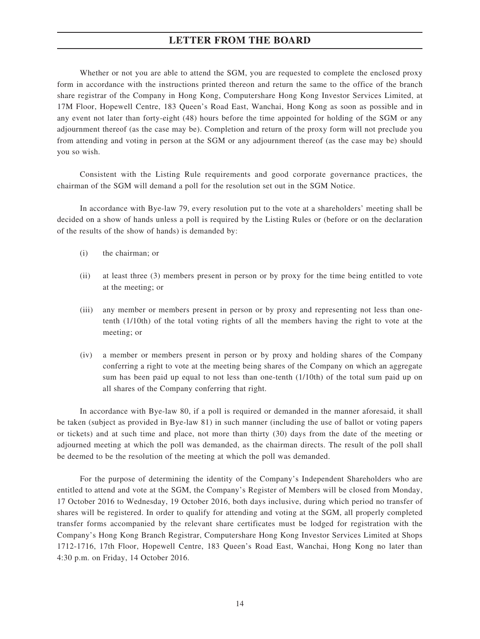Whether or not you are able to attend the SGM, you are requested to complete the enclosed proxy form in accordance with the instructions printed thereon and return the same to the office of the branch share registrar of the Company in Hong Kong, Computershare Hong Kong Investor Services Limited, at 17M Floor, Hopewell Centre, 183 Queen's Road East, Wanchai, Hong Kong as soon as possible and in any event not later than forty-eight (48) hours before the time appointed for holding of the SGM or any adjournment thereof (as the case may be). Completion and return of the proxy form will not preclude you from attending and voting in person at the SGM or any adjournment thereof (as the case may be) should you so wish.

Consistent with the Listing Rule requirements and good corporate governance practices, the chairman of the SGM will demand a poll for the resolution set out in the SGM Notice.

In accordance with Bye-law 79, every resolution put to the vote at a shareholders' meeting shall be decided on a show of hands unless a poll is required by the Listing Rules or (before or on the declaration of the results of the show of hands) is demanded by:

- (i) the chairman; or
- (ii) at least three (3) members present in person or by proxy for the time being entitled to vote at the meeting; or
- (iii) any member or members present in person or by proxy and representing not less than onetenth (1/10th) of the total voting rights of all the members having the right to vote at the meeting; or
- (iv) a member or members present in person or by proxy and holding shares of the Company conferring a right to vote at the meeting being shares of the Company on which an aggregate sum has been paid up equal to not less than one-tenth (1/10th) of the total sum paid up on all shares of the Company conferring that right.

In accordance with Bye-law 80, if a poll is required or demanded in the manner aforesaid, it shall be taken (subject as provided in Bye-law 81) in such manner (including the use of ballot or voting papers or tickets) and at such time and place, not more than thirty (30) days from the date of the meeting or adjourned meeting at which the poll was demanded, as the chairman directs. The result of the poll shall be deemed to be the resolution of the meeting at which the poll was demanded.

For the purpose of determining the identity of the Company's Independent Shareholders who are entitled to attend and vote at the SGM, the Company's Register of Members will be closed from Monday, 17 October 2016 to Wednesday, 19 October 2016, both days inclusive, during which period no transfer of shares will be registered. In order to qualify for attending and voting at the SGM, all properly completed transfer forms accompanied by the relevant share certificates must be lodged for registration with the Company's Hong Kong Branch Registrar, Computershare Hong Kong Investor Services Limited at Shops 1712-1716, 17th Floor, Hopewell Centre, 183 Queen's Road East, Wanchai, Hong Kong no later than 4:30 p.m. on Friday, 14 October 2016.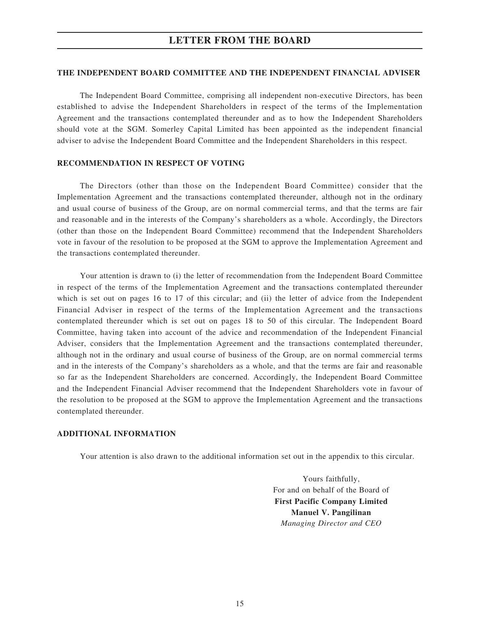#### **THE INDEPENDENT BOARD COMMITTEE AND THE INDEPENDENT FINANCIAL ADVISER**

The Independent Board Committee, comprising all independent non-executive Directors, has been established to advise the Independent Shareholders in respect of the terms of the Implementation Agreement and the transactions contemplated thereunder and as to how the Independent Shareholders should vote at the SGM. Somerley Capital Limited has been appointed as the independent financial adviser to advise the Independent Board Committee and the Independent Shareholders in this respect.

#### **RECOMMENDATION IN RESPECT OF VOTING**

The Directors (other than those on the Independent Board Committee) consider that the Implementation Agreement and the transactions contemplated thereunder, although not in the ordinary and usual course of business of the Group, are on normal commercial terms, and that the terms are fair and reasonable and in the interests of the Company's shareholders as a whole. Accordingly, the Directors (other than those on the Independent Board Committee) recommend that the Independent Shareholders vote in favour of the resolution to be proposed at the SGM to approve the Implementation Agreement and the transactions contemplated thereunder.

Your attention is drawn to (i) the letter of recommendation from the Independent Board Committee in respect of the terms of the Implementation Agreement and the transactions contemplated thereunder which is set out on pages 16 to 17 of this circular; and (ii) the letter of advice from the Independent Financial Adviser in respect of the terms of the Implementation Agreement and the transactions contemplated thereunder which is set out on pages 18 to 50 of this circular. The Independent Board Committee, having taken into account of the advice and recommendation of the Independent Financial Adviser, considers that the Implementation Agreement and the transactions contemplated thereunder, although not in the ordinary and usual course of business of the Group, are on normal commercial terms and in the interests of the Company's shareholders as a whole, and that the terms are fair and reasonable so far as the Independent Shareholders are concerned. Accordingly, the Independent Board Committee and the Independent Financial Adviser recommend that the Independent Shareholders vote in favour of the resolution to be proposed at the SGM to approve the Implementation Agreement and the transactions contemplated thereunder.

#### **ADDITIONAL INFORMATION**

Your attention is also drawn to the additional information set out in the appendix to this circular.

Yours faithfully, For and on behalf of the Board of **First Pacific Company Limited Manuel V. Pangilinan** *Managing Director and CEO*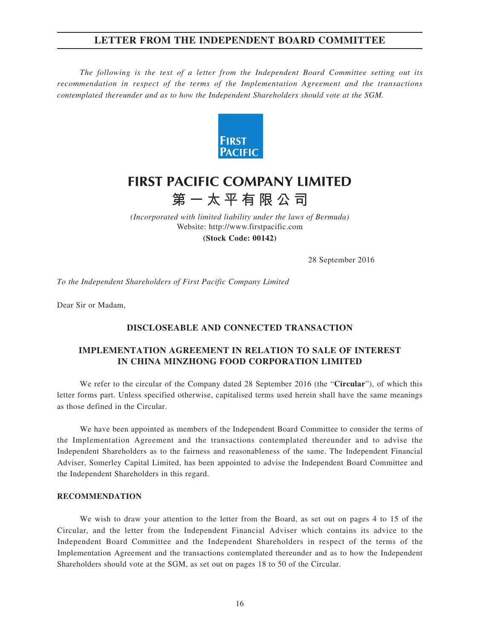## **LETTER FROM THE INDEPENDENT BOARD COMMITTEE**

*The following is the text of a letter from the Independent Board Committee setting out its recommendation in respect of the terms of the Implementation Agreement and the transactions contemplated thereunder and as to how the Independent Shareholders should vote at the SGM.*



# **FIRST PACIFIC COMPANY LIMITED 第一太平有限公司**

*(Incorporated with limited liability under the laws of Bermuda)* Website: http://www.firstpacific.com

**(Stock Code: 00142)**

28 September 2016

*To the Independent Shareholders of First Pacific Company Limited*

Dear Sir or Madam,

### **DISCLOSEABLE AND CONNECTED TRANSACTION**

## **IMPLEMENTATION AGREEMENT IN RELATION TO SALE OF INTEREST IN CHINA MINZHONG FOOD CORPORATION LIMITED**

We refer to the circular of the Company dated 28 September 2016 (the "**Circular**"), of which this letter forms part. Unless specified otherwise, capitalised terms used herein shall have the same meanings as those defined in the Circular.

We have been appointed as members of the Independent Board Committee to consider the terms of the Implementation Agreement and the transactions contemplated thereunder and to advise the Independent Shareholders as to the fairness and reasonableness of the same. The Independent Financial Adviser, Somerley Capital Limited, has been appointed to advise the Independent Board Committee and the Independent Shareholders in this regard.

#### **RECOMMENDATION**

We wish to draw your attention to the letter from the Board, as set out on pages 4 to 15 of the Circular, and the letter from the Independent Financial Adviser which contains its advice to the Independent Board Committee and the Independent Shareholders in respect of the terms of the Implementation Agreement and the transactions contemplated thereunder and as to how the Independent Shareholders should vote at the SGM, as set out on pages 18 to 50 of the Circular.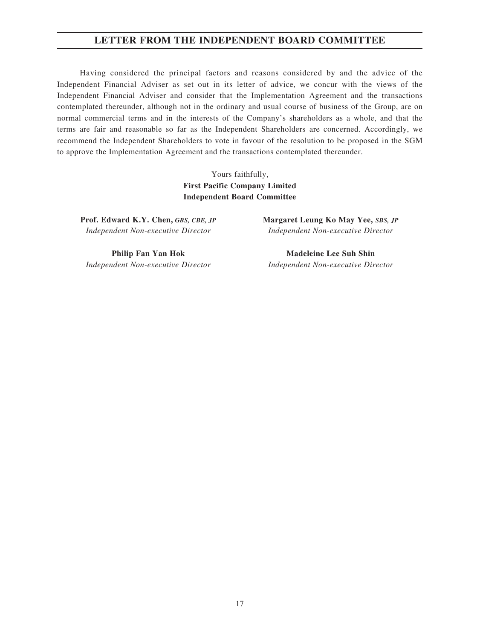## **LETTER FROM THE INDEPENDENT BOARD COMMITTEE**

Having considered the principal factors and reasons considered by and the advice of the Independent Financial Adviser as set out in its letter of advice, we concur with the views of the Independent Financial Adviser and consider that the Implementation Agreement and the transactions contemplated thereunder, although not in the ordinary and usual course of business of the Group, are on normal commercial terms and in the interests of the Company's shareholders as a whole, and that the terms are fair and reasonable so far as the Independent Shareholders are concerned. Accordingly, we recommend the Independent Shareholders to vote in favour of the resolution to be proposed in the SGM to approve the Implementation Agreement and the transactions contemplated thereunder.

> Yours faithfully, **First Pacific Company Limited Independent Board Committee**

**Prof. Edward K.Y. Chen,** *GBS, CBE, JP Independent Non-executive Director*

**Philip Fan Yan Hok** *Independent Non-executive Director* **Margaret Leung Ko May Yee,** *SBS, JP Independent Non-executive Director*

**Madeleine Lee Suh Shin** *Independent Non-executive Director*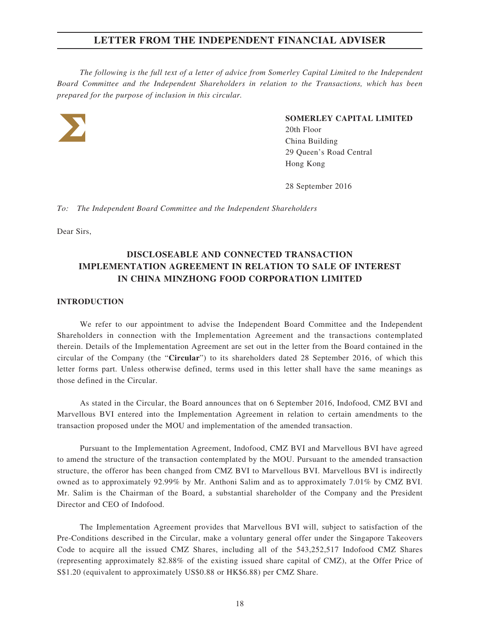*The following is the full text of a letter of advice from Somerley Capital Limited to the Independent Board Committee and the Independent Shareholders in relation to the Transactions, which has been prepared for the purpose of inclusion in this circular.*



#### **SOMERLEY CAPITAL LIMITED**

External sources of the sources of the sources of the sources of the sources of the sources of the sources of the sources of the sources of the sources of the sources of the sources of the sources of the sources of the sou 20th Floor China Building 29 Queen's Road Central Hong Kong

28 September 2016

*To: The Independent Board Committee and the Independent Shareholders*

Dear Sirs,

## **DISCLOSEABLE AND CONNECTED TRANSACTION IMPLEMENTATION AGREEMENT IN RELATION TO SALE OF INTEREST IN CHINA MINZHONG FOOD CORPORATION LIMITED**

#### **INTRODUCTION**

We refer to our appointment to advise the Independent Board Committee and the Independent Shareholders in connection with the Implementation Agreement and the transactions contemplated therein. Details of the Implementation Agreement are set out in the letter from the Board contained in the circular of the Company (the "**Circular**") to its shareholders dated 28 September 2016, of which this letter forms part. Unless otherwise defined, terms used in this letter shall have the same meanings as those defined in the Circular.

As stated in the Circular, the Board announces that on 6 September 2016, Indofood, CMZ BVI and Marvellous BVI entered into the Implementation Agreement in relation to certain amendments to the transaction proposed under the MOU and implementation of the amended transaction.

Pursuant to the Implementation Agreement, Indofood, CMZ BVI and Marvellous BVI have agreed to amend the structure of the transaction contemplated by the MOU. Pursuant to the amended transaction structure, the offeror has been changed from CMZ BVI to Marvellous BVI. Marvellous BVI is indirectly owned as to approximately 92.99% by Mr. Anthoni Salim and as to approximately 7.01% by CMZ BVI. Mr. Salim is the Chairman of the Board, a substantial shareholder of the Company and the President Director and CEO of Indofood.

The Implementation Agreement provides that Marvellous BVI will, subject to satisfaction of the Pre-Conditions described in the Circular, make a voluntary general offer under the Singapore Takeovers Code to acquire all the issued CMZ Shares, including all of the 543,252,517 Indofood CMZ Shares (representing approximately 82.88% of the existing issued share capital of CMZ), at the Offer Price of S\$1.20 (equivalent to approximately US\$0.88 or HK\$6.88) per CMZ Share.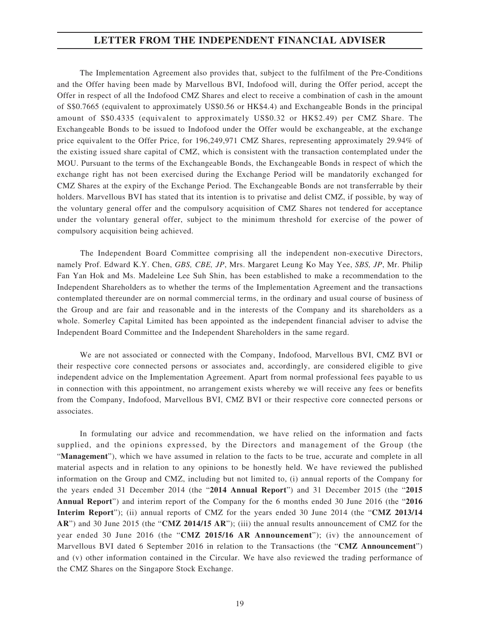The Implementation Agreement also provides that, subject to the fulfilment of the Pre-Conditions and the Offer having been made by Marvellous BVI, Indofood will, during the Offer period, accept the Offer in respect of all the Indofood CMZ Shares and elect to receive a combination of cash in the amount of S\$0.7665 (equivalent to approximately US\$0.56 or HK\$4.4) and Exchangeable Bonds in the principal amount of S\$0.4335 (equivalent to approximately US\$0.32 or HK\$2.49) per CMZ Share. The Exchangeable Bonds to be issued to Indofood under the Offer would be exchangeable, at the exchange price equivalent to the Offer Price, for 196,249,971 CMZ Shares, representing approximately 29.94% of the existing issued share capital of CMZ, which is consistent with the transaction contemplated under the MOU. Pursuant to the terms of the Exchangeable Bonds, the Exchangeable Bonds in respect of which the exchange right has not been exercised during the Exchange Period will be mandatorily exchanged for CMZ Shares at the expiry of the Exchange Period. The Exchangeable Bonds are not transferrable by their holders. Marvellous BVI has stated that its intention is to privatise and delist CMZ, if possible, by way of the voluntary general offer and the compulsory acquisition of CMZ Shares not tendered for acceptance under the voluntary general offer, subject to the minimum threshold for exercise of the power of compulsory acquisition being achieved.

The Independent Board Committee comprising all the independent non-executive Directors, namely Prof. Edward K.Y. Chen, *GBS, CBE, JP*, Mrs. Margaret Leung Ko May Yee, *SBS, JP*, Mr. Philip Fan Yan Hok and Ms. Madeleine Lee Suh Shin, has been established to make a recommendation to the Independent Shareholders as to whether the terms of the Implementation Agreement and the transactions contemplated thereunder are on normal commercial terms, in the ordinary and usual course of business of the Group and are fair and reasonable and in the interests of the Company and its shareholders as a whole. Somerley Capital Limited has been appointed as the independent financial adviser to advise the Independent Board Committee and the Independent Shareholders in the same regard.

We are not associated or connected with the Company, Indofood, Marvellous BVI, CMZ BVI or their respective core connected persons or associates and, accordingly, are considered eligible to give independent advice on the Implementation Agreement. Apart from normal professional fees payable to us in connection with this appointment, no arrangement exists whereby we will receive any fees or benefits from the Company, Indofood, Marvellous BVI, CMZ BVI or their respective core connected persons or associates.

In formulating our advice and recommendation, we have relied on the information and facts supplied, and the opinions expressed, by the Directors and management of the Group (the "**Management**"), which we have assumed in relation to the facts to be true, accurate and complete in all material aspects and in relation to any opinions to be honestly held. We have reviewed the published information on the Group and CMZ, including but not limited to, (i) annual reports of the Company for the years ended 31 December 2014 (the "**2014 Annual Report**") and 31 December 2015 (the "**2015 Annual Report**") and interim report of the Company for the 6 months ended 30 June 2016 (the "**2016 Interim Report**"); (ii) annual reports of CMZ for the years ended 30 June 2014 (the "**CMZ 2013/14 AR**") and 30 June 2015 (the "**CMZ 2014/15 AR**"); (iii) the annual results announcement of CMZ for the year ended 30 June 2016 (the "**CMZ 2015/16 AR Announcement**"); (iv) the announcement of Marvellous BVI dated 6 September 2016 in relation to the Transactions (the "**CMZ Announcement**") and (v) other information contained in the Circular. We have also reviewed the trading performance of the CMZ Shares on the Singapore Stock Exchange.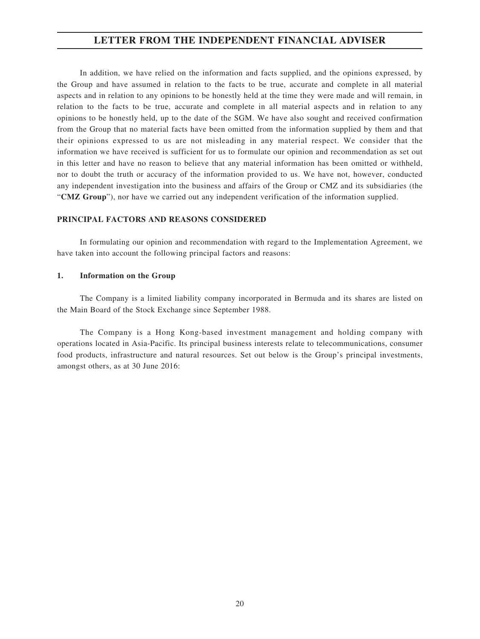In addition, we have relied on the information and facts supplied, and the opinions expressed, by the Group and have assumed in relation to the facts to be true, accurate and complete in all material aspects and in relation to any opinions to be honestly held at the time they were made and will remain, in relation to the facts to be true, accurate and complete in all material aspects and in relation to any opinions to be honestly held, up to the date of the SGM. We have also sought and received confirmation from the Group that no material facts have been omitted from the information supplied by them and that their opinions expressed to us are not misleading in any material respect. We consider that the information we have received is sufficient for us to formulate our opinion and recommendation as set out in this letter and have no reason to believe that any material information has been omitted or withheld, nor to doubt the truth or accuracy of the information provided to us. We have not, however, conducted any independent investigation into the business and affairs of the Group or CMZ and its subsidiaries (the "**CMZ Group**"), nor have we carried out any independent verification of the information supplied.

#### **PRINCIPAL FACTORS AND REASONS CONSIDERED**

In formulating our opinion and recommendation with regard to the Implementation Agreement, we have taken into account the following principal factors and reasons:

### **1. Information on the Group**

The Company is a limited liability company incorporated in Bermuda and its shares are listed on the Main Board of the Stock Exchange since September 1988.

The Company is a Hong Kong-based investment management and holding company with operations located in Asia-Pacific. Its principal business interests relate to telecommunications, consumer food products, infrastructure and natural resources. Set out below is the Group's principal investments, amongst others, as at 30 June 2016: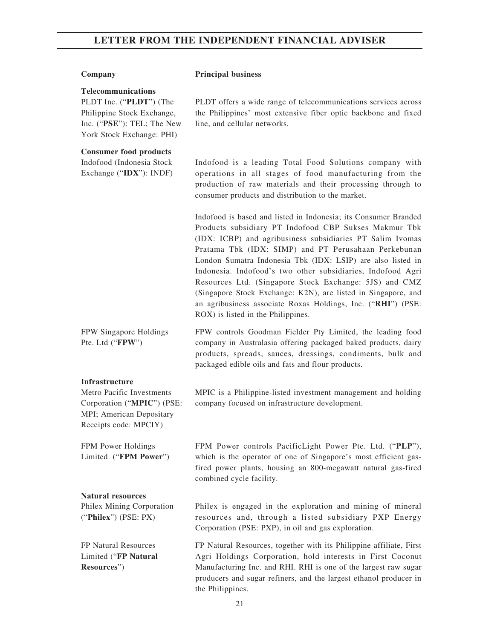#### **Company Principal business**

#### **Telecommunications**

PLDT Inc. ("**PLDT**") (The Philippine Stock Exchange, Inc. ("**PSE**"): TEL; The New York Stock Exchange: PHI)

#### **Consumer food products**

Indofood (Indonesia Stock Exchange ("**IDX**"): INDF) PLDT offers a wide range of telecommunications services across the Philippines' most extensive fiber optic backbone and fixed line, and cellular networks.

Indofood is a leading Total Food Solutions company with operations in all stages of food manufacturing from the production of raw materials and their processing through to consumer products and distribution to the market.

Indofood is based and listed in Indonesia; its Consumer Branded Products subsidiary PT Indofood CBP Sukses Makmur Tbk (IDX: ICBP) and agribusiness subsidiaries PT Salim Ivomas Pratama Tbk (IDX: SIMP) and PT Perusahaan Perkebunan London Sumatra Indonesia Tbk (IDX: LSIP) are also listed in Indonesia. Indofood's two other subsidiaries, Indofood Agri Resources Ltd. (Singapore Stock Exchange: 5JS) and CMZ (Singapore Stock Exchange: K2N), are listed in Singapore, and an agribusiness associate Roxas Holdings, Inc. ("**RHI**") (PSE: ROX) is listed in the Philippines.

FPW Singapore Holdings Pte. Ltd ("**FPW**") FPW controls Goodman Fielder Pty Limited, the leading food company in Australasia offering packaged baked products, dairy products, spreads, sauces, dressings, condiments, bulk and packaged edible oils and fats and flour products.

#### **Infrastructure**

Metro Pacific Investments Corporation ("**MPIC**") (PSE: MPI; American Depositary Receipts code: MPCIY)

FPM Power Holdings Limited ("**FPM Power**") MPIC is a Philippine-listed investment management and holding company focused on infrastructure development.

FPM Power controls PacificLight Power Pte. Ltd. ("**PLP**"), which is the operator of one of Singapore's most efficient gasfired power plants, housing an 800-megawatt natural gas-fired combined cycle facility.

#### **Natural resources**

Philex Mining Corporation ("**Philex**") (PSE: PX)

FP Natural Resources Limited ("**FP Natural Resources**")

Philex is engaged in the exploration and mining of mineral resources and, through a listed subsidiary PXP Energy Corporation (PSE: PXP), in oil and gas exploration.

FP Natural Resources, together with its Philippine affiliate, First Agri Holdings Corporation, hold interests in First Coconut Manufacturing Inc. and RHI. RHI is one of the largest raw sugar producers and sugar refiners, and the largest ethanol producer in the Philippines.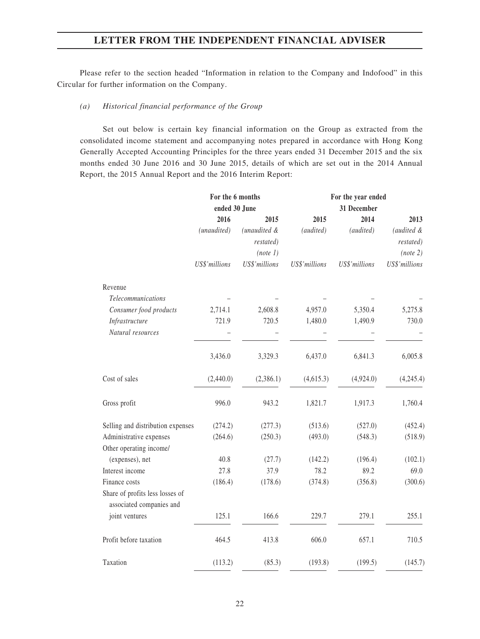Please refer to the section headed "Information in relation to the Company and Indofood" in this Circular for further information on the Company.

#### *(a) Historical financial performance of the Group*

Set out below is certain key financial information on the Group as extracted from the consolidated income statement and accompanying notes prepared in accordance with Hong Kong Generally Accepted Accounting Principles for the three years ended 31 December 2015 and the six months ended 30 June 2016 and 30 June 2015, details of which are set out in the 2014 Annual Report, the 2015 Annual Report and the 2016 Interim Report:

|                                                             |               | For the 6 months |               | For the year ended |               |
|-------------------------------------------------------------|---------------|------------------|---------------|--------------------|---------------|
|                                                             | ended 30 June |                  |               | 31 December        |               |
|                                                             | 2016          | 2015             | 2015          | 2014               | 2013          |
|                                                             | (unaudited)   | (unaudited &     | (audited)     | (audited)          | (audited &    |
|                                                             |               | restated)        |               |                    | restated)     |
|                                                             |               | (note 1)         |               |                    | (note 2)      |
|                                                             | US\$'millions | US\$'millions    | US\$'millions | US\$'millions      | US\$'millions |
| Revenue                                                     |               |                  |               |                    |               |
| Telecommunications                                          |               |                  |               |                    |               |
| Consumer food products                                      | 2,714.1       | 2,608.8          | 4,957.0       | 5,350.4            | 5,275.8       |
| Infrastructure                                              | 721.9         | 720.5            | 1,480.0       | 1,490.9            | 730.0         |
| Natural resources                                           |               |                  |               |                    |               |
|                                                             | 3,436.0       | 3,329.3          | 6,437.0       | 6,841.3            | 6,005.8       |
| Cost of sales                                               | (2,440.0)     | (2,386.1)        | (4,615.3)     | (4,924.0)          | (4,245.4)     |
| Gross profit                                                | 996.0         | 943.2            | 1,821.7       | 1,917.3            | 1,760.4       |
| Selling and distribution expenses                           | (274.2)       | (277.3)          | (513.6)       | (527.0)            | (452.4)       |
| Administrative expenses                                     | (264.6)       | (250.3)          | (493.0)       | (548.3)            | (518.9)       |
| Other operating income/                                     |               |                  |               |                    |               |
| (expenses), net                                             | 40.8          | (27.7)           | (142.2)       | (196.4)            | (102.1)       |
| Interest income                                             | 27.8          | 37.9             | 78.2          | 89.2               | 69.0          |
| Finance costs                                               | (186.4)       | (178.6)          | (374.8)       | (356.8)            | (300.6)       |
| Share of profits less losses of<br>associated companies and |               |                  |               |                    |               |
| joint ventures                                              | 125.1         | 166.6            | 229.7         | 279.1              | 255.1         |
| Profit before taxation                                      | 464.5         | 413.8            | 606.0         | 657.1              | 710.5         |
| Taxation                                                    | (113.2)       | (85.3)           | (193.8)       | (199.5)            | (145.7)       |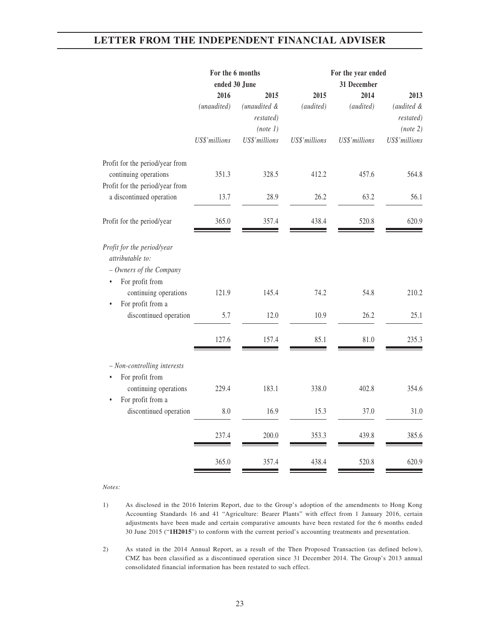|                                                                                                                                    | For the 6 months<br>ended 30 June |                                       |               | For the year ended<br>31 December |                                     |
|------------------------------------------------------------------------------------------------------------------------------------|-----------------------------------|---------------------------------------|---------------|-----------------------------------|-------------------------------------|
|                                                                                                                                    | 2016                              | 2015                                  | 2015          | 2014                              | 2013                                |
|                                                                                                                                    | (unaudited)                       | (unaudited &<br>restated)<br>(note 1) | (audited)     | (audited)                         | (audited &<br>restated)<br>(note 2) |
|                                                                                                                                    | US\$'millions                     | US\$'millions                         | US\$'millions | US\$'millions                     | US\$'millions                       |
| Profit for the period/year from<br>continuing operations                                                                           | 351.3                             | 328.5                                 | 412.2         | 457.6                             | 564.8                               |
| Profit for the period/year from<br>a discontinued operation                                                                        | 13.7                              | 28.9                                  | 26.2          | 63.2                              | 56.1                                |
| Profit for the period/year                                                                                                         | 365.0                             | 357.4                                 | 438.4         | 520.8                             | 620.9                               |
| Profit for the period/year<br>attributable to:<br>- Owners of the Company<br>For profit from<br>$\bullet$<br>continuing operations | 121.9                             | 145.4                                 | 74.2          | 54.8                              | 210.2                               |
| For profit from a<br>$\bullet$<br>discontinued operation                                                                           | 5.7                               | 12.0                                  | 10.9          | 26.2                              | 25.1                                |
|                                                                                                                                    | 127.6                             | 157.4                                 | 85.1          | 81.0                              | 235.3                               |
| - Non-controlling interests<br>For profit from<br>$\bullet$                                                                        |                                   |                                       |               |                                   |                                     |
| continuing operations<br>For profit from a<br>$\bullet$                                                                            | 229.4                             | 183.1                                 | 338.0         | 402.8                             | 354.6                               |
| discontinued operation                                                                                                             | 8.0                               | 16.9                                  | 15.3          | 37.0                              | 31.0                                |
|                                                                                                                                    | 237.4                             | 200.0                                 | 353.3         | 439.8                             | 385.6                               |
|                                                                                                                                    | 365.0                             | 357.4                                 | 438.4         | 520.8                             | 620.9                               |

*Notes:*

- 1) As disclosed in the 2016 Interim Report, due to the Group's adoption of the amendments to Hong Kong Accounting Standards 16 and 41 "Agriculture: Bearer Plants" with effect from 1 January 2016, certain adjustments have been made and certain comparative amounts have been restated for the 6 months ended 30 June 2015 ("**1H2015**") to conform with the current period's accounting treatments and presentation.
- 2) As stated in the 2014 Annual Report, as a result of the Then Proposed Transaction (as defined below), CMZ has been classified as a discontinued operation since 31 December 2014. The Group's 2013 annual consolidated financial information has been restated to such effect.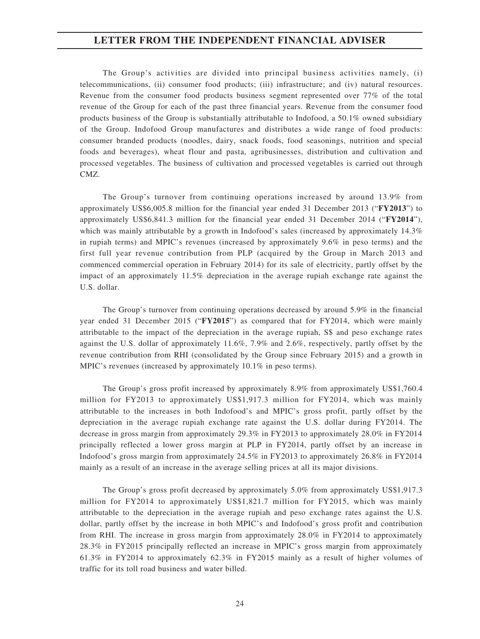The Group's activities are divided into principal business activities namely, (i) telecommunications, (ii) consumer food products; (iii) infrastructure; and (iv) natural resources. Revenue from the consumer food products business segment represented over 77% of the total revenue of the Group for each of the past three financial years. Revenue from the consumer food products business of the Group is substantially attributable to Indofood, a 50.1% owned subsidiary of the Group. Indofood Group manufactures and distributes a wide range of food products: consumer branded products (noodles, dairy, snack foods, food seasonings, nutrition and special foods and beverages), wheat flour and pasta, agribusinesses, distribution and cultivation and processed vegetables. The business of cultivation and processed vegetables is carried out through CMZ.

The Group's turnover from continuing operations increased by around 13.9% from approximately US\$6,005.8 million for the financial year ended 31 December 2013 ("**FY2013**") to approximately US\$6,841.3 million for the financial year ended 31 December 2014 ("**FY2014**"), which was mainly attributable by a growth in Indofood's sales (increased by approximately 14.3%) in rupiah terms) and MPIC's revenues (increased by approximately 9.6% in peso terms) and the first full year revenue contribution from PLP (acquired by the Group in March 2013 and commenced commercial operation in February 2014) for its sale of electricity, partly offset by the impact of an approximately 11.5% depreciation in the average rupiah exchange rate against the U.S. dollar.

The Group's turnover from continuing operations decreased by around 5.9% in the financial year ended 31 December 2015 ("**FY2015**") as compared that for FY2014, which were mainly attributable to the impact of the depreciation in the average rupiah, S\$ and peso exchange rates against the U.S. dollar of approximately 11.6%, 7.9% and 2.6%, respectively, partly offset by the revenue contribution from RHI (consolidated by the Group since February 2015) and a growth in MPIC's revenues (increased by approximately 10.1% in peso terms).

The Group's gross profit increased by approximately 8.9% from approximately US\$1,760.4 million for FY2013 to approximately US\$1,917.3 million for FY2014, which was mainly attributable to the increases in both Indofood's and MPIC's gross profit, partly offset by the depreciation in the average rupiah exchange rate against the U.S. dollar during FY2014. The decrease in gross margin from approximately 29.3% in FY2013 to approximately 28.0% in FY2014 principally reflected a lower gross margin at PLP in FY2014, partly offset by an increase in Indofood's gross margin from approximately 24.5% in FY2013 to approximately 26.8% in FY2014 mainly as a result of an increase in the average selling prices at all its major divisions.

The Group's gross profit decreased by approximately 5.0% from approximately US\$1,917.3 million for FY2014 to approximately US\$1,821.7 million for FY2015, which was mainly attributable to the depreciation in the average rupiah and peso exchange rates against the U.S. dollar, partly offset by the increase in both MPIC's and Indofood's gross profit and contribution from RHI. The increase in gross margin from approximately 28.0% in FY2014 to approximately 28.3% in FY2015 principally reflected an increase in MPIC's gross margin from approximately 61.3% in FY2014 to approximately 62.3% in FY2015 mainly as a result of higher volumes of traffic for its toll road business and water billed.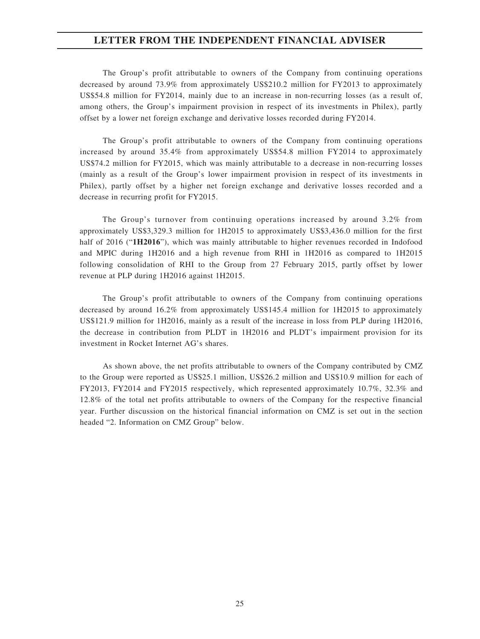The Group's profit attributable to owners of the Company from continuing operations decreased by around 73.9% from approximately US\$210.2 million for FY2013 to approximately US\$54.8 million for FY2014, mainly due to an increase in non-recurring losses (as a result of, among others, the Group's impairment provision in respect of its investments in Philex), partly offset by a lower net foreign exchange and derivative losses recorded during FY2014.

The Group's profit attributable to owners of the Company from continuing operations increased by around 35.4% from approximately US\$54.8 million FY2014 to approximately US\$74.2 million for FY2015, which was mainly attributable to a decrease in non-recurring losses (mainly as a result of the Group's lower impairment provision in respect of its investments in Philex), partly offset by a higher net foreign exchange and derivative losses recorded and a decrease in recurring profit for FY2015.

The Group's turnover from continuing operations increased by around 3.2% from approximately US\$3,329.3 million for 1H2015 to approximately US\$3,436.0 million for the first half of 2016 ("**1H2016**"), which was mainly attributable to higher revenues recorded in Indofood and MPIC during 1H2016 and a high revenue from RHI in 1H2016 as compared to 1H2015 following consolidation of RHI to the Group from 27 February 2015, partly offset by lower revenue at PLP during 1H2016 against 1H2015.

The Group's profit attributable to owners of the Company from continuing operations decreased by around 16.2% from approximately US\$145.4 million for 1H2015 to approximately US\$121.9 million for 1H2016, mainly as a result of the increase in loss from PLP during 1H2016, the decrease in contribution from PLDT in 1H2016 and PLDT's impairment provision for its investment in Rocket Internet AG's shares.

As shown above, the net profits attributable to owners of the Company contributed by CMZ to the Group were reported as US\$25.1 million, US\$26.2 million and US\$10.9 million for each of FY2013, FY2014 and FY2015 respectively, which represented approximately 10.7%, 32.3% and 12.8% of the total net profits attributable to owners of the Company for the respective financial year. Further discussion on the historical financial information on CMZ is set out in the section headed "2. Information on CMZ Group" below.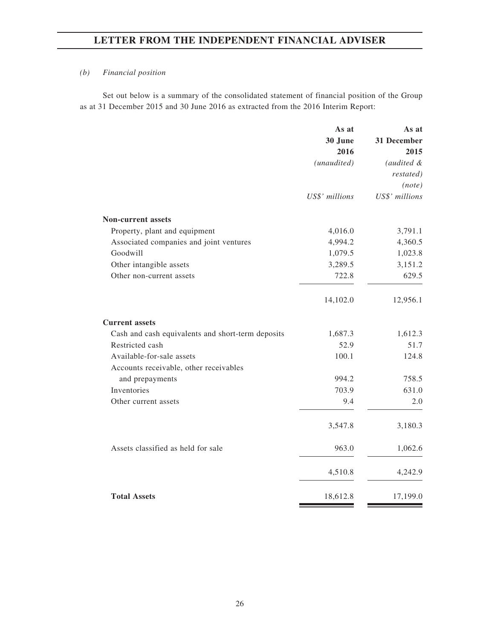### *(b) Financial position*

Set out below is a summary of the consolidated statement of financial position of the Group as at 31 December 2015 and 30 June 2016 as extracted from the 2016 Interim Report:

|                                                   | As at          | As at          |
|---------------------------------------------------|----------------|----------------|
|                                                   | 30 June        | 31 December    |
|                                                   | 2016           | 2015           |
|                                                   | (unaudited)    | (audited &     |
|                                                   |                | restated)      |
|                                                   |                | (note)         |
|                                                   | US\$' millions | US\$' millions |
| <b>Non-current assets</b>                         |                |                |
| Property, plant and equipment                     | 4,016.0        | 3,791.1        |
| Associated companies and joint ventures           | 4,994.2        | 4,360.5        |
| Goodwill                                          | 1,079.5        | 1,023.8        |
| Other intangible assets                           | 3,289.5        | 3,151.2        |
| Other non-current assets                          | 722.8          | 629.5          |
|                                                   | 14,102.0       | 12,956.1       |
| <b>Current assets</b>                             |                |                |
| Cash and cash equivalents and short-term deposits | 1,687.3        | 1,612.3        |
| Restricted cash                                   | 52.9           | 51.7           |
| Available-for-sale assets                         | 100.1          | 124.8          |
| Accounts receivable, other receivables            |                |                |
| and prepayments                                   | 994.2          | 758.5          |
| Inventories                                       | 703.9          | 631.0          |
| Other current assets                              | 9.4            | 2.0            |
|                                                   | 3,547.8        | 3,180.3        |
| Assets classified as held for sale                | 963.0          | 1,062.6        |
|                                                   | 4,510.8        | 4,242.9        |
| <b>Total Assets</b>                               | 18,612.8       | 17,199.0       |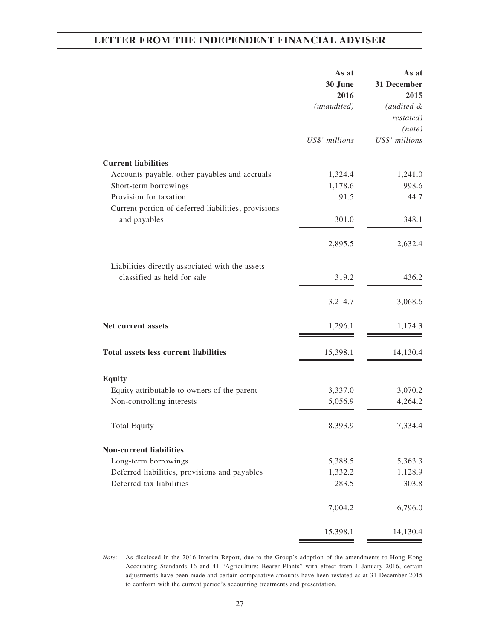|                                                     | As at<br>30 June<br>2016<br>(unaudited) | As at<br>31 December<br>2015<br>(audited &<br>restated) |
|-----------------------------------------------------|-----------------------------------------|---------------------------------------------------------|
|                                                     |                                         | (note)                                                  |
|                                                     | US\$' millions                          | US\$' millions                                          |
| <b>Current liabilities</b>                          |                                         |                                                         |
| Accounts payable, other payables and accruals       | 1,324.4                                 | 1,241.0                                                 |
| Short-term borrowings                               | 1,178.6                                 | 998.6                                                   |
| Provision for taxation                              | 91.5                                    | 44.7                                                    |
| Current portion of deferred liabilities, provisions |                                         |                                                         |
| and payables                                        | 301.0                                   | 348.1                                                   |
|                                                     | 2,895.5                                 | 2,632.4                                                 |
| Liabilities directly associated with the assets     |                                         |                                                         |
| classified as held for sale                         | 319.2                                   | 436.2                                                   |
|                                                     | 3,214.7                                 | 3,068.6                                                 |
| Net current assets                                  | 1,296.1                                 | 1,174.3                                                 |
| <b>Total assets less current liabilities</b>        | 15,398.1                                | 14,130.4                                                |
| <b>Equity</b>                                       |                                         |                                                         |
| Equity attributable to owners of the parent         | 3,337.0                                 | 3,070.2                                                 |
| Non-controlling interests                           | 5,056.9                                 | 4,264.2                                                 |
| <b>Total Equity</b>                                 | 8,393.9                                 | 7,334.4                                                 |
| <b>Non-current liabilities</b>                      |                                         |                                                         |
| Long-term borrowings                                | 5,388.5                                 | 5,363.3                                                 |
| Deferred liabilities, provisions and payables       | 1,332.2                                 | 1,128.9                                                 |
| Deferred tax liabilities                            | 283.5                                   | 303.8                                                   |
|                                                     | 7,004.2                                 | 6,796.0                                                 |
|                                                     | 15,398.1                                | 14,130.4                                                |

*Note:* As disclosed in the 2016 Interim Report, due to the Group's adoption of the amendments to Hong Kong Accounting Standards 16 and 41 "Agriculture: Bearer Plants" with effect from 1 January 2016, certain adjustments have been made and certain comparative amounts have been restated as at 31 December 2015 to conform with the current period's accounting treatments and presentation.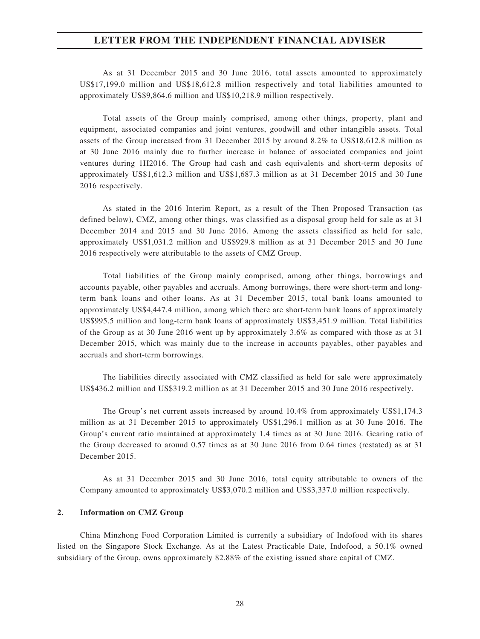As at 31 December 2015 and 30 June 2016, total assets amounted to approximately US\$17,199.0 million and US\$18,612.8 million respectively and total liabilities amounted to approximately US\$9,864.6 million and US\$10,218.9 million respectively.

Total assets of the Group mainly comprised, among other things, property, plant and equipment, associated companies and joint ventures, goodwill and other intangible assets. Total assets of the Group increased from 31 December 2015 by around 8.2% to US\$18,612.8 million as at 30 June 2016 mainly due to further increase in balance of associated companies and joint ventures during 1H2016. The Group had cash and cash equivalents and short-term deposits of approximately US\$1,612.3 million and US\$1,687.3 million as at 31 December 2015 and 30 June 2016 respectively.

As stated in the 2016 Interim Report, as a result of the Then Proposed Transaction (as defined below), CMZ, among other things, was classified as a disposal group held for sale as at 31 December 2014 and 2015 and 30 June 2016. Among the assets classified as held for sale, approximately US\$1,031.2 million and US\$929.8 million as at 31 December 2015 and 30 June 2016 respectively were attributable to the assets of CMZ Group.

Total liabilities of the Group mainly comprised, among other things, borrowings and accounts payable, other payables and accruals. Among borrowings, there were short-term and longterm bank loans and other loans. As at 31 December 2015, total bank loans amounted to approximately US\$4,447.4 million, among which there are short-term bank loans of approximately US\$995.5 million and long-term bank loans of approximately US\$3,451.9 million. Total liabilities of the Group as at 30 June 2016 went up by approximately 3.6% as compared with those as at 31 December 2015, which was mainly due to the increase in accounts payables, other payables and accruals and short-term borrowings.

The liabilities directly associated with CMZ classified as held for sale were approximately US\$436.2 million and US\$319.2 million as at 31 December 2015 and 30 June 2016 respectively.

The Group's net current assets increased by around 10.4% from approximately US\$1,174.3 million as at 31 December 2015 to approximately US\$1,296.1 million as at 30 June 2016. The Group's current ratio maintained at approximately 1.4 times as at 30 June 2016. Gearing ratio of the Group decreased to around 0.57 times as at 30 June 2016 from 0.64 times (restated) as at 31 December 2015.

As at 31 December 2015 and 30 June 2016, total equity attributable to owners of the Company amounted to approximately US\$3,070.2 million and US\$3,337.0 million respectively.

#### **2. Information on CMZ Group**

China Minzhong Food Corporation Limited is currently a subsidiary of Indofood with its shares listed on the Singapore Stock Exchange. As at the Latest Practicable Date, Indofood, a 50.1% owned subsidiary of the Group, owns approximately 82.88% of the existing issued share capital of CMZ.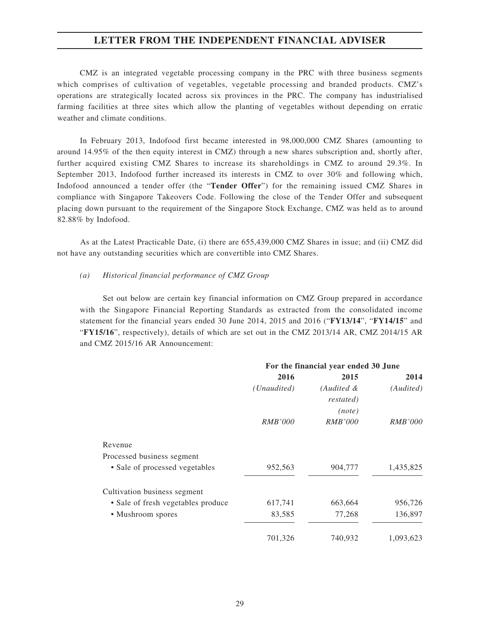CMZ is an integrated vegetable processing company in the PRC with three business segments which comprises of cultivation of vegetables, vegetable processing and branded products. CMZ's operations are strategically located across six provinces in the PRC. The company has industrialised farming facilities at three sites which allow the planting of vegetables without depending on erratic weather and climate conditions.

In February 2013, Indofood first became interested in 98,000,000 CMZ Shares (amounting to around 14.95% of the then equity interest in CMZ) through a new shares subscription and, shortly after, further acquired existing CMZ Shares to increase its shareholdings in CMZ to around 29.3%. In September 2013, Indofood further increased its interests in CMZ to over 30% and following which, Indofood announced a tender offer (the "**Tender Offer**") for the remaining issued CMZ Shares in compliance with Singapore Takeovers Code. Following the close of the Tender Offer and subsequent placing down pursuant to the requirement of the Singapore Stock Exchange, CMZ was held as to around 82.88% by Indofood.

As at the Latest Practicable Date, (i) there are 655,439,000 CMZ Shares in issue; and (ii) CMZ did not have any outstanding securities which are convertible into CMZ Shares.

#### *(a) Historical financial performance of CMZ Group*

Set out below are certain key financial information on CMZ Group prepared in accordance with the Singapore Financial Reporting Standards as extracted from the consolidated income statement for the financial years ended 30 June 2014, 2015 and 2016 ("**FY13/14**", "**FY14/15**" and "**FY15/16**", respectively), details of which are set out in the CMZ 2013/14 AR, CMZ 2014/15 AR and CMZ 2015/16 AR Announcement:

|                                    | For the financial year ended 30 June |                |                |
|------------------------------------|--------------------------------------|----------------|----------------|
|                                    | 2016                                 | 2015           | 2014           |
|                                    | (Unaudited)                          | (Audited &     | (Audited)      |
|                                    |                                      | restated)      |                |
|                                    |                                      | (note)         |                |
|                                    | <b>RMB'000</b>                       | <i>RMB'000</i> | <i>RMB'000</i> |
| Revenue                            |                                      |                |                |
| Processed business segment         |                                      |                |                |
| • Sale of processed vegetables     | 952,563                              | 904,777        | 1,435,825      |
| Cultivation business segment       |                                      |                |                |
| • Sale of fresh vegetables produce | 617,741                              | 663,664        | 956,726        |
| • Mushroom spores                  | 83,585                               | 77,268         | 136,897        |
|                                    | 701,326                              | 740,932        | 1,093,623      |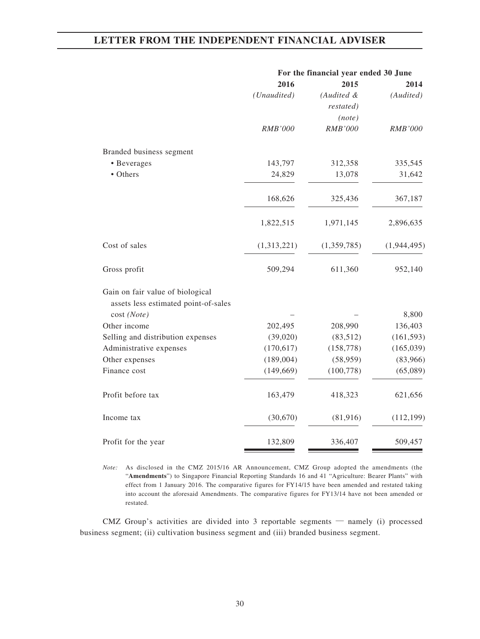|                                      | For the financial year ended 30 June |                |                |  |
|--------------------------------------|--------------------------------------|----------------|----------------|--|
|                                      | 2016                                 | 2015           | 2014           |  |
|                                      | (Unaudited)                          | (Audited &     | (Audited)      |  |
|                                      |                                      | restated)      |                |  |
|                                      |                                      | (note)         |                |  |
|                                      | <b>RMB'000</b>                       | <b>RMB'000</b> | <b>RMB'000</b> |  |
| Branded business segment             |                                      |                |                |  |
| • Beverages                          | 143,797                              | 312,358        | 335,545        |  |
| • Others                             | 24,829                               | 13,078         | 31,642         |  |
|                                      | 168,626                              | 325,436        | 367,187        |  |
|                                      | 1,822,515                            | 1,971,145      | 2,896,635      |  |
| Cost of sales                        | (1,313,221)                          | (1,359,785)    | (1,944,495)    |  |
| Gross profit                         | 509,294                              | 611,360        | 952,140        |  |
| Gain on fair value of biological     |                                      |                |                |  |
| assets less estimated point-of-sales |                                      |                |                |  |
| cost (Note)                          |                                      |                | 8,800          |  |
| Other income                         | 202,495                              | 208,990        | 136,403        |  |
| Selling and distribution expenses    | (39,020)                             | (83,512)       | (161, 593)     |  |
| Administrative expenses              | (170, 617)                           | (158, 778)     | (165, 039)     |  |
| Other expenses                       | (189,004)                            | (58, 959)      | (83,966)       |  |
| Finance cost                         | (149, 669)                           | (100, 778)     | (65,089)       |  |
| Profit before tax                    | 163,479                              | 418,323        | 621,656        |  |
| Income tax                           | (30,670)                             | (81,916)       | (112, 199)     |  |
| Profit for the year                  | 132,809                              | 336,407        | 509,457        |  |

*Note:* As disclosed in the CMZ 2015/16 AR Announcement, CMZ Group adopted the amendments (the "**Amendments**") to Singapore Financial Reporting Standards 16 and 41 "Agriculture: Bearer Plants" with effect from 1 January 2016. The comparative figures for FY14/15 have been amended and restated taking into account the aforesaid Amendments. The comparative figures for FY13/14 have not been amended or restated.

CMZ Group's activities are divided into 3 reportable segments — namely (i) processed business segment; (ii) cultivation business segment and (iii) branded business segment.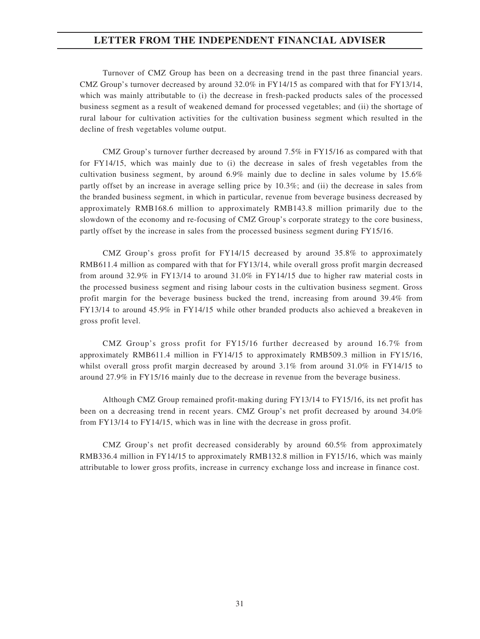Turnover of CMZ Group has been on a decreasing trend in the past three financial years. CMZ Group's turnover decreased by around 32.0% in FY14/15 as compared with that for FY13/14, which was mainly attributable to (i) the decrease in fresh-packed products sales of the processed business segment as a result of weakened demand for processed vegetables; and (ii) the shortage of rural labour for cultivation activities for the cultivation business segment which resulted in the decline of fresh vegetables volume output.

CMZ Group's turnover further decreased by around 7.5% in FY15/16 as compared with that for FY14/15, which was mainly due to (i) the decrease in sales of fresh vegetables from the cultivation business segment, by around 6.9% mainly due to decline in sales volume by 15.6% partly offset by an increase in average selling price by 10.3%; and (ii) the decrease in sales from the branded business segment, in which in particular, revenue from beverage business decreased by approximately RMB168.6 million to approximately RMB143.8 million primarily due to the slowdown of the economy and re-focusing of CMZ Group's corporate strategy to the core business, partly offset by the increase in sales from the processed business segment during FY15/16.

CMZ Group's gross profit for FY14/15 decreased by around 35.8% to approximately RMB611.4 million as compared with that for FY13/14, while overall gross profit margin decreased from around 32.9% in FY13/14 to around 31.0% in FY14/15 due to higher raw material costs in the processed business segment and rising labour costs in the cultivation business segment. Gross profit margin for the beverage business bucked the trend, increasing from around 39.4% from FY13/14 to around 45.9% in FY14/15 while other branded products also achieved a breakeven in gross profit level.

CMZ Group's gross profit for FY15/16 further decreased by around 16.7% from approximately RMB611.4 million in FY14/15 to approximately RMB509.3 million in FY15/16, whilst overall gross profit margin decreased by around 3.1% from around 31.0% in FY14/15 to around 27.9% in FY15/16 mainly due to the decrease in revenue from the beverage business.

Although CMZ Group remained profit-making during FY13/14 to FY15/16, its net profit has been on a decreasing trend in recent years. CMZ Group's net profit decreased by around 34.0% from FY13/14 to FY14/15, which was in line with the decrease in gross profit.

CMZ Group's net profit decreased considerably by around 60.5% from approximately RMB336.4 million in FY14/15 to approximately RMB132.8 million in FY15/16, which was mainly attributable to lower gross profits, increase in currency exchange loss and increase in finance cost.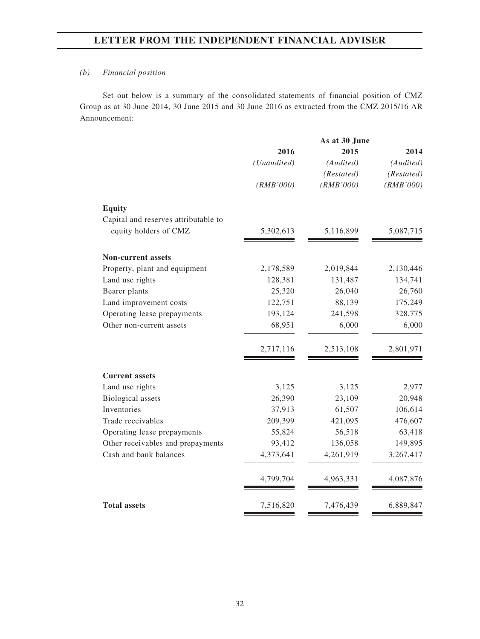### *(b) Financial position*

Set out below is a summary of the consolidated statements of financial position of CMZ Group as at 30 June 2014, 30 June 2015 and 30 June 2016 as extracted from the CMZ 2015/16 AR Announcement:

|                                      |             | As at 30 June |            |
|--------------------------------------|-------------|---------------|------------|
|                                      | 2016        | 2015          | 2014       |
|                                      | (Unaudited) | (Audited)     | (Audited)  |
|                                      |             | (Restated)    | (Restated) |
|                                      | (RMB'000)   | (RMB'000)     | (RMB'000)  |
| <b>Equity</b>                        |             |               |            |
| Capital and reserves attributable to |             |               |            |
| equity holders of CMZ                | 5,302,613   | 5,116,899     | 5,087,715  |
|                                      |             |               |            |
| <b>Non-current assets</b>            |             |               |            |
| Property, plant and equipment        | 2,178,589   | 2,019,844     | 2,130,446  |
| Land use rights                      | 128,381     | 131,487       | 134,741    |
| Bearer plants                        | 25,320      | 26,040        | 26,760     |
| Land improvement costs               | 122,751     | 88,139        | 175,249    |
| Operating lease prepayments          | 193,124     | 241,598       | 328,775    |
| Other non-current assets             | 68,951      | 6,000         | 6,000      |
|                                      | 2,717,116   | 2,513,108     | 2,801,971  |
| <b>Current assets</b>                |             |               |            |
| Land use rights                      | 3,125       | 3,125         | 2,977      |
| <b>Biological</b> assets             | 26,390      | 23,109        | 20,948     |
| Inventories                          | 37,913      | 61,507        | 106,614    |
| Trade receivables                    | 209,399     | 421,095       | 476,607    |
| Operating lease prepayments          | 55,824      | 56,518        | 63,418     |
| Other receivables and prepayments    | 93,412      | 136,058       | 149,895    |
| Cash and bank balances               | 4,373,641   | 4,261,919     | 3,267,417  |
|                                      | 4,799,704   | 4,963,331     | 4,087,876  |
| <b>Total assets</b>                  | 7,516,820   | 7,476,439     | 6,889,847  |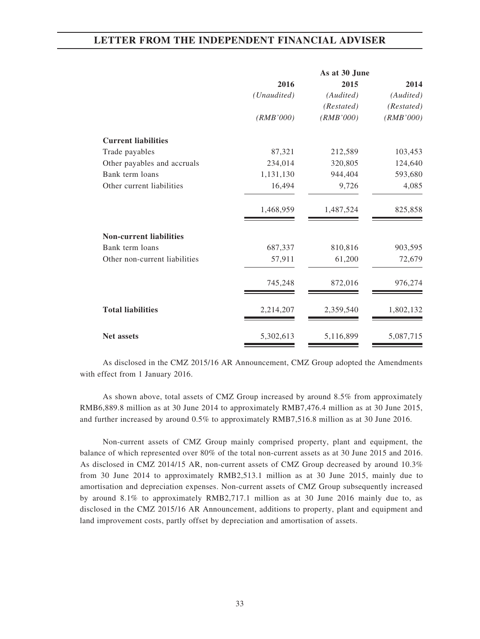|                                |             | As at 30 June |            |
|--------------------------------|-------------|---------------|------------|
|                                | 2016        | 2015          | 2014       |
|                                | (Unaudited) | (Audited)     | (Audited)  |
|                                |             | (Restated)    | (Restated) |
|                                | (RMB'000)   | (RMB'000)     | (RMB'000)  |
| <b>Current liabilities</b>     |             |               |            |
| Trade payables                 | 87,321      | 212,589       | 103,453    |
| Other payables and accruals    | 234,014     | 320,805       | 124,640    |
| Bank term loans                | 1,131,130   | 944,404       | 593,680    |
| Other current liabilities      | 16,494      | 9,726         | 4,085      |
|                                | 1,468,959   | 1,487,524     | 825,858    |
| <b>Non-current liabilities</b> |             |               |            |
| Bank term loans                | 687,337     | 810,816       | 903,595    |
| Other non-current liabilities  | 57,911      | 61,200        | 72,679     |
|                                | 745,248     | 872,016       | 976,274    |
| <b>Total liabilities</b>       | 2,214,207   | 2,359,540     | 1,802,132  |
| <b>Net assets</b>              | 5,302,613   | 5,116,899     | 5,087,715  |

As disclosed in the CMZ 2015/16 AR Announcement, CMZ Group adopted the Amendments with effect from 1 January 2016.

As shown above, total assets of CMZ Group increased by around 8.5% from approximately RMB6,889.8 million as at 30 June 2014 to approximately RMB7,476.4 million as at 30 June 2015, and further increased by around 0.5% to approximately RMB7,516.8 million as at 30 June 2016.

Non-current assets of CMZ Group mainly comprised property, plant and equipment, the balance of which represented over 80% of the total non-current assets as at 30 June 2015 and 2016. As disclosed in CMZ 2014/15 AR, non-current assets of CMZ Group decreased by around 10.3% from 30 June 2014 to approximately RMB2,513.1 million as at 30 June 2015, mainly due to amortisation and depreciation expenses. Non-current assets of CMZ Group subsequently increased by around 8.1% to approximately RMB2,717.1 million as at 30 June 2016 mainly due to, as disclosed in the CMZ 2015/16 AR Announcement, additions to property, plant and equipment and land improvement costs, partly offset by depreciation and amortisation of assets.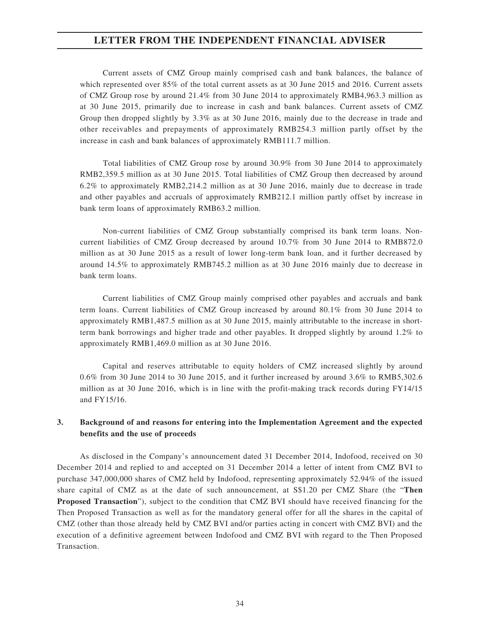Current assets of CMZ Group mainly comprised cash and bank balances, the balance of which represented over 85% of the total current assets as at 30 June 2015 and 2016. Current assets of CMZ Group rose by around 21.4% from 30 June 2014 to approximately RMB4,963.3 million as at 30 June 2015, primarily due to increase in cash and bank balances. Current assets of CMZ Group then dropped slightly by 3.3% as at 30 June 2016, mainly due to the decrease in trade and other receivables and prepayments of approximately RMB254.3 million partly offset by the increase in cash and bank balances of approximately RMB111.7 million.

Total liabilities of CMZ Group rose by around 30.9% from 30 June 2014 to approximately RMB2,359.5 million as at 30 June 2015. Total liabilities of CMZ Group then decreased by around 6.2% to approximately RMB2,214.2 million as at 30 June 2016, mainly due to decrease in trade and other payables and accruals of approximately RMB212.1 million partly offset by increase in bank term loans of approximately RMB63.2 million.

Non-current liabilities of CMZ Group substantially comprised its bank term loans. Noncurrent liabilities of CMZ Group decreased by around 10.7% from 30 June 2014 to RMB872.0 million as at 30 June 2015 as a result of lower long-term bank loan, and it further decreased by around 14.5% to approximately RMB745.2 million as at 30 June 2016 mainly due to decrease in bank term loans.

Current liabilities of CMZ Group mainly comprised other payables and accruals and bank term loans. Current liabilities of CMZ Group increased by around 80.1% from 30 June 2014 to approximately RMB1,487.5 million as at 30 June 2015, mainly attributable to the increase in shortterm bank borrowings and higher trade and other payables. It dropped slightly by around 1.2% to approximately RMB1,469.0 million as at 30 June 2016.

Capital and reserves attributable to equity holders of CMZ increased slightly by around 0.6% from 30 June 2014 to 30 June 2015, and it further increased by around 3.6% to RMB5,302.6 million as at 30 June 2016, which is in line with the profit-making track records during FY14/15 and FY15/16.

## **3. Background of and reasons for entering into the Implementation Agreement and the expected benefits and the use of proceeds**

As disclosed in the Company's announcement dated 31 December 2014, Indofood, received on 30 December 2014 and replied to and accepted on 31 December 2014 a letter of intent from CMZ BVI to purchase 347,000,000 shares of CMZ held by Indofood, representing approximately 52.94% of the issued share capital of CMZ as at the date of such announcement, at S\$1.20 per CMZ Share (the "**Then Proposed Transaction**"), subject to the condition that CMZ BVI should have received financing for the Then Proposed Transaction as well as for the mandatory general offer for all the shares in the capital of CMZ (other than those already held by CMZ BVI and/or parties acting in concert with CMZ BVI) and the execution of a definitive agreement between Indofood and CMZ BVI with regard to the Then Proposed Transaction.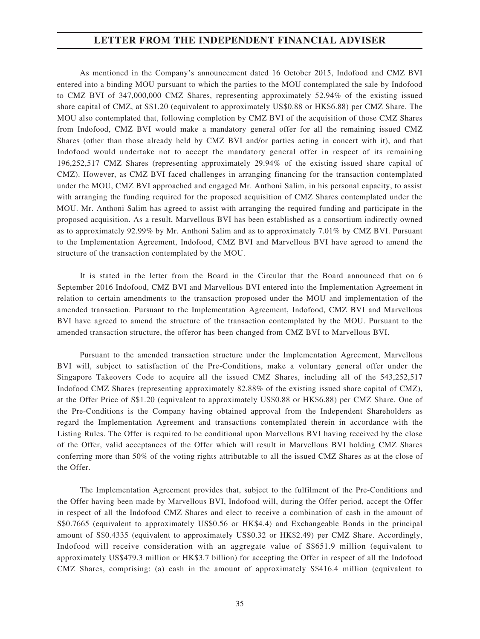As mentioned in the Company's announcement dated 16 October 2015, Indofood and CMZ BVI entered into a binding MOU pursuant to which the parties to the MOU contemplated the sale by Indofood to CMZ BVI of 347,000,000 CMZ Shares, representing approximately 52.94% of the existing issued share capital of CMZ, at S\$1.20 (equivalent to approximately US\$0.88 or HK\$6.88) per CMZ Share. The MOU also contemplated that, following completion by CMZ BVI of the acquisition of those CMZ Shares from Indofood, CMZ BVI would make a mandatory general offer for all the remaining issued CMZ Shares (other than those already held by CMZ BVI and/or parties acting in concert with it), and that Indofood would undertake not to accept the mandatory general offer in respect of its remaining 196,252,517 CMZ Shares (representing approximately 29.94% of the existing issued share capital of CMZ). However, as CMZ BVI faced challenges in arranging financing for the transaction contemplated under the MOU, CMZ BVI approached and engaged Mr. Anthoni Salim, in his personal capacity, to assist with arranging the funding required for the proposed acquisition of CMZ Shares contemplated under the MOU. Mr. Anthoni Salim has agreed to assist with arranging the required funding and participate in the proposed acquisition. As a result, Marvellous BVI has been established as a consortium indirectly owned as to approximately 92.99% by Mr. Anthoni Salim and as to approximately 7.01% by CMZ BVI. Pursuant to the Implementation Agreement, Indofood, CMZ BVI and Marvellous BVI have agreed to amend the structure of the transaction contemplated by the MOU.

It is stated in the letter from the Board in the Circular that the Board announced that on 6 September 2016 Indofood, CMZ BVI and Marvellous BVI entered into the Implementation Agreement in relation to certain amendments to the transaction proposed under the MOU and implementation of the amended transaction. Pursuant to the Implementation Agreement, Indofood, CMZ BVI and Marvellous BVI have agreed to amend the structure of the transaction contemplated by the MOU. Pursuant to the amended transaction structure, the offeror has been changed from CMZ BVI to Marvellous BVI.

Pursuant to the amended transaction structure under the Implementation Agreement, Marvellous BVI will, subject to satisfaction of the Pre-Conditions, make a voluntary general offer under the Singapore Takeovers Code to acquire all the issued CMZ Shares, including all of the 543,252,517 Indofood CMZ Shares (representing approximately 82.88% of the existing issued share capital of CMZ), at the Offer Price of S\$1.20 (equivalent to approximately US\$0.88 or HK\$6.88) per CMZ Share. One of the Pre-Conditions is the Company having obtained approval from the Independent Shareholders as regard the Implementation Agreement and transactions contemplated therein in accordance with the Listing Rules. The Offer is required to be conditional upon Marvellous BVI having received by the close of the Offer, valid acceptances of the Offer which will result in Marvellous BVI holding CMZ Shares conferring more than 50% of the voting rights attributable to all the issued CMZ Shares as at the close of the Offer.

The Implementation Agreement provides that, subject to the fulfilment of the Pre-Conditions and the Offer having been made by Marvellous BVI, Indofood will, during the Offer period, accept the Offer in respect of all the Indofood CMZ Shares and elect to receive a combination of cash in the amount of S\$0.7665 (equivalent to approximately US\$0.56 or HK\$4.4) and Exchangeable Bonds in the principal amount of S\$0.4335 (equivalent to approximately US\$0.32 or HK\$2.49) per CMZ Share. Accordingly, Indofood will receive consideration with an aggregate value of S\$651.9 million (equivalent to approximately US\$479.3 million or HK\$3.7 billion) for accepting the Offer in respect of all the Indofood CMZ Shares, comprising: (a) cash in the amount of approximately S\$416.4 million (equivalent to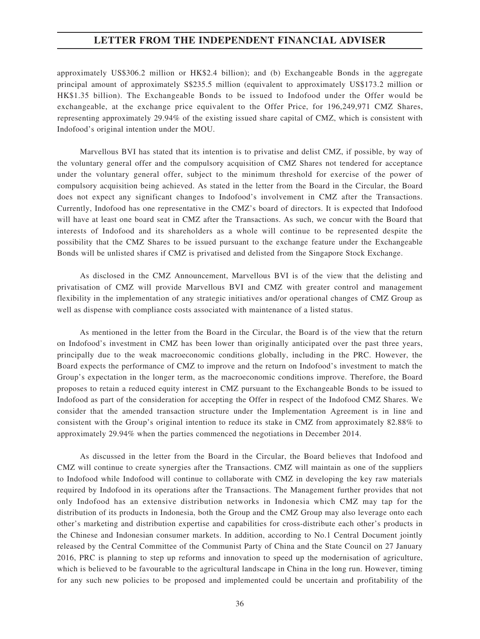approximately US\$306.2 million or HK\$2.4 billion); and (b) Exchangeable Bonds in the aggregate principal amount of approximately S\$235.5 million (equivalent to approximately US\$173.2 million or HK\$1.35 billion). The Exchangeable Bonds to be issued to Indofood under the Offer would be exchangeable, at the exchange price equivalent to the Offer Price, for 196,249,971 CMZ Shares, representing approximately 29.94% of the existing issued share capital of CMZ, which is consistent with Indofood's original intention under the MOU.

Marvellous BVI has stated that its intention is to privatise and delist CMZ, if possible, by way of the voluntary general offer and the compulsory acquisition of CMZ Shares not tendered for acceptance under the voluntary general offer, subject to the minimum threshold for exercise of the power of compulsory acquisition being achieved. As stated in the letter from the Board in the Circular, the Board does not expect any significant changes to Indofood's involvement in CMZ after the Transactions. Currently, Indofood has one representative in the CMZ's board of directors. It is expected that Indofood will have at least one board seat in CMZ after the Transactions. As such, we concur with the Board that interests of Indofood and its shareholders as a whole will continue to be represented despite the possibility that the CMZ Shares to be issued pursuant to the exchange feature under the Exchangeable Bonds will be unlisted shares if CMZ is privatised and delisted from the Singapore Stock Exchange.

As disclosed in the CMZ Announcement, Marvellous BVI is of the view that the delisting and privatisation of CMZ will provide Marvellous BVI and CMZ with greater control and management flexibility in the implementation of any strategic initiatives and/or operational changes of CMZ Group as well as dispense with compliance costs associated with maintenance of a listed status.

As mentioned in the letter from the Board in the Circular, the Board is of the view that the return on Indofood's investment in CMZ has been lower than originally anticipated over the past three years, principally due to the weak macroeconomic conditions globally, including in the PRC. However, the Board expects the performance of CMZ to improve and the return on Indofood's investment to match the Group's expectation in the longer term, as the macroeconomic conditions improve. Therefore, the Board proposes to retain a reduced equity interest in CMZ pursuant to the Exchangeable Bonds to be issued to Indofood as part of the consideration for accepting the Offer in respect of the Indofood CMZ Shares. We consider that the amended transaction structure under the Implementation Agreement is in line and consistent with the Group's original intention to reduce its stake in CMZ from approximately 82.88% to approximately 29.94% when the parties commenced the negotiations in December 2014.

As discussed in the letter from the Board in the Circular, the Board believes that Indofood and CMZ will continue to create synergies after the Transactions. CMZ will maintain as one of the suppliers to Indofood while Indofood will continue to collaborate with CMZ in developing the key raw materials required by Indofood in its operations after the Transactions. The Management further provides that not only Indofood has an extensive distribution networks in Indonesia which CMZ may tap for the distribution of its products in Indonesia, both the Group and the CMZ Group may also leverage onto each other's marketing and distribution expertise and capabilities for cross-distribute each other's products in the Chinese and Indonesian consumer markets. In addition, according to No.1 Central Document jointly released by the Central Committee of the Communist Party of China and the State Council on 27 January 2016, PRC is planning to step up reforms and innovation to speed up the modernisation of agriculture, which is believed to be favourable to the agricultural landscape in China in the long run. However, timing for any such new policies to be proposed and implemented could be uncertain and profitability of the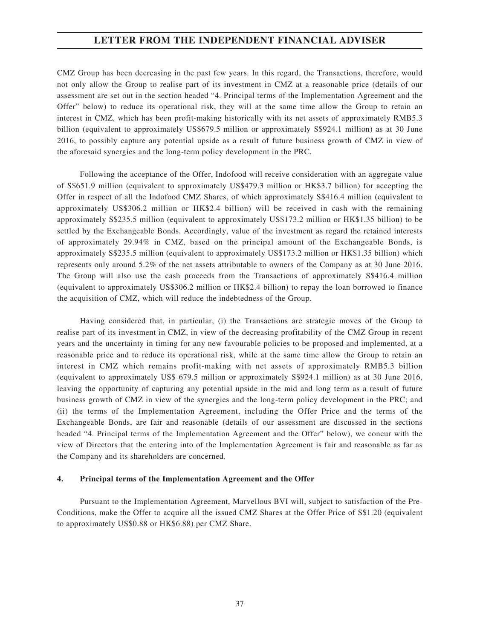CMZ Group has been decreasing in the past few years. In this regard, the Transactions, therefore, would not only allow the Group to realise part of its investment in CMZ at a reasonable price (details of our assessment are set out in the section headed "4. Principal terms of the Implementation Agreement and the Offer" below) to reduce its operational risk, they will at the same time allow the Group to retain an interest in CMZ, which has been profit-making historically with its net assets of approximately RMB5.3 billion (equivalent to approximately US\$679.5 million or approximately S\$924.1 million) as at 30 June 2016, to possibly capture any potential upside as a result of future business growth of CMZ in view of the aforesaid synergies and the long-term policy development in the PRC.

Following the acceptance of the Offer, Indofood will receive consideration with an aggregate value of S\$651.9 million (equivalent to approximately US\$479.3 million or HK\$3.7 billion) for accepting the Offer in respect of all the Indofood CMZ Shares, of which approximately S\$416.4 million (equivalent to approximately US\$306.2 million or HK\$2.4 billion) will be received in cash with the remaining approximately S\$235.5 million (equivalent to approximately US\$173.2 million or HK\$1.35 billion) to be settled by the Exchangeable Bonds. Accordingly, value of the investment as regard the retained interests of approximately 29.94% in CMZ, based on the principal amount of the Exchangeable Bonds, is approximately S\$235.5 million (equivalent to approximately US\$173.2 million or HK\$1.35 billion) which represents only around 5.2% of the net assets attributable to owners of the Company as at 30 June 2016. The Group will also use the cash proceeds from the Transactions of approximately S\$416.4 million (equivalent to approximately US\$306.2 million or HK\$2.4 billion) to repay the loan borrowed to finance the acquisition of CMZ, which will reduce the indebtedness of the Group.

Having considered that, in particular, (i) the Transactions are strategic moves of the Group to realise part of its investment in CMZ, in view of the decreasing profitability of the CMZ Group in recent years and the uncertainty in timing for any new favourable policies to be proposed and implemented, at a reasonable price and to reduce its operational risk, while at the same time allow the Group to retain an interest in CMZ which remains profit-making with net assets of approximately RMB5.3 billion (equivalent to approximately US\$ 679.5 million or approximately S\$924.1 million) as at 30 June 2016, leaving the opportunity of capturing any potential upside in the mid and long term as a result of future business growth of CMZ in view of the synergies and the long-term policy development in the PRC; and (ii) the terms of the Implementation Agreement, including the Offer Price and the terms of the Exchangeable Bonds, are fair and reasonable (details of our assessment are discussed in the sections headed "4. Principal terms of the Implementation Agreement and the Offer" below), we concur with the view of Directors that the entering into of the Implementation Agreement is fair and reasonable as far as the Company and its shareholders are concerned.

#### **4. Principal terms of the Implementation Agreement and the Offer**

Pursuant to the Implementation Agreement, Marvellous BVI will, subject to satisfaction of the Pre-Conditions, make the Offer to acquire all the issued CMZ Shares at the Offer Price of S\$1.20 (equivalent to approximately US\$0.88 or HK\$6.88) per CMZ Share.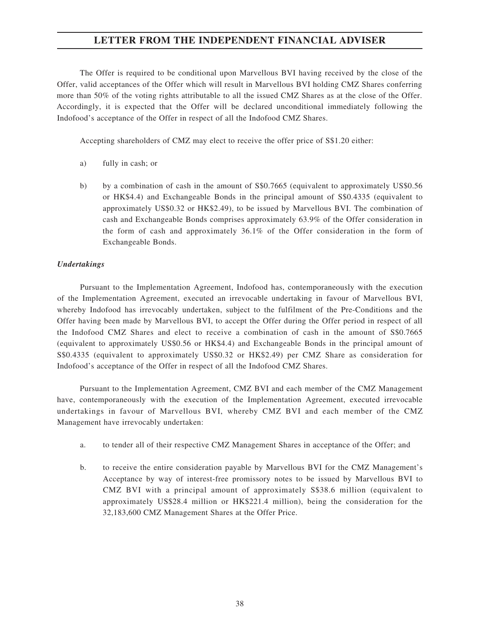The Offer is required to be conditional upon Marvellous BVI having received by the close of the Offer, valid acceptances of the Offer which will result in Marvellous BVI holding CMZ Shares conferring more than 50% of the voting rights attributable to all the issued CMZ Shares as at the close of the Offer. Accordingly, it is expected that the Offer will be declared unconditional immediately following the Indofood's acceptance of the Offer in respect of all the Indofood CMZ Shares.

Accepting shareholders of CMZ may elect to receive the offer price of S\$1.20 either:

- a) fully in cash; or
- b) by a combination of cash in the amount of S\$0.7665 (equivalent to approximately US\$0.56 or HK\$4.4) and Exchangeable Bonds in the principal amount of S\$0.4335 (equivalent to approximately US\$0.32 or HK\$2.49), to be issued by Marvellous BVI. The combination of cash and Exchangeable Bonds comprises approximately 63.9% of the Offer consideration in the form of cash and approximately 36.1% of the Offer consideration in the form of Exchangeable Bonds.

#### *Undertakings*

Pursuant to the Implementation Agreement, Indofood has, contemporaneously with the execution of the Implementation Agreement, executed an irrevocable undertaking in favour of Marvellous BVI, whereby Indofood has irrevocably undertaken, subject to the fulfilment of the Pre-Conditions and the Offer having been made by Marvellous BVI, to accept the Offer during the Offer period in respect of all the Indofood CMZ Shares and elect to receive a combination of cash in the amount of S\$0.7665 (equivalent to approximately US\$0.56 or HK\$4.4) and Exchangeable Bonds in the principal amount of S\$0.4335 (equivalent to approximately US\$0.32 or HK\$2.49) per CMZ Share as consideration for Indofood's acceptance of the Offer in respect of all the Indofood CMZ Shares.

Pursuant to the Implementation Agreement, CMZ BVI and each member of the CMZ Management have, contemporaneously with the execution of the Implementation Agreement, executed irrevocable undertakings in favour of Marvellous BVI, whereby CMZ BVI and each member of the CMZ Management have irrevocably undertaken:

- a. to tender all of their respective CMZ Management Shares in acceptance of the Offer; and
- b. to receive the entire consideration payable by Marvellous BVI for the CMZ Management's Acceptance by way of interest-free promissory notes to be issued by Marvellous BVI to CMZ BVI with a principal amount of approximately S\$38.6 million (equivalent to approximately US\$28.4 million or HK\$221.4 million), being the consideration for the 32,183,600 CMZ Management Shares at the Offer Price.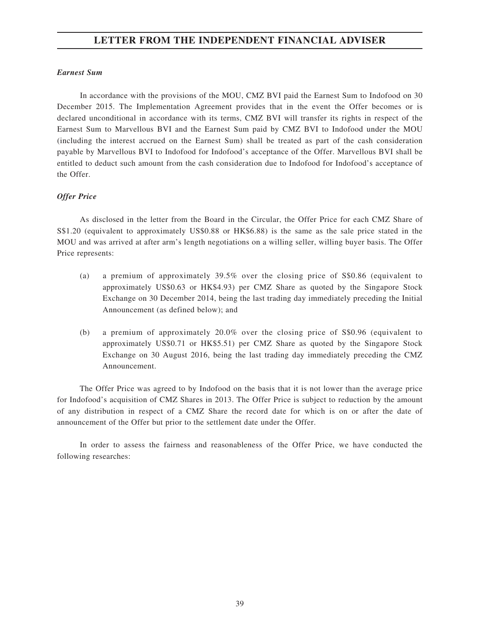#### *Earnest Sum*

In accordance with the provisions of the MOU, CMZ BVI paid the Earnest Sum to Indofood on 30 December 2015. The Implementation Agreement provides that in the event the Offer becomes or is declared unconditional in accordance with its terms, CMZ BVI will transfer its rights in respect of the Earnest Sum to Marvellous BVI and the Earnest Sum paid by CMZ BVI to Indofood under the MOU (including the interest accrued on the Earnest Sum) shall be treated as part of the cash consideration payable by Marvellous BVI to Indofood for Indofood's acceptance of the Offer. Marvellous BVI shall be entitled to deduct such amount from the cash consideration due to Indofood for Indofood's acceptance of the Offer.

#### *Offer Price*

As disclosed in the letter from the Board in the Circular, the Offer Price for each CMZ Share of S\$1.20 (equivalent to approximately US\$0.88 or HK\$6.88) is the same as the sale price stated in the MOU and was arrived at after arm's length negotiations on a willing seller, willing buyer basis. The Offer Price represents:

- (a) a premium of approximately 39.5% over the closing price of S\$0.86 (equivalent to approximately US\$0.63 or HK\$4.93) per CMZ Share as quoted by the Singapore Stock Exchange on 30 December 2014, being the last trading day immediately preceding the Initial Announcement (as defined below); and
- (b) a premium of approximately 20.0% over the closing price of S\$0.96 (equivalent to approximately US\$0.71 or HK\$5.51) per CMZ Share as quoted by the Singapore Stock Exchange on 30 August 2016, being the last trading day immediately preceding the CMZ Announcement.

The Offer Price was agreed to by Indofood on the basis that it is not lower than the average price for Indofood's acquisition of CMZ Shares in 2013. The Offer Price is subject to reduction by the amount of any distribution in respect of a CMZ Share the record date for which is on or after the date of announcement of the Offer but prior to the settlement date under the Offer.

In order to assess the fairness and reasonableness of the Offer Price, we have conducted the following researches: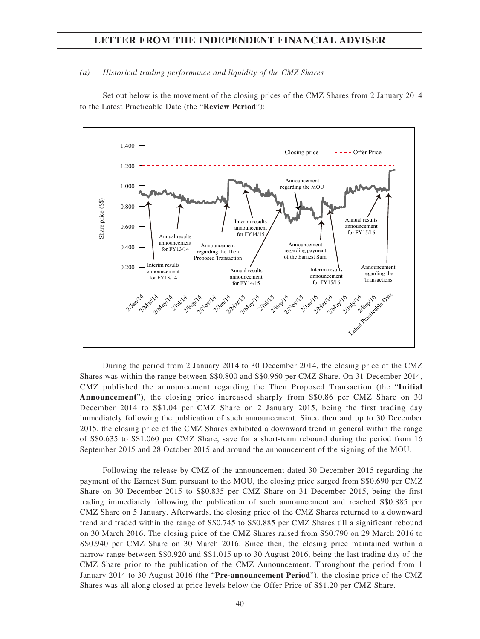#### *(a) Historical trading performance and liquidity of the CMZ Shares*

Set out below is the movement of the closing prices of the CMZ Shares from 2 January 2014 to the Latest Practicable Date (the "**Review Period**"):



During the period from 2 January 2014 to 30 December 2014, the closing price of the CMZ Shares was within the range between S\$0.800 and S\$0.960 per CMZ Share. On 31 December 2014, CMZ published the announcement regarding the Then Proposed Transaction (the "**Initial Announcement**"), the closing price increased sharply from S\$0.86 per CMZ Share on 30 December 2014 to S\$1.04 per CMZ Share on 2 January 2015, being the first trading day immediately following the publication of such announcement. Since then and up to 30 December 2015, the closing price of the CMZ Shares exhibited a downward trend in general within the range of S\$0.635 to S\$1.060 per CMZ Share, save for a short-term rebound during the period from 16 September 2015 and 28 October 2015 and around the announcement of the signing of the MOU.

Following the release by CMZ of the announcement dated 30 December 2015 regarding the payment of the Earnest Sum pursuant to the MOU, the closing price surged from S\$0.690 per CMZ Share on 30 December 2015 to S\$0.835 per CMZ Share on 31 December 2015, being the first trading immediately following the publication of such announcement and reached S\$0.885 per CMZ Share on 5 January. Afterwards, the closing price of the CMZ Shares returned to a downward trend and traded within the range of S\$0.745 to S\$0.885 per CMZ Shares till a significant rebound on 30 March 2016. The closing price of the CMZ Shares raised from S\$0.790 on 29 March 2016 to S\$0.940 per CMZ Share on 30 March 2016. Since then, the closing price maintained within a narrow range between S\$0.920 and S\$1.015 up to 30 August 2016, being the last trading day of the CMZ Share prior to the publication of the CMZ Announcement. Throughout the period from 1 January 2014 to 30 August 2016 (the "**Pre-announcement Period**"), the closing price of the CMZ Shares was all along closed at price levels below the Offer Price of S\$1.20 per CMZ Share.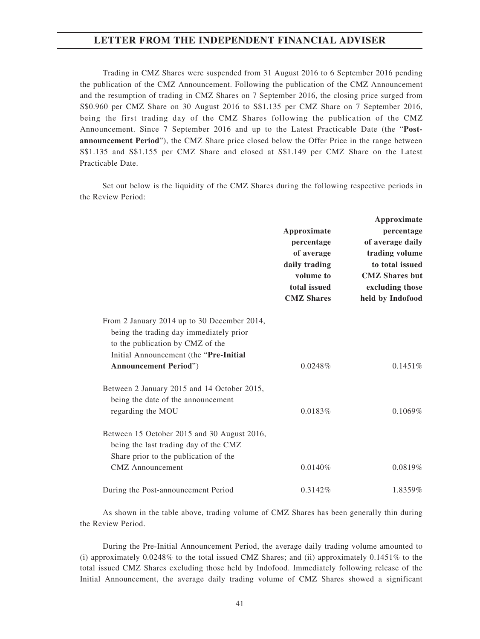Trading in CMZ Shares were suspended from 31 August 2016 to 6 September 2016 pending the publication of the CMZ Announcement. Following the publication of the CMZ Announcement and the resumption of trading in CMZ Shares on 7 September 2016, the closing price surged from S\$0.960 per CMZ Share on 30 August 2016 to S\$1.135 per CMZ Share on 7 September 2016, being the first trading day of the CMZ Shares following the publication of the CMZ Announcement. Since 7 September 2016 and up to the Latest Practicable Date (the "**Postannouncement Period**"), the CMZ Share price closed below the Offer Price in the range between S\$1.135 and S\$1.155 per CMZ Share and closed at S\$1.149 per CMZ Share on the Latest Practicable Date.

Set out below is the liquidity of the CMZ Shares during the following respective periods in the Review Period:

|                                                                                                                                                                      | Approximate<br>percentage<br>of average<br>daily trading<br>volume to<br>total issued<br><b>CMZ</b> Shares | Approximate<br>percentage<br>of average daily<br>trading volume<br>to total issued<br><b>CMZ</b> Shares but<br>excluding those<br>held by Indofood |
|----------------------------------------------------------------------------------------------------------------------------------------------------------------------|------------------------------------------------------------------------------------------------------------|----------------------------------------------------------------------------------------------------------------------------------------------------|
| From 2 January 2014 up to 30 December 2014,<br>being the trading day immediately prior<br>to the publication by CMZ of the<br>Initial Announcement (the "Pre-Initial |                                                                                                            |                                                                                                                                                    |
| <b>Announcement Period"</b> )                                                                                                                                        | 0.0248%                                                                                                    | $0.1451\%$                                                                                                                                         |
| Between 2 January 2015 and 14 October 2015,<br>being the date of the announcement<br>regarding the MOU                                                               | 0.0183%                                                                                                    | 0.1069%                                                                                                                                            |
| Between 15 October 2015 and 30 August 2016,<br>being the last trading day of the CMZ<br>Share prior to the publication of the<br><b>CMZ</b> Announcement             | 0.0140%                                                                                                    | 0.0819%                                                                                                                                            |
| During the Post-announcement Period                                                                                                                                  | 0.3142%                                                                                                    | 1.8359%                                                                                                                                            |

As shown in the table above, trading volume of CMZ Shares has been generally thin during the Review Period.

During the Pre-Initial Announcement Period, the average daily trading volume amounted to (i) approximately 0.0248% to the total issued CMZ Shares; and (ii) approximately 0.1451% to the total issued CMZ Shares excluding those held by Indofood. Immediately following release of the Initial Announcement, the average daily trading volume of CMZ Shares showed a significant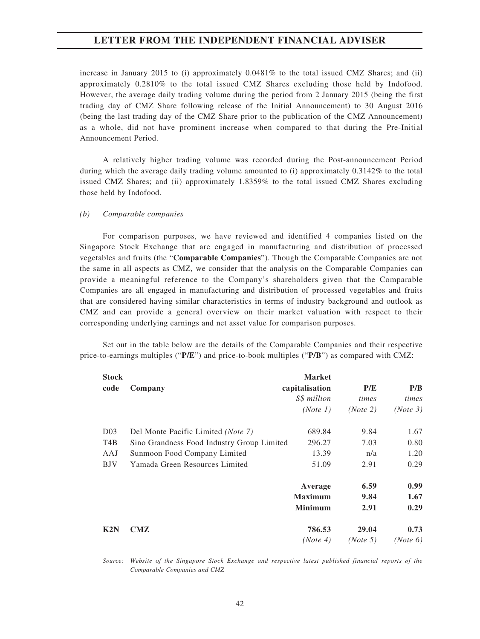increase in January 2015 to (i) approximately 0.0481% to the total issued CMZ Shares; and (ii) approximately 0.2810% to the total issued CMZ Shares excluding those held by Indofood. However, the average daily trading volume during the period from 2 January 2015 (being the first trading day of CMZ Share following release of the Initial Announcement) to 30 August 2016 (being the last trading day of the CMZ Share prior to the publication of the CMZ Announcement) as a whole, did not have prominent increase when compared to that during the Pre-Initial Announcement Period.

A relatively higher trading volume was recorded during the Post-announcement Period during which the average daily trading volume amounted to (i) approximately 0.3142% to the total issued CMZ Shares; and (ii) approximately 1.8359% to the total issued CMZ Shares excluding those held by Indofood.

#### *(b) Comparable companies*

For comparison purposes, we have reviewed and identified 4 companies listed on the Singapore Stock Exchange that are engaged in manufacturing and distribution of processed vegetables and fruits (the "**Comparable Companies**"). Though the Comparable Companies are not the same in all aspects as CMZ, we consider that the analysis on the Comparable Companies can provide a meaningful reference to the Company's shareholders given that the Comparable Companies are all engaged in manufacturing and distribution of processed vegetables and fruits that are considered having similar characteristics in terms of industry background and outlook as CMZ and can provide a general overview on their market valuation with respect to their corresponding underlying earnings and net asset value for comparison purposes.

Set out in the table below are the details of the Comparable Companies and their respective price-to-earnings multiples ("**P/E**") and price-to-book multiples ("**P/B**") as compared with CMZ:

| <b>Stock</b>     |                                             | <b>Market</b>  |          |          |
|------------------|---------------------------------------------|----------------|----------|----------|
| code             | Company                                     | capitalisation | P/E      | P/B      |
|                  |                                             | S\$ million    | times    | times    |
|                  |                                             | (Note 1)       | (Note 2) | (Note 3) |
| D <sub>03</sub>  | Del Monte Pacific Limited ( <i>Note 7</i> ) | 689.84         | 9.84     | 1.67     |
| T <sub>4</sub> B | Sino Grandness Food Industry Group Limited  | 296.27         | 7.03     | 0.80     |
| AAJ              | Sunmoon Food Company Limited                | 13.39          | n/a      | 1.20     |
| <b>BJV</b>       | Yamada Green Resources Limited              | 51.09          | 2.91     | 0.29     |
|                  |                                             | Average        | 6.59     | 0.99     |
|                  |                                             | <b>Maximum</b> | 9.84     | 1.67     |
|                  |                                             | <b>Minimum</b> | 2.91     | 0.29     |
| K2N              | CMZ                                         | 786.53         | 29.04    | 0.73     |
|                  |                                             | (Note 4)       | (Note 5) | (Note 6) |

*Source: Website of the Singapore Stock Exchange and respective latest published financial reports of the Comparable Companies and CMZ*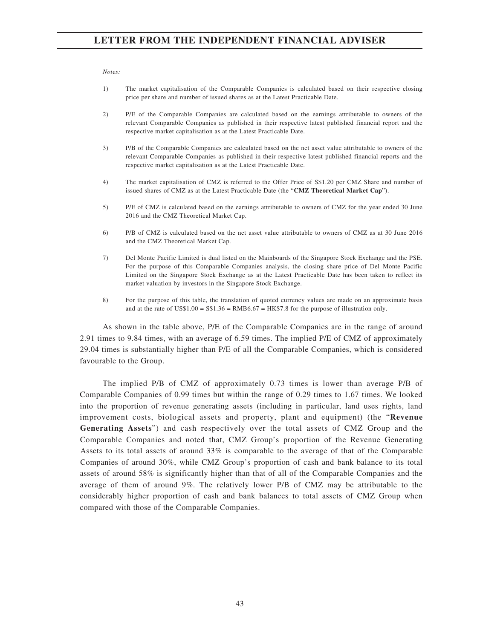*Notes:*

- 1) The market capitalisation of the Comparable Companies is calculated based on their respective closing price per share and number of issued shares as at the Latest Practicable Date.
- 2) P/E of the Comparable Companies are calculated based on the earnings attributable to owners of the relevant Comparable Companies as published in their respective latest published financial report and the respective market capitalisation as at the Latest Practicable Date.
- 3) P/B of the Comparable Companies are calculated based on the net asset value attributable to owners of the relevant Comparable Companies as published in their respective latest published financial reports and the respective market capitalisation as at the Latest Practicable Date.
- 4) The market capitalisation of CMZ is referred to the Offer Price of S\$1.20 per CMZ Share and number of issued shares of CMZ as at the Latest Practicable Date (the "**CMZ Theoretical Market Cap**").
- 5) P/E of CMZ is calculated based on the earnings attributable to owners of CMZ for the year ended 30 June 2016 and the CMZ Theoretical Market Cap.
- 6) P/B of CMZ is calculated based on the net asset value attributable to owners of CMZ as at 30 June 2016 and the CMZ Theoretical Market Cap.
- 7) Del Monte Pacific Limited is dual listed on the Mainboards of the Singapore Stock Exchange and the PSE. For the purpose of this Comparable Companies analysis, the closing share price of Del Monte Pacific Limited on the Singapore Stock Exchange as at the Latest Practicable Date has been taken to reflect its market valuation by investors in the Singapore Stock Exchange.
- 8) For the purpose of this table, the translation of quoted currency values are made on an approximate basis and at the rate of US\$1.00 = S\$1.36 = RMB6.67 = HK\$7.8 for the purpose of illustration only.

As shown in the table above, P/E of the Comparable Companies are in the range of around 2.91 times to 9.84 times, with an average of 6.59 times. The implied P/E of CMZ of approximately 29.04 times is substantially higher than P/E of all the Comparable Companies, which is considered favourable to the Group.

The implied P/B of CMZ of approximately 0.73 times is lower than average P/B of Comparable Companies of 0.99 times but within the range of 0.29 times to 1.67 times. We looked into the proportion of revenue generating assets (including in particular, land uses rights, land improvement costs, biological assets and property, plant and equipment) (the "**Revenue Generating Assets**") and cash respectively over the total assets of CMZ Group and the Comparable Companies and noted that, CMZ Group's proportion of the Revenue Generating Assets to its total assets of around  $33\%$  is comparable to the average of that of the Comparable Companies of around 30%, while CMZ Group's proportion of cash and bank balance to its total assets of around 58% is significantly higher than that of all of the Comparable Companies and the average of them of around 9%. The relatively lower P/B of CMZ may be attributable to the considerably higher proportion of cash and bank balances to total assets of CMZ Group when compared with those of the Comparable Companies.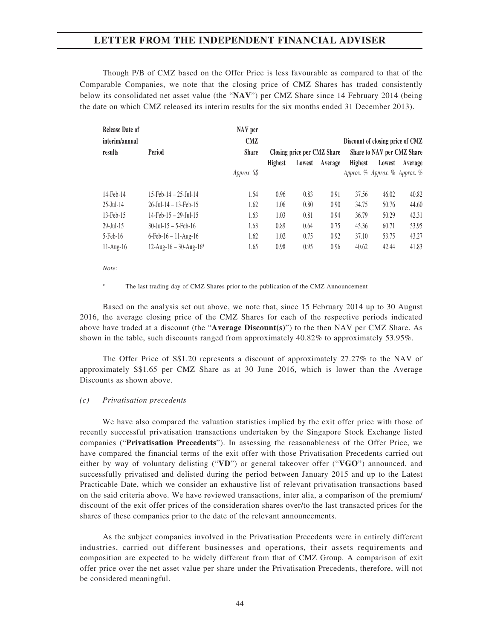Though P/B of CMZ based on the Offer Price is less favourable as compared to that of the Comparable Companies, we note that the closing price of CMZ Shares has traded consistently below its consolidated net asset value (the "**NAV**") per CMZ Share since 14 February 2014 (being the date on which CMZ released its interim results for the six months ended 31 December 2013).

| <b>Release Date of</b><br>NAV per<br><b>CMZ</b><br>interim/annual |                                       |              |                |                             |         | Discount of closing price of CMZ |                               |         |
|-------------------------------------------------------------------|---------------------------------------|--------------|----------------|-----------------------------|---------|----------------------------------|-------------------------------|---------|
| results                                                           | Period                                | <b>Share</b> |                | Closing price per CMZ Share |         |                                  | Share to NAV per CMZ Share    |         |
|                                                                   |                                       |              | <b>Highest</b> | Lowest                      | Average | <b>Highest</b>                   | Lowest                        | Average |
|                                                                   |                                       | Approx. S\$  |                |                             |         |                                  | Approx. % Approx. % Approx. % |         |
| 14-Feb-14                                                         | $15$ -Feb-14 - $25$ -Jul-14           | 1.54         | 0.96           | 0.83                        | 0.91    | 37.56                            | 46.02                         | 40.82   |
| $25$ -Jul-14                                                      | $26$ -Jul-14 - 13-Feb-15              | 1.62         | 1.06           | 0.80                        | 0.90    | 34.75                            | 50.76                         | 44.60   |
| 13-Feb-15                                                         | $14$ -Feb- $15 - 29$ -Jul- $15$       | 1.63         | 1.03           | 0.81                        | 0.94    | 36.79                            | 50.29                         | 42.31   |
| $29$ -Jul-15                                                      | $30$ -Jul-15 – 5-Feb-16               | 1.63         | 0.89           | 0.64                        | 0.75    | 45.36                            | 60.71                         | 53.95   |
| 5-Feb-16                                                          | $6 - Feb - 16 - 11 - Aug - 16$        | 1.62         | 1.02           | 0.75                        | 0.92    | 37.10                            | 53.75                         | 43.27   |
| $11-Aug-16$                                                       | $12$ -Aug-16 - 30-Aug-16 <sup>#</sup> | 1.65         | 0.98           | 0.95                        | 0.96    | 40.62                            | 42.44                         | 41.83   |

*Note:*

The last trading day of CMZ Shares prior to the publication of the CMZ Announcement

Based on the analysis set out above, we note that, since 15 February 2014 up to 30 August 2016, the average closing price of the CMZ Shares for each of the respective periods indicated above have traded at a discount (the "**Average Discount(s)**") to the then NAV per CMZ Share. As shown in the table, such discounts ranged from approximately 40.82% to approximately 53.95%.

The Offer Price of S\$1.20 represents a discount of approximately 27.27% to the NAV of approximately S\$1.65 per CMZ Share as at 30 June 2016, which is lower than the Average Discounts as shown above.

#### *(c) Privatisation precedents*

We have also compared the valuation statistics implied by the exit offer price with those of recently successful privatisation transactions undertaken by the Singapore Stock Exchange listed companies ("**Privatisation Precedents**"). In assessing the reasonableness of the Offer Price, we have compared the financial terms of the exit offer with those Privatisation Precedents carried out either by way of voluntary delisting ("**VD**") or general takeover offer ("**VGO**") announced, and successfully privatised and delisted during the period between January 2015 and up to the Latest Practicable Date, which we consider an exhaustive list of relevant privatisation transactions based on the said criteria above. We have reviewed transactions, inter alia, a comparison of the premium/ discount of the exit offer prices of the consideration shares over/to the last transacted prices for the shares of these companies prior to the date of the relevant announcements.

As the subject companies involved in the Privatisation Precedents were in entirely different industries, carried out different businesses and operations, their assets requirements and composition are expected to be widely different from that of CMZ Group. A comparison of exit offer price over the net asset value per share under the Privatisation Precedents, therefore, will not be considered meaningful.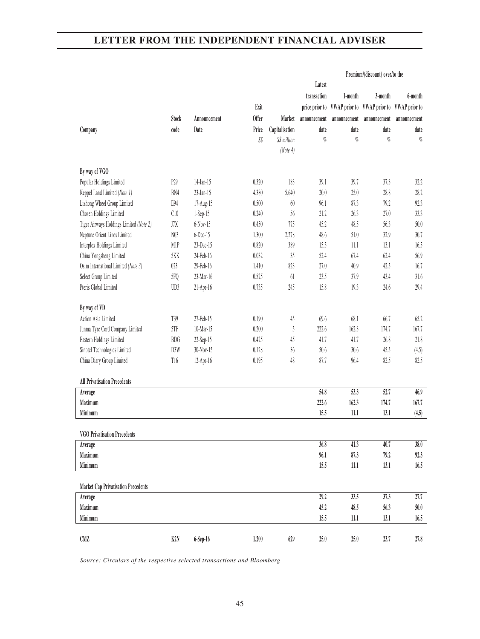|                                            |                  |              |              |                |                              |                              | Premium/(discount) over/to the |                                           |
|--------------------------------------------|------------------|--------------|--------------|----------------|------------------------------|------------------------------|--------------------------------|-------------------------------------------|
|                                            |                  |              |              |                | Latest                       |                              |                                |                                           |
|                                            |                  |              |              |                | transaction                  | 1-month                      | 3-month                        | 6-month                                   |
|                                            |                  |              | Exit         |                | price prior to               |                              |                                | VWAP prior to VWAP prior to VWAP prior to |
|                                            | <b>Stock</b>     | Announcement | <b>Offer</b> | Market         | announcement                 | announcement                 | announcement                   | announcement                              |
| Company                                    | code             | Date         | Price        | Capitalisation | date                         | date                         | date                           | date                                      |
|                                            |                  |              | S\$          | S\$ million    | $q_{\!\scriptscriptstyle 0}$ | $q_{\!\scriptscriptstyle 0}$ | $\%$                           | $\%$                                      |
|                                            |                  |              |              | (Note 4)       |                              |                              |                                |                                           |
|                                            |                  |              |              |                |                              |                              |                                |                                           |
| By way of VGO                              |                  |              |              |                |                              |                              |                                |                                           |
| Popular Holdings Limited                   | P29              | 14-Jan-15    | 0.320        | 183            | 39.1                         | 39.7                         | 37.3                           | 32.2                                      |
| Keppel Land Limited (Note 1)               | BN4              | 23-Jan-15    | 4.380        | 5,640          | 20.0                         | 25.0                         | 28.8                           | 28.2                                      |
| Lizhong Wheel Group Limited                | E94              | 17-Aug-15    | 0.500        | $60\,$         | 96.1                         | 87.3                         | 79.2                           | 92.3                                      |
| Chosen Holdings Limited                    | C10              | 1-Sep-15     | 0.240        | 56             | 21.2                         | 26.3                         | 27.0                           | 33.3                                      |
| Tiger Airways Holdings Limited (Note 2)    | J7X              | $6-Nov-15$   | 0.450        | 775            | 45.2                         | 48.5                         | 56.3                           | $50.0$                                    |
| Neptune Orient Lines Limited               | N <sub>0</sub> 3 | 6-Dec-15     | 1.300        | 2,278          | 48.6                         | $51.0$                       | 32.9                           | 30.7                                      |
| Interplex Holdings Limited                 | M1P              | 23-Dec-15    | 0.820        | 389            | 15.5                         | 11.1                         | 13.1                           | 16.5                                      |
| China Yongsheng Limited                    | 5KK              | 24-Feb-16    | 0.032        | 35             | 52.4                         | 67.4                         | 62.4                           | 56.9                                      |
| Osim International Limited (Note 3)        | 023              | 29-Feb-16    | 1.410        | 823            | 27.0                         | 40.9                         | 42.5                           | 16.7                                      |
| Select Group Limited                       | 5FQ              | 23-Mar-16    | 0.525        | 61             | 23.5                         | 37.9                         | 43.4                           | 31.6                                      |
| Pteris Global Limited                      | UD3              | 21-Apr-16    | 0.735        | 245            | 15.8                         | 19.3                         | 24.6                           | 29.4                                      |
|                                            |                  |              |              |                |                              |                              |                                |                                           |
| By way of VD                               |                  |              |              |                |                              |                              |                                |                                           |
| Action Asia Limited                        | T39              | 27-Feb-15    | 0.190        | 45             | 69.6                         | 68.1                         | 66.7                           | 65.2                                      |
| Junma Tyre Cord Company Limited            | 5TF              | 10-Mar-15    | 0.200        | $\mathfrak{H}$ | 222.6                        | 162.3                        | 174.7                          | 167.7                                     |
| Eastern Holdings Limited                   | <b>BDG</b>       | 22-Sep-15    | 0.425        | 45             | 41.7                         | 41.7                         | 26.8                           | 21.8                                      |
| Sinotel Technologies Limited               | D3W              | 30-Nov-15    | 0.128        | 36             | 50.6                         | 30.6                         | 45.5                           | (4.5)                                     |
| China Diary Group Limited                  | T16              | 12-Apr-16    | 0.195        | 48             | 87.7                         | 96.4                         | 82.5                           | 82.5                                      |
| <b>All Privatisation Precedents</b>        |                  |              |              |                |                              |                              |                                |                                           |
| Average                                    |                  |              |              |                | 54.8                         | 53.3                         | 52.7                           | 46.9                                      |
| Maximum                                    |                  |              |              |                | 222.6                        | 162.3                        | 174.7                          | 167.7                                     |
| Minimum                                    |                  |              |              |                | 15.5                         | 11.1                         | 13.1                           | (4.5)                                     |
|                                            |                  |              |              |                |                              |                              |                                |                                           |
| <b>VGO Privatisation Precedents</b>        |                  |              |              |                |                              |                              |                                |                                           |
| Average                                    |                  |              |              |                | 36.8                         | 41.3                         | 40.7                           | 38.0                                      |
| Maximum                                    |                  |              |              |                | 96.1                         | 87.3                         | 79.2                           | 92.3                                      |
| Minimum                                    |                  |              |              |                | 15.5                         | $11.1\,$                     | 13.1                           | 16.5                                      |
|                                            |                  |              |              |                |                              |                              |                                |                                           |
| <b>Market Cap Privatisation Precedents</b> |                  |              |              |                |                              |                              |                                |                                           |
| Average                                    |                  |              |              |                | 29.2                         | 33.5                         | 37.3                           | 27.7                                      |
| Maximum                                    |                  |              |              |                | 45.2                         | 48.5                         | 56.3                           | $50.0$                                    |
| Minimum                                    |                  |              |              |                | 15.5                         | $11.1\,$                     | 13.1                           | 16.5                                      |
| CMZ                                        | K <sub>2</sub> N | 6-Sep-16     | 1.200        | 629            | $25.0$                       | $25.0$                       | 23.7                           | 27.8                                      |
|                                            |                  |              |              |                |                              |                              |                                |                                           |

*Source: Circulars of the respective selected transactions and Bloomberg*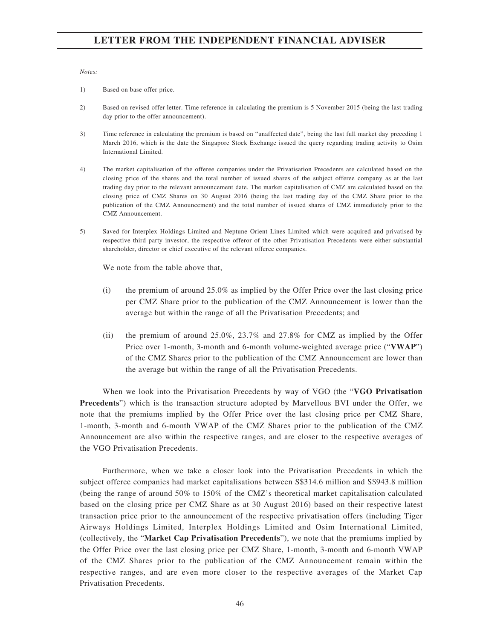#### *Notes:*

- 1) Based on base offer price.
- 2) Based on revised offer letter. Time reference in calculating the premium is 5 November 2015 (being the last trading day prior to the offer announcement).
- 3) Time reference in calculating the premium is based on "unaffected date", being the last full market day preceding 1 March 2016, which is the date the Singapore Stock Exchange issued the query regarding trading activity to Osim International Limited.
- 4) The market capitalisation of the offeree companies under the Privatisation Precedents are calculated based on the closing price of the shares and the total number of issued shares of the subject offeree company as at the last trading day prior to the relevant announcement date. The market capitalisation of CMZ are calculated based on the closing price of CMZ Shares on 30 August 2016 (being the last trading day of the CMZ Share prior to the publication of the CMZ Announcement) and the total number of issued shares of CMZ immediately prior to the CMZ Announcement.
- 5) Saved for Interplex Holdings Limited and Neptune Orient Lines Limited which were acquired and privatised by respective third party investor, the respective offeror of the other Privatisation Precedents were either substantial shareholder, director or chief executive of the relevant offeree companies.

We note from the table above that,

- (i) the premium of around 25.0% as implied by the Offer Price over the last closing price per CMZ Share prior to the publication of the CMZ Announcement is lower than the average but within the range of all the Privatisation Precedents; and
- (ii) the premium of around 25.0%, 23.7% and 27.8% for CMZ as implied by the Offer Price over 1-month, 3-month and 6-month volume-weighted average price ("**VWAP**") of the CMZ Shares prior to the publication of the CMZ Announcement are lower than the average but within the range of all the Privatisation Precedents.

When we look into the Privatisation Precedents by way of VGO (the "**VGO Privatisation Precedents**") which is the transaction structure adopted by Marvellous BVI under the Offer, we note that the premiums implied by the Offer Price over the last closing price per CMZ Share, 1-month, 3-month and 6-month VWAP of the CMZ Shares prior to the publication of the CMZ Announcement are also within the respective ranges, and are closer to the respective averages of the VGO Privatisation Precedents.

Furthermore, when we take a closer look into the Privatisation Precedents in which the subject offeree companies had market capitalisations between S\$314.6 million and S\$943.8 million (being the range of around 50% to 150% of the CMZ's theoretical market capitalisation calculated based on the closing price per CMZ Share as at 30 August 2016) based on their respective latest transaction price prior to the announcement of the respective privatisation offers (including Tiger Airways Holdings Limited, Interplex Holdings Limited and Osim International Limited, (collectively, the "**Market Cap Privatisation Precedents**"), we note that the premiums implied by the Offer Price over the last closing price per CMZ Share, 1-month, 3-month and 6-month VWAP of the CMZ Shares prior to the publication of the CMZ Announcement remain within the respective ranges, and are even more closer to the respective averages of the Market Cap Privatisation Precedents.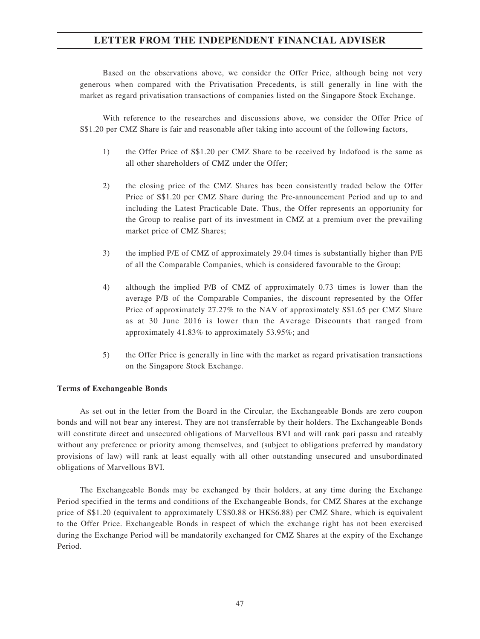Based on the observations above, we consider the Offer Price, although being not very generous when compared with the Privatisation Precedents, is still generally in line with the market as regard privatisation transactions of companies listed on the Singapore Stock Exchange.

With reference to the researches and discussions above, we consider the Offer Price of S\$1.20 per CMZ Share is fair and reasonable after taking into account of the following factors,

- 1) the Offer Price of S\$1.20 per CMZ Share to be received by Indofood is the same as all other shareholders of CMZ under the Offer;
- 2) the closing price of the CMZ Shares has been consistently traded below the Offer Price of S\$1.20 per CMZ Share during the Pre-announcement Period and up to and including the Latest Practicable Date. Thus, the Offer represents an opportunity for the Group to realise part of its investment in CMZ at a premium over the prevailing market price of CMZ Shares;
- 3) the implied P/E of CMZ of approximately 29.04 times is substantially higher than P/E of all the Comparable Companies, which is considered favourable to the Group;
- 4) although the implied P/B of CMZ of approximately 0.73 times is lower than the average P/B of the Comparable Companies, the discount represented by the Offer Price of approximately 27.27% to the NAV of approximately S\$1.65 per CMZ Share as at 30 June 2016 is lower than the Average Discounts that ranged from approximately 41.83% to approximately 53.95%; and
- 5) the Offer Price is generally in line with the market as regard privatisation transactions on the Singapore Stock Exchange.

#### **Terms of Exchangeable Bonds**

As set out in the letter from the Board in the Circular, the Exchangeable Bonds are zero coupon bonds and will not bear any interest. They are not transferrable by their holders. The Exchangeable Bonds will constitute direct and unsecured obligations of Marvellous BVI and will rank pari passu and rateably without any preference or priority among themselves, and (subject to obligations preferred by mandatory provisions of law) will rank at least equally with all other outstanding unsecured and unsubordinated obligations of Marvellous BVI.

The Exchangeable Bonds may be exchanged by their holders, at any time during the Exchange Period specified in the terms and conditions of the Exchangeable Bonds, for CMZ Shares at the exchange price of S\$1.20 (equivalent to approximately US\$0.88 or HK\$6.88) per CMZ Share, which is equivalent to the Offer Price. Exchangeable Bonds in respect of which the exchange right has not been exercised during the Exchange Period will be mandatorily exchanged for CMZ Shares at the expiry of the Exchange Period.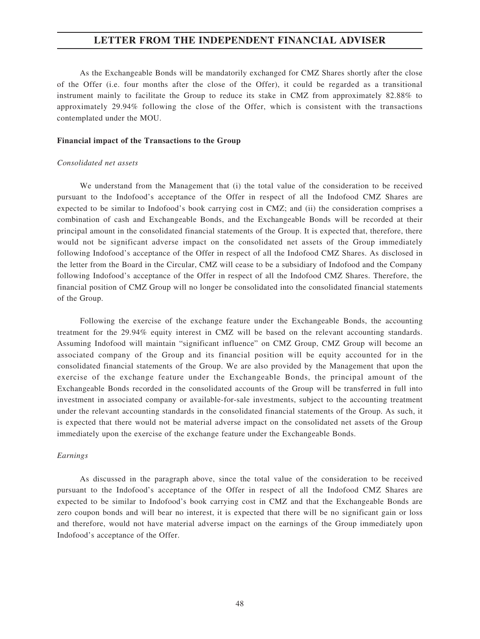As the Exchangeable Bonds will be mandatorily exchanged for CMZ Shares shortly after the close of the Offer (i.e. four months after the close of the Offer), it could be regarded as a transitional instrument mainly to facilitate the Group to reduce its stake in CMZ from approximately 82.88% to approximately 29.94% following the close of the Offer, which is consistent with the transactions contemplated under the MOU.

#### **Financial impact of the Transactions to the Group**

#### *Consolidated net assets*

We understand from the Management that (i) the total value of the consideration to be received pursuant to the Indofood's acceptance of the Offer in respect of all the Indofood CMZ Shares are expected to be similar to Indofood's book carrying cost in CMZ; and (ii) the consideration comprises a combination of cash and Exchangeable Bonds, and the Exchangeable Bonds will be recorded at their principal amount in the consolidated financial statements of the Group. It is expected that, therefore, there would not be significant adverse impact on the consolidated net assets of the Group immediately following Indofood's acceptance of the Offer in respect of all the Indofood CMZ Shares. As disclosed in the letter from the Board in the Circular, CMZ will cease to be a subsidiary of Indofood and the Company following Indofood's acceptance of the Offer in respect of all the Indofood CMZ Shares. Therefore, the financial position of CMZ Group will no longer be consolidated into the consolidated financial statements of the Group.

Following the exercise of the exchange feature under the Exchangeable Bonds, the accounting treatment for the 29.94% equity interest in CMZ will be based on the relevant accounting standards. Assuming Indofood will maintain "significant influence" on CMZ Group, CMZ Group will become an associated company of the Group and its financial position will be equity accounted for in the consolidated financial statements of the Group. We are also provided by the Management that upon the exercise of the exchange feature under the Exchangeable Bonds, the principal amount of the Exchangeable Bonds recorded in the consolidated accounts of the Group will be transferred in full into investment in associated company or available-for-sale investments, subject to the accounting treatment under the relevant accounting standards in the consolidated financial statements of the Group. As such, it is expected that there would not be material adverse impact on the consolidated net assets of the Group immediately upon the exercise of the exchange feature under the Exchangeable Bonds.

#### *Earnings*

As discussed in the paragraph above, since the total value of the consideration to be received pursuant to the Indofood's acceptance of the Offer in respect of all the Indofood CMZ Shares are expected to be similar to Indofood's book carrying cost in CMZ and that the Exchangeable Bonds are zero coupon bonds and will bear no interest, it is expected that there will be no significant gain or loss and therefore, would not have material adverse impact on the earnings of the Group immediately upon Indofood's acceptance of the Offer.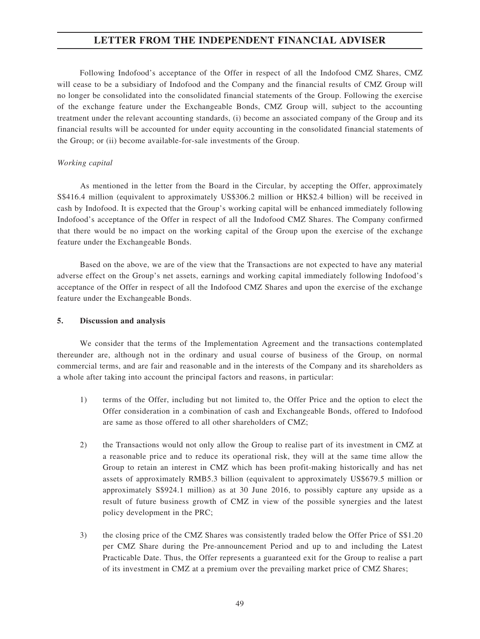Following Indofood's acceptance of the Offer in respect of all the Indofood CMZ Shares, CMZ will cease to be a subsidiary of Indofood and the Company and the financial results of CMZ Group will no longer be consolidated into the consolidated financial statements of the Group. Following the exercise of the exchange feature under the Exchangeable Bonds, CMZ Group will, subject to the accounting treatment under the relevant accounting standards, (i) become an associated company of the Group and its financial results will be accounted for under equity accounting in the consolidated financial statements of the Group; or (ii) become available-for-sale investments of the Group.

#### *Working capital*

As mentioned in the letter from the Board in the Circular, by accepting the Offer, approximately S\$416.4 million (equivalent to approximately US\$306.2 million or HK\$2.4 billion) will be received in cash by Indofood. It is expected that the Group's working capital will be enhanced immediately following Indofood's acceptance of the Offer in respect of all the Indofood CMZ Shares. The Company confirmed that there would be no impact on the working capital of the Group upon the exercise of the exchange feature under the Exchangeable Bonds.

Based on the above, we are of the view that the Transactions are not expected to have any material adverse effect on the Group's net assets, earnings and working capital immediately following Indofood's acceptance of the Offer in respect of all the Indofood CMZ Shares and upon the exercise of the exchange feature under the Exchangeable Bonds.

#### **5. Discussion and analysis**

We consider that the terms of the Implementation Agreement and the transactions contemplated thereunder are, although not in the ordinary and usual course of business of the Group, on normal commercial terms, and are fair and reasonable and in the interests of the Company and its shareholders as a whole after taking into account the principal factors and reasons, in particular:

- 1) terms of the Offer, including but not limited to, the Offer Price and the option to elect the Offer consideration in a combination of cash and Exchangeable Bonds, offered to Indofood are same as those offered to all other shareholders of CMZ;
- 2) the Transactions would not only allow the Group to realise part of its investment in CMZ at a reasonable price and to reduce its operational risk, they will at the same time allow the Group to retain an interest in CMZ which has been profit-making historically and has net assets of approximately RMB5.3 billion (equivalent to approximately US\$679.5 million or approximately S\$924.1 million) as at 30 June 2016, to possibly capture any upside as a result of future business growth of CMZ in view of the possible synergies and the latest policy development in the PRC;
- 3) the closing price of the CMZ Shares was consistently traded below the Offer Price of S\$1.20 per CMZ Share during the Pre-announcement Period and up to and including the Latest Practicable Date. Thus, the Offer represents a guaranteed exit for the Group to realise a part of its investment in CMZ at a premium over the prevailing market price of CMZ Shares;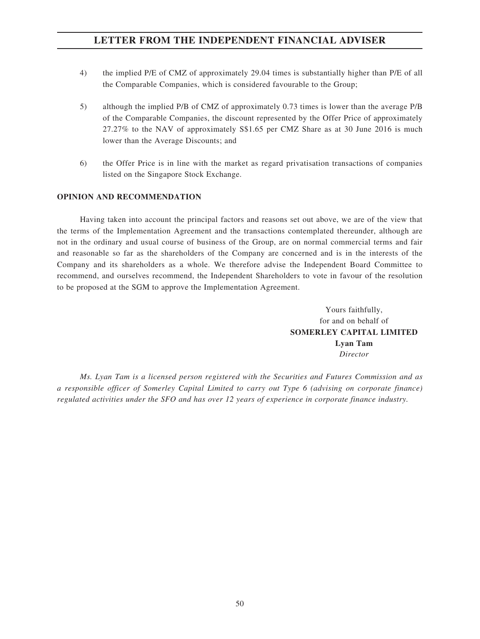- 4) the implied P/E of CMZ of approximately 29.04 times is substantially higher than P/E of all the Comparable Companies, which is considered favourable to the Group;
- 5) although the implied P/B of CMZ of approximately 0.73 times is lower than the average P/B of the Comparable Companies, the discount represented by the Offer Price of approximately 27.27% to the NAV of approximately S\$1.65 per CMZ Share as at 30 June 2016 is much lower than the Average Discounts; and
- 6) the Offer Price is in line with the market as regard privatisation transactions of companies listed on the Singapore Stock Exchange.

## **OPINION AND RECOMMENDATION**

Having taken into account the principal factors and reasons set out above, we are of the view that the terms of the Implementation Agreement and the transactions contemplated thereunder, although are not in the ordinary and usual course of business of the Group, are on normal commercial terms and fair and reasonable so far as the shareholders of the Company are concerned and is in the interests of the Company and its shareholders as a whole. We therefore advise the Independent Board Committee to recommend, and ourselves recommend, the Independent Shareholders to vote in favour of the resolution to be proposed at the SGM to approve the Implementation Agreement.

> Yours faithfully, for and on behalf of **SOMERLEY CAPITAL LIMITED Lyan Tam** *Director*

*Ms. Lyan Tam is a licensed person registered with the Securities and Futures Commission and as a responsible officer of Somerley Capital Limited to carry out Type 6 (advising on corporate finance) regulated activities under the SFO and has over 12 years of experience in corporate finance industry.*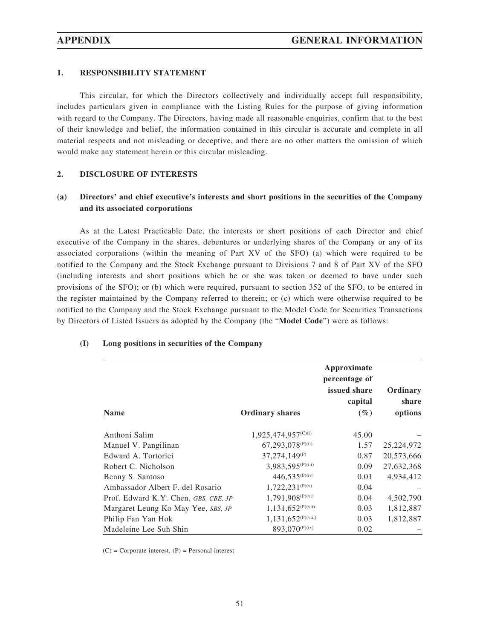### **1. RESPONSIBILITY STATEMENT**

This circular, for which the Directors collectively and individually accept full responsibility, includes particulars given in compliance with the Listing Rules for the purpose of giving information with regard to the Company. The Directors, having made all reasonable enquiries, confirm that to the best of their knowledge and belief, the information contained in this circular is accurate and complete in all material respects and not misleading or deceptive, and there are no other matters the omission of which would make any statement herein or this circular misleading.

#### **2. DISCLOSURE OF INTERESTS**

## **(a) Directors' and chief executive's interests and short positions in the securities of the Company and its associated corporations**

As at the Latest Practicable Date, the interests or short positions of each Director and chief executive of the Company in the shares, debentures or underlying shares of the Company or any of its associated corporations (within the meaning of Part XV of the SFO) (a) which were required to be notified to the Company and the Stock Exchange pursuant to Divisions 7 and 8 of Part XV of the SFO (including interests and short positions which he or she was taken or deemed to have under such provisions of the SFO); or (b) which were required, pursuant to section 352 of the SFO, to be entered in the register maintained by the Company referred to therein; or (c) which were otherwise required to be notified to the Company and the Stock Exchange pursuant to the Model Code for Securities Transactions by Directors of Listed Issuers as adopted by the Company (the "**Model Code**") were as follows:

|                                      |                               | Approximate   |            |
|--------------------------------------|-------------------------------|---------------|------------|
|                                      |                               | percentage of |            |
|                                      |                               | issued share  | Ordinary   |
|                                      |                               | capital       | share      |
| <b>Name</b>                          | <b>Ordinary shares</b>        | $(\%)$        | options    |
| Anthoni Salim                        | 1,925,474,957(C)(i)           | 45.00         |            |
| Manuel V. Pangilinan                 | 67,293,078 <sup>(P)(ii)</sup> | 1.57          | 25,224,972 |
| Edward A. Tortorici                  | $37,274,149^{(P)}$            | 0.87          | 20,573,666 |
| Robert C. Nicholson                  | 3,983,595 <sup>(P)(iii)</sup> | 0.09          | 27,632,368 |
| Benny S. Santoso                     | $446,535^{(P)(iv)}$           | 0.01          | 4,934,412  |
| Ambassador Albert F. del Rosario     | $1,722,231^{(P)(v)}$          | 0.04          |            |
| Prof. Edward K.Y. Chen, GBS, CBE, JP | 1,791,908 <sup>(P)(vi)</sup>  | 0.04          | 4,502,790  |
| Margaret Leung Ko May Yee, SBS, JP   | $1,131,652^{(P)(vii)}$        | 0.03          | 1,812,887  |
| Philip Fan Yan Hok                   | $1,131,652^{(P)(viii)}$       | 0.03          | 1,812,887  |
| Madeleine Lee Suh Shin               | 893,070 <sup>(P)(ix)</sup>    | 0.02          |            |

#### **(I) Long positions in securities of the Company**

 $(C)$  = Corporate interest,  $(P)$  = Personal interest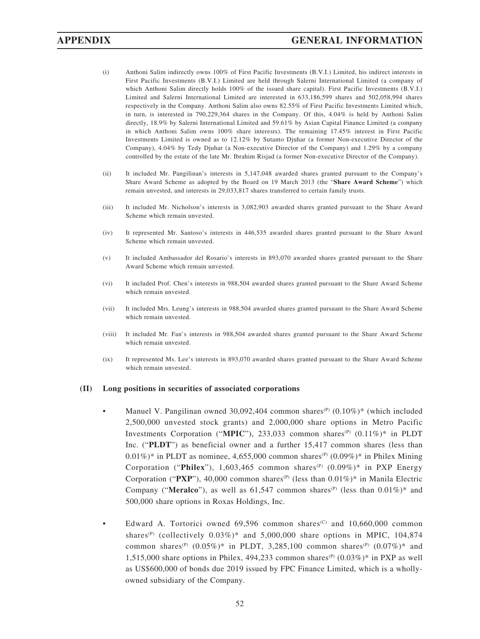- (i) Anthoni Salim indirectly owns 100% of First Pacific Investments (B.V.I.) Limited, his indirect interests in First Pacific Investments (B.V.I.) Limited are held through Salerni International Limited (a company of which Anthoni Salim directly holds 100% of the issued share capital). First Pacific Investments (B.V.I.) Limited and Salerni International Limited are interested in 633,186,599 shares and 502,058,994 shares respectively in the Company. Anthoni Salim also owns 82.55% of First Pacific Investments Limited which, in turn, is interested in 790,229,364 shares in the Company. Of this, 4.04% is held by Anthoni Salim directly, 18.9% by Salerni International Limited and 59.61% by Asian Capital Finance Limited (a company in which Anthoni Salim owns 100% share interests). The remaining 17.45% interest in First Pacific Investments Limited is owned as to 12.12% by Sutanto Djuhar (a former Non-executive Director of the Company), 4.04% by Tedy Djuhar (a Non-executive Director of the Company) and 1.29% by a company controlled by the estate of the late Mr. Ibrahim Risjad (a former Non-executive Director of the Company).
- (ii) It included Mr. Pangilinan's interests in 5,147,048 awarded shares granted pursuant to the Company's Share Award Scheme as adopted by the Board on 19 March 2013 (the "**Share Award Scheme**") which remain unvested, and interests in 29,033,817 shares transferred to certain family trusts.
- (iii) It included Mr. Nicholson's interests in 3,082,903 awarded shares granted pursuant to the Share Award Scheme which remain unvested.
- (iv) It represented Mr. Santoso's interests in 446,535 awarded shares granted pursuant to the Share Award Scheme which remain unvested.
- (v) It included Ambassador del Rosario's interests in 893,070 awarded shares granted pursuant to the Share Award Scheme which remain unvested.
- (vi) It included Prof. Chen's interests in 988,504 awarded shares granted pursuant to the Share Award Scheme which remain unvested.
- (vii) It included Mrs. Leung's interests in 988,504 awarded shares granted pursuant to the Share Award Scheme which remain unvested.
- (viii) It included Mr. Fan's interests in 988,504 awarded shares granted pursuant to the Share Award Scheme which remain unvested.
- (ix) It represented Ms. Lee's interests in 893,070 awarded shares granted pursuant to the Share Award Scheme which remain unvested.

#### **(II) Long positions in securities of associated corporations**

- Manuel V. Pangilinan owned 30,092,404 common shares<sup>(P)</sup> (0.10%)\* (which included 2,500,000 unvested stock grants) and 2,000,000 share options in Metro Pacific Investments Corporation ("MPIC"), 233,033 common shares<sup>(P)</sup>  $(0.11\%)^*$  in PLDT Inc. ("**PLDT**") as beneficial owner and a further 15,417 common shares (less than  $0.01\%$ )\* in PLDT as nominee, 4,655,000 common shares<sup>(P)</sup> (0.09%)\* in Philex Mining Corporation ("Philex"), 1,603,465 common shares<sup>(P)</sup> (0.09%)\* in PXP Energy Corporation (" $PXP$ "), 40,000 common shares<sup>(P)</sup> (less than 0.01%)\* in Manila Electric Company ("**Meralco**"), as well as 61,547 common shares<sup>(P)</sup> (less than  $0.01\%$ )\* and 500,000 share options in Roxas Holdings, Inc.
- Edward A. Tortorici owned  $69,596$  common shares<sup>(C)</sup> and  $10,660,000$  common shares<sup>(P)</sup> (collectively  $0.03\%$ )\* and  $5,000,000$  share options in MPIC, 104,874 common shares<sup>(P)</sup> (0.05%)\* in PLDT, 3,285,100 common shares<sup>(P)</sup> (0.07%)\* and 1,515,000 share options in Philex, 494,233 common shares<sup>(P)</sup>  $(0.03\%)^*$  in PXP as well as US\$600,000 of bonds due 2019 issued by FPC Finance Limited, which is a whollyowned subsidiary of the Company.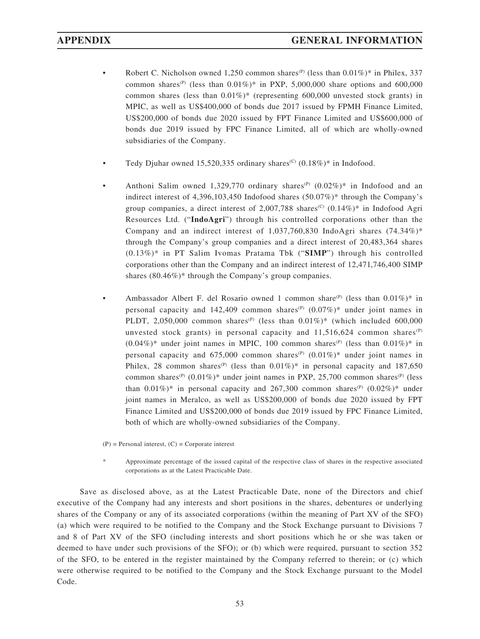- Robert C. Nicholson owned 1,250 common shares<sup>(P)</sup> (less than  $0.01\%$ )\* in Philex, 337 common shares<sup>(P)</sup> (less than  $0.01\%$ )\* in PXP, 5,000,000 share options and 600,000 common shares (less than  $0.01\%$ )\* (representing 600,000 unvested stock grants) in MPIC, as well as US\$400,000 of bonds due 2017 issued by FPMH Finance Limited, US\$200,000 of bonds due 2020 issued by FPT Finance Limited and US\$600,000 of bonds due 2019 issued by FPC Finance Limited, all of which are wholly-owned subsidiaries of the Company.
- Tedy Djuhar owned 15,520,335 ordinary shares<sup>(C)</sup>  $(0.18\%)^*$  in Indofood.
- Anthoni Salim owned 1,329,770 ordinary shares<sup>(P)</sup>  $(0.02\%)^*$  in Indofood and an indirect interest of 4,396,103,450 Indofood shares (50.07%)\* through the Company's group companies, a direct interest of 2,007,788 shares<sup>(C)</sup>  $(0.14\%)^*$  in Indofood Agri Resources Ltd. ("**IndoAgri**") through his controlled corporations other than the Company and an indirect interest of 1,037,760,830 IndoAgri shares (74.34%)\* through the Company's group companies and a direct interest of 20,483,364 shares (0.13%)\* in PT Salim Ivomas Pratama Tbk ("**SIMP**") through his controlled corporations other than the Company and an indirect interest of 12,471,746,400 SIMP shares (80.46%)\* through the Company's group companies.
- Ambassador Albert F. del Rosario owned 1 common share<sup>(P)</sup> (less than  $0.01\%)^*$  in personal capacity and 142,409 common shares<sup>(P)</sup>  $(0.07\%)^*$  under joint names in PLDT, 2,050,000 common shares<sup>(P)</sup> (less than  $0.01\%$ )\* (which included 600,000 unvested stock grants) in personal capacity and  $11,516,624$  common shares<sup>(P)</sup>  $(0.04\%)^*$  under joint names in MPIC, 100 common shares<sup>(P)</sup> (less than 0.01%)<sup>\*</sup> in personal capacity and  $675,000$  common shares<sup>(P)</sup>  $(0.01\%)^*$  under joint names in Philex, 28 common shares<sup>(P)</sup> (less than  $0.01\%$ )\* in personal capacity and 187,650 common shares<sup>(P)</sup> (0.01%)\* under joint names in PXP, 25,700 common shares<sup>(P)</sup> (less than  $0.01\%$  in personal capacity and 267,300 common shares<sup>(P)</sup>  $(0.02\%)^*$  under joint names in Meralco, as well as US\$200,000 of bonds due 2020 issued by FPT Finance Limited and US\$200,000 of bonds due 2019 issued by FPC Finance Limited, both of which are wholly-owned subsidiaries of the Company.

 $(P)$  = Personal interest,  $(C)$  = Corporate interest

Approximate percentage of the issued capital of the respective class of shares in the respective associated corporations as at the Latest Practicable Date.

Save as disclosed above, as at the Latest Practicable Date, none of the Directors and chief executive of the Company had any interests and short positions in the shares, debentures or underlying shares of the Company or any of its associated corporations (within the meaning of Part XV of the SFO) (a) which were required to be notified to the Company and the Stock Exchange pursuant to Divisions 7 and 8 of Part XV of the SFO (including interests and short positions which he or she was taken or deemed to have under such provisions of the SFO); or (b) which were required, pursuant to section 352 of the SFO, to be entered in the register maintained by the Company referred to therein; or (c) which were otherwise required to be notified to the Company and the Stock Exchange pursuant to the Model Code.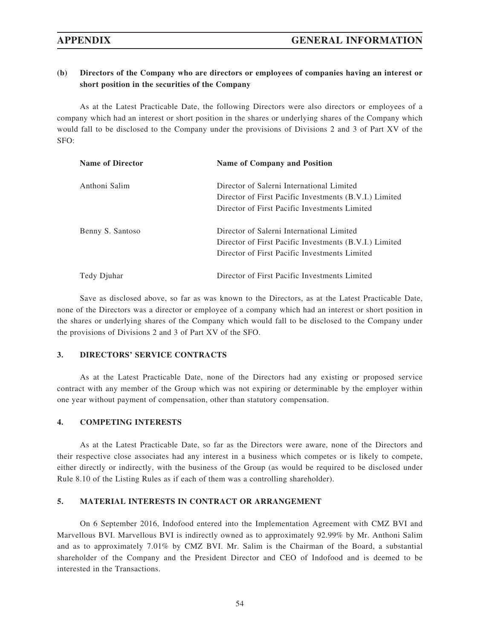## **(b) Directors of the Company who are directors or employees of companies having an interest or short position in the securities of the Company**

As at the Latest Practicable Date, the following Directors were also directors or employees of a company which had an interest or short position in the shares or underlying shares of the Company which would fall to be disclosed to the Company under the provisions of Divisions 2 and 3 of Part XV of the SFO:

| <b>Name of Director</b> | <b>Name of Company and Position</b>                                                                                                                  |
|-------------------------|------------------------------------------------------------------------------------------------------------------------------------------------------|
| Anthoni Salim           | Director of Salerni International Limited<br>Director of First Pacific Investments (B.V.I.) Limited<br>Director of First Pacific Investments Limited |
| Benny S. Santoso        | Director of Salerni International Limited<br>Director of First Pacific Investments (B.V.I.) Limited<br>Director of First Pacific Investments Limited |
| Tedy Djuhar             | Director of First Pacific Investments Limited                                                                                                        |

Save as disclosed above, so far as was known to the Directors, as at the Latest Practicable Date, none of the Directors was a director or employee of a company which had an interest or short position in the shares or underlying shares of the Company which would fall to be disclosed to the Company under the provisions of Divisions 2 and 3 of Part XV of the SFO.

#### **3. DIRECTORS' SERVICE CONTRACTS**

As at the Latest Practicable Date, none of the Directors had any existing or proposed service contract with any member of the Group which was not expiring or determinable by the employer within one year without payment of compensation, other than statutory compensation.

#### **4. COMPETING INTERESTS**

As at the Latest Practicable Date, so far as the Directors were aware, none of the Directors and their respective close associates had any interest in a business which competes or is likely to compete, either directly or indirectly, with the business of the Group (as would be required to be disclosed under Rule 8.10 of the Listing Rules as if each of them was a controlling shareholder).

#### **5. MATERIAL INTERESTS IN CONTRACT OR ARRANGEMENT**

On 6 September 2016, Indofood entered into the Implementation Agreement with CMZ BVI and Marvellous BVI. Marvellous BVI is indirectly owned as to approximately 92.99% by Mr. Anthoni Salim and as to approximately 7.01% by CMZ BVI. Mr. Salim is the Chairman of the Board, a substantial shareholder of the Company and the President Director and CEO of Indofood and is deemed to be interested in the Transactions.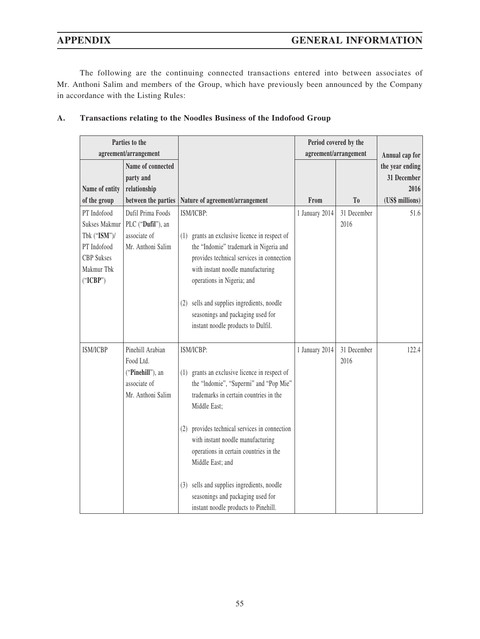The following are the continuing connected transactions entered into between associates of Mr. Anthoni Salim and members of the Group, which have previously been announced by the Company in accordance with the Listing Rules:

|                                                                                                                   | Parties to the<br>agreement/arrangement                                                |                                                                                                                                                                                                                                                                                                                                                                                                                                                        | Period covered by the<br>agreement/arrangement |                     | Annual cap for                                            |
|-------------------------------------------------------------------------------------------------------------------|----------------------------------------------------------------------------------------|--------------------------------------------------------------------------------------------------------------------------------------------------------------------------------------------------------------------------------------------------------------------------------------------------------------------------------------------------------------------------------------------------------------------------------------------------------|------------------------------------------------|---------------------|-----------------------------------------------------------|
| Name of entity<br>of the group                                                                                    | Name of connected<br>party and<br>relationship<br>between the parties                  | Nature of agreement/arrangement                                                                                                                                                                                                                                                                                                                                                                                                                        | From                                           | T <sub>0</sub>      | the year ending<br>31 December<br>2016<br>(US\$ millions) |
| PT Indofood<br><b>Sukses Makmur</b><br>Tbk ("ISM")/<br>PT Indofood<br><b>CBP</b> Sukses<br>Makmur Tbk<br>("ICBP") | Dufil Prima Foods<br>PLC ("Dufil"), an<br>associate of<br>Mr. Anthoni Salim            | ISM/ICBP:<br>grants an exclusive licence in respect of<br>(1)<br>the "Indomie" trademark in Nigeria and<br>provides technical services in connection<br>with instant noodle manufacturing<br>operations in Nigeria; and<br>sells and supplies ingredients, noodle<br>(2)<br>seasonings and packaging used for<br>instant noodle products to Dulfil.                                                                                                    | 1 January 2014                                 | 31 December<br>2016 | 51.6                                                      |
| <b>ISM/ICBP</b>                                                                                                   | Pinehill Arabian<br>Food Ltd.<br>("Pinehill"), an<br>associate of<br>Mr. Anthoni Salim | ISM/ICBP:<br>grants an exclusive licence in respect of<br>(1)<br>the "Indomie", "Supermi" and "Pop Mie"<br>trademarks in certain countries in the<br>Middle East;<br>provides technical services in connection<br>(2)<br>with instant noodle manufacturing<br>operations in certain countries in the<br>Middle East; and<br>sells and supplies ingredients, noodle<br>(3)<br>seasonings and packaging used for<br>instant noodle products to Pinehill. | 1 January 2014                                 | 31 December<br>2016 | 122.4                                                     |

## **A. Transactions relating to the Noodles Business of the Indofood Group**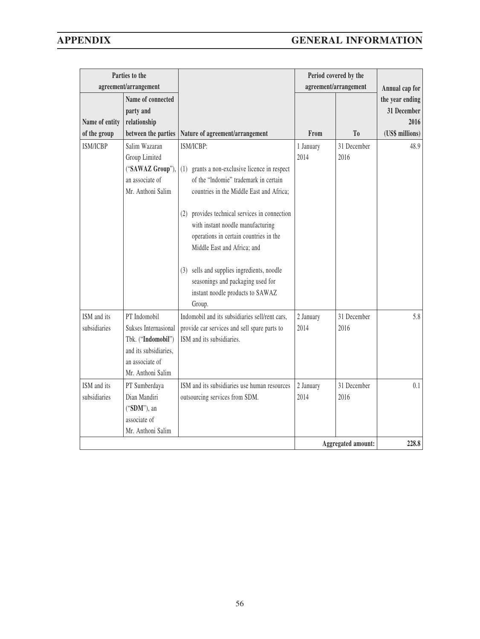|                 | Parties to the        |                                                  |           | Period covered by the     |                 |
|-----------------|-----------------------|--------------------------------------------------|-----------|---------------------------|-----------------|
|                 | agreement/arrangement |                                                  |           | agreement/arrangement     | Annual cap for  |
|                 | Name of connected     |                                                  |           |                           | the year ending |
|                 | party and             |                                                  |           |                           | 31 December     |
| Name of entity  | relationship          |                                                  |           |                           | 2016            |
| of the group    | between the parties   | Nature of agreement/arrangement                  | From      | T <sub>0</sub>            | (US\$ millions) |
| <b>ISM/ICBP</b> | Salim Wazaran         | ISM/ICBP:                                        | 1 January | 31 December               | 48.9            |
|                 | Group Limited         |                                                  | 2014      | 2016                      |                 |
|                 | ("SAWAZ Group"),      | grants a non-exclusive licence in respect<br>(1) |           |                           |                 |
|                 | an associate of       | of the "Indomie" trademark in certain            |           |                           |                 |
|                 | Mr. Anthoni Salim     | countries in the Middle East and Africa;         |           |                           |                 |
|                 |                       | provides technical services in connection        |           |                           |                 |
|                 |                       | (2)<br>with instant noodle manufacturing         |           |                           |                 |
|                 |                       | operations in certain countries in the           |           |                           |                 |
|                 |                       | Middle East and Africa; and                      |           |                           |                 |
|                 |                       |                                                  |           |                           |                 |
|                 |                       | sells and supplies ingredients, noodle<br>(3)    |           |                           |                 |
|                 |                       | seasonings and packaging used for                |           |                           |                 |
|                 |                       | instant noodle products to SAWAZ                 |           |                           |                 |
|                 |                       | Group.                                           |           |                           |                 |
| ISM and its     | PT Indomobil          | Indomobil and its subsidiaries sell/rent cars,   | 2 January | 31 December               | 5.8             |
| subsidiaries    | Sukses Internasional  | provide car services and sell spare parts to     | 2014      | 2016                      |                 |
|                 | Tbk. ("Indomobil")    | ISM and its subsidiaries.                        |           |                           |                 |
|                 | and its subsidiaries, |                                                  |           |                           |                 |
|                 | an associate of       |                                                  |           |                           |                 |
|                 | Mr. Anthoni Salim     |                                                  |           |                           |                 |
| ISM and its     | PT Sumberdaya         | ISM and its subsidiaries use human resources     | 2 January | 31 December               | 0.1             |
| subsidiaries    | Dian Mandiri          | outsourcing services from SDM.                   | 2014      | 2016                      |                 |
|                 | ("SDM"), an           |                                                  |           |                           |                 |
|                 | associate of          |                                                  |           |                           |                 |
|                 | Mr. Anthoni Salim     |                                                  |           |                           |                 |
|                 |                       |                                                  |           | <b>Aggregated amount:</b> | 228.8           |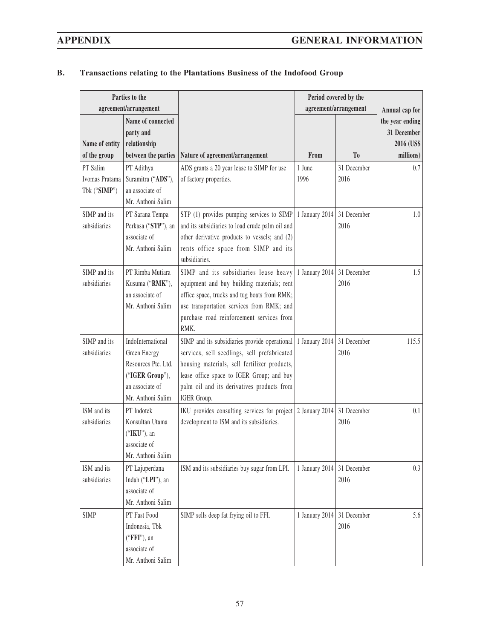| Parties to the                 |                                                                       |                                                                                         | Period covered by the |                       |                                                           |
|--------------------------------|-----------------------------------------------------------------------|-----------------------------------------------------------------------------------------|-----------------------|-----------------------|-----------------------------------------------------------|
|                                | agreement/arrangement                                                 |                                                                                         |                       | agreement/arrangement | Annual cap for                                            |
| Name of entity<br>of the group | Name of connected<br>party and<br>relationship<br>between the parties | Nature of agreement/arrangement                                                         | From                  | T <sub>0</sub>        | the year ending<br>31 December<br>2016 (US\$<br>millions) |
| PT Salim                       | PT Adithya                                                            | ADS grants a 20 year lease to SIMP for use                                              | 1 June                | 31 December           | 0.7                                                       |
| Ivomas Pratama                 | Suramitra ("ADS"),                                                    | of factory properties.                                                                  | 1996                  | 2016                  |                                                           |
| Tbk ("SIMP")                   | an associate of<br>Mr. Anthoni Salim                                  |                                                                                         |                       |                       |                                                           |
| SIMP and its                   | PT Sarana Tempa                                                       | STP (1) provides pumping services to SIMP   1 January 2014                              |                       | 31 December           | 1.0                                                       |
| subsidiaries                   | Perkasa ("STP"), an                                                   | and its subsidiaries to load crude palm oil and                                         |                       | 2016                  |                                                           |
|                                | associate of                                                          | other derivative products to vessels; and (2)                                           |                       |                       |                                                           |
|                                | Mr. Anthoni Salim                                                     | rents office space from SIMP and its                                                    |                       |                       |                                                           |
|                                |                                                                       | subsidiaries.                                                                           |                       |                       |                                                           |
| SIMP and its                   | PT Rimba Mutiara                                                      | SIMP and its subsidiaries lease heavy                                                   | 1 January 2014        | 31 December           | 1.5                                                       |
| subsidiaries                   | Kusuma ("RMK"),                                                       | equipment and buy building materials; rent                                              |                       | 2016                  |                                                           |
|                                | an associate of                                                       | office space, trucks and tug boats from RMK;                                            |                       |                       |                                                           |
|                                | Mr. Anthoni Salim                                                     | use transportation services from RMK; and                                               |                       |                       |                                                           |
|                                |                                                                       | purchase road reinforcement services from<br>RMK.                                       |                       |                       |                                                           |
| SIMP and its                   | IndoInternational                                                     | SIMP and its subsidiaries provide operational                                           | 1 January 2014        | 31 December           | 115.5                                                     |
| subsidiaries                   | Green Energy                                                          | services, sell seedlings, sell prefabricated                                            |                       | 2016                  |                                                           |
|                                | Resources Pte. Ltd.                                                   | housing materials, sell fertilizer products,                                            |                       |                       |                                                           |
|                                | ("IGER Group"),                                                       | lease office space to IGER Group; and buy                                               |                       |                       |                                                           |
|                                | an associate of                                                       | palm oil and its derivatives products from                                              |                       |                       |                                                           |
|                                | Mr. Anthoni Salim                                                     | IGER Group.                                                                             |                       |                       |                                                           |
| ISM and its                    | PT Indotek                                                            | IKU provides consulting services for project $\vert$ 2 January 2014 $\vert$ 31 December |                       |                       | 0.1                                                       |
| subsidiaries                   | Konsultan Utama                                                       | development to ISM and its subsidiaries.                                                |                       | 2016                  |                                                           |
|                                | ("IKU"), an                                                           |                                                                                         |                       |                       |                                                           |
|                                | associate of                                                          |                                                                                         |                       |                       |                                                           |
|                                | Mr. Anthoni Salim                                                     |                                                                                         |                       |                       |                                                           |
| ISM and its                    | PT Lajuperdana                                                        | ISM and its subsidiaries buy sugar from LPI.                                            | 1 January 2014        | 31 December           | 0.3                                                       |
| subsidiaries                   | Indah ("LPI"), an<br>associate of                                     |                                                                                         |                       | 2016                  |                                                           |
|                                | Mr. Anthoni Salim                                                     |                                                                                         |                       |                       |                                                           |
| <b>SIMP</b>                    | PT Fast Food                                                          | SIMP sells deep fat frying oil to FFI.                                                  | 1 January 2014        | 31 December           | 5.6                                                       |
|                                | Indonesia, Tbk                                                        |                                                                                         |                       | 2016                  |                                                           |
|                                | ("FFI"), an                                                           |                                                                                         |                       |                       |                                                           |
|                                | associate of                                                          |                                                                                         |                       |                       |                                                           |
|                                | Mr. Anthoni Salim                                                     |                                                                                         |                       |                       |                                                           |

## **B. Transactions relating to the Plantations Business of the Indofood Group**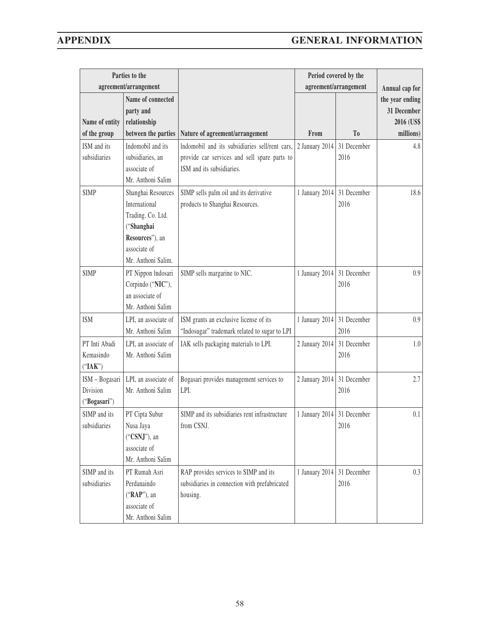|                                | Parties to the                      |                                                |                            | Period covered by the |                         |
|--------------------------------|-------------------------------------|------------------------------------------------|----------------------------|-----------------------|-------------------------|
|                                | agreement/arrangement               |                                                | agreement/arrangement      | Annual cap for        |                         |
|                                | Name of connected                   |                                                |                            |                       | the year ending         |
|                                | party and                           |                                                |                            |                       | 31 December             |
| Name of entity<br>of the group | relationship<br>between the parties | Nature of agreement/arrangement                | From                       | T <sub>0</sub>        | 2016 (US\$<br>millions) |
| ISM and its                    | Indomobil and its                   | Indomobil and its subsidiaries sell/rent cars, | 2 January 2014             | 31 December           | 4.8                     |
| subsidiaries                   | subsidiaries, an                    | provide car services and sell spare parts to   |                            | 2016                  |                         |
|                                | associate of                        | ISM and its subsidiaries.                      |                            |                       |                         |
|                                | Mr. Anthoni Salim                   |                                                |                            |                       |                         |
| <b>SIMP</b>                    | Shanghai Resources                  | SIMP sells palm oil and its derivative         | 1 January 2014 31 December |                       | 18.6                    |
|                                | International                       | products to Shanghai Resources.                |                            | 2016                  |                         |
|                                | Trading. Co. Ltd.                   |                                                |                            |                       |                         |
|                                | ("Shanghai                          |                                                |                            |                       |                         |
|                                | Resources"), an                     |                                                |                            |                       |                         |
|                                | associate of                        |                                                |                            |                       |                         |
|                                | Mr. Anthoni Salim.                  |                                                |                            |                       |                         |
| <b>SIMP</b>                    | PT Nippon Indosari                  | SIMP sells margarine to NIC.                   | 1 January 2014 31 December |                       | 0.9                     |
|                                | Corpindo ("NIC"),                   |                                                |                            | 2016                  |                         |
|                                | an associate of                     |                                                |                            |                       |                         |
|                                | Mr. Anthoni Salim                   |                                                |                            |                       |                         |
| <b>ISM</b>                     | LPI, an associate of                | ISM grants an exclusive license of its         | 1 January 2014             | 31 December           | 0.9                     |
|                                | Mr. Anthoni Salim                   | "Indosugar" trademark related to sugar to LPI  |                            | 2016                  |                         |
| PT Inti Abadi                  | LPI, an associate of                | IAK sells packaging materials to LPI.          | 2 January 2014             | 31 December           | 1.0                     |
| Kemasindo                      | Mr. Anthoni Salim                   |                                                |                            | 2016                  |                         |
| ("IAK")                        |                                     |                                                |                            |                       |                         |
| ISM - Bogasari                 | LPI, an associate of                | Bogasari provides management services to       | 2 January 2014             | 31 December           | 2.7                     |
| Division                       | Mr. Anthoni Salim                   | LPI.                                           |                            | 2016                  |                         |
| ("Bogasari")                   |                                     |                                                |                            |                       |                         |
| SIMP and its                   | PT Cipta Subur                      | SIMP and its subsidiaries rent infrastructure  | 1 January 2014 31 December |                       | 0.1                     |
| subsidiaries                   | Nusa Jaya                           | from CSNJ.                                     |                            | 2016                  |                         |
|                                | ("CSNJ"), an                        |                                                |                            |                       |                         |
|                                | associate of                        |                                                |                            |                       |                         |
|                                | Mr. Anthoni Salim                   |                                                |                            |                       |                         |
| SIMP and its                   | PT Rumah Asri                       | RAP provides services to SIMP and its          | 1 January 2014             | 31 December           | 0.3                     |
| subsidiaries                   | Perdanaindo                         | subsidiaries in connection with prefabricated  |                            | 2016                  |                         |
|                                | ("RAP"), an                         | housing.                                       |                            |                       |                         |
|                                | associate of                        |                                                |                            |                       |                         |
|                                | Mr. Anthoni Salim                   |                                                |                            |                       |                         |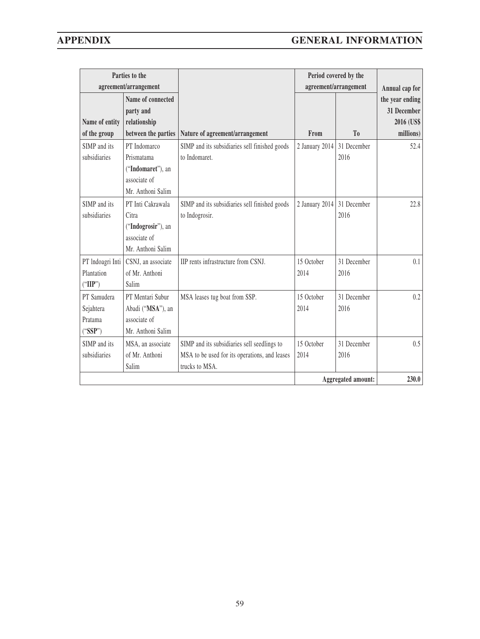| agreement/arrangement<br>Name of connected<br>party and<br>Name of entity<br>relationship<br>of the group<br>between the parties<br>Nature of agreement/arrangement<br>SIMP and its<br>PT Indomarco<br>SIMP and its subsidiaries sell finished goods<br>to Indomaret.<br>subsidiaries<br>Prismatama<br>("Indomaret"), an<br>associate of<br>Mr. Anthoni Salim<br>SIMP and its<br>PT Inti Cakrawala<br>SIMP and its subsidiaries sell finished goods<br>to Indogrosir.<br>subsidiaries<br>Citra<br>("Indogrosir"), an<br>associate of<br>Mr. Anthoni Salim<br>IIP rents infrastructure from CSNJ.<br>PT Indoagri Inti<br>CSNJ, an associate<br>Plantation<br>of Mr. Anthoni<br>2014<br>("IIP")<br>Salim | From<br>2 January 2014<br>2 January 2014 | agreement/arrangement<br>T <sub>0</sub><br>31 December<br>2016<br>31 December<br>2016 | Annual cap for<br>the year ending<br>31 December<br>2016 (US\$<br>millions)<br>52.4<br>22.8 |
|--------------------------------------------------------------------------------------------------------------------------------------------------------------------------------------------------------------------------------------------------------------------------------------------------------------------------------------------------------------------------------------------------------------------------------------------------------------------------------------------------------------------------------------------------------------------------------------------------------------------------------------------------------------------------------------------------------|------------------------------------------|---------------------------------------------------------------------------------------|---------------------------------------------------------------------------------------------|
|                                                                                                                                                                                                                                                                                                                                                                                                                                                                                                                                                                                                                                                                                                        |                                          |                                                                                       |                                                                                             |
|                                                                                                                                                                                                                                                                                                                                                                                                                                                                                                                                                                                                                                                                                                        |                                          |                                                                                       |                                                                                             |
|                                                                                                                                                                                                                                                                                                                                                                                                                                                                                                                                                                                                                                                                                                        |                                          |                                                                                       |                                                                                             |
|                                                                                                                                                                                                                                                                                                                                                                                                                                                                                                                                                                                                                                                                                                        | 15 October                               | 31 December<br>2016                                                                   | 0.1                                                                                         |
| PT Samudera<br>PT Mentari Subur<br>MSA leases tug boat from SSP.<br>Sejahtera<br>Abadi ("MSA"), an<br>2014<br>associate of<br>Pratama<br>("SSP")<br>Mr. Anthoni Salim                                                                                                                                                                                                                                                                                                                                                                                                                                                                                                                                  | 15 October                               | 31 December<br>2016                                                                   | 0.2                                                                                         |
| SIMP and its subsidiaries sell seedlings to<br>SIMP and its<br>MSA, an associate<br>subsidiaries<br>of Mr. Anthoni<br>MSA to be used for its operations, and leases<br>2014<br>trucks to MSA.<br>Salim                                                                                                                                                                                                                                                                                                                                                                                                                                                                                                 | 15 October                               | 31 December<br>2016<br><b>Aggregated amount:</b>                                      | 0.5<br>230.0                                                                                |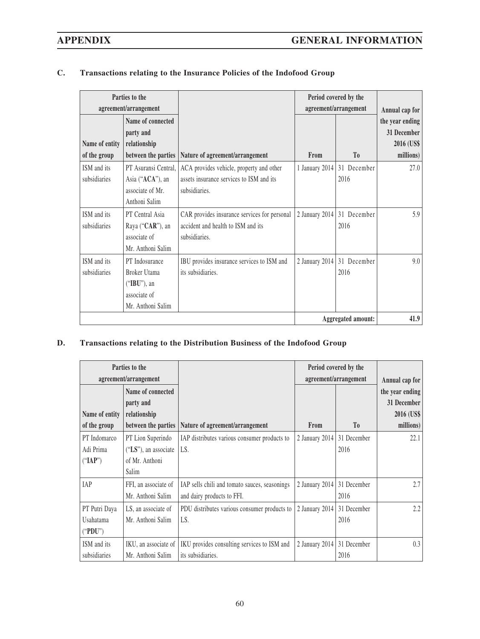| Parties to the<br>agreement/arrangement |                                                                                        |                                                                                                       | Period covered by the<br>agreement/arrangement |                                    |                                                                |
|-----------------------------------------|----------------------------------------------------------------------------------------|-------------------------------------------------------------------------------------------------------|------------------------------------------------|------------------------------------|----------------------------------------------------------------|
| Name of entity                          | Name of connected<br>party and<br>relationship                                         |                                                                                                       |                                                |                                    | Annual cap for<br>the year ending<br>31 December<br>2016 (US\$ |
| of the group                            | between the parties                                                                    | Nature of agreement/arrangement                                                                       | From                                           | T <sub>0</sub>                     | millions)                                                      |
| ISM and its<br>subsidiaries             | PT Asuransi Central.<br>Asia (" <b>ACA</b> "), an<br>associate of Mr.<br>Anthoni Salim | ACA provides vehicle, property and other<br>assets insurance services to ISM and its<br>subsidiaries. |                                                | 1 January 2014 31 December<br>2016 | 27.0                                                           |
| ISM and its<br>subsidiaries             | PT Central Asia<br>Raya ("CAR"), an<br>associate of<br>Mr. Anthoni Salim               | CAR provides insurance services for personal<br>accident and health to ISM and its<br>subsidiaries.   | 2 January 2014                                 | 31 December<br>2016                | 5.9                                                            |
| ISM and its<br>subsidiaries             | PT Indosurance<br>Broker Utama<br>$("IBU")$ , an<br>associate of<br>Mr. Anthoni Salim  | IBU provides insurance services to ISM and<br>its subsidiaries.                                       |                                                | 2 January 2014 31 December<br>2016 | 9.0                                                            |
|                                         |                                                                                        |                                                                                                       |                                                | <b>Aggregated amount:</b>          | 41.9                                                           |

## **C. Transactions relating to the Insurance Policies of the Indofood Group**

## **D. Transactions relating to the Distribution Business of the Indofood Group**

| Parties to the        |                         |                                               | Period covered by the |                |                 |
|-----------------------|-------------------------|-----------------------------------------------|-----------------------|----------------|-----------------|
| agreement/arrangement |                         |                                               | agreement/arrangement |                | Annual cap for  |
|                       | Name of connected       |                                               |                       |                | the year ending |
|                       | party and               |                                               |                       |                | 31 December     |
| Name of entity        | relationship            |                                               |                       |                | 2016 (US\$      |
| of the group          | between the parties     | Nature of agreement/arrangement               | <b>From</b>           | T <sub>0</sub> | millions)       |
| PT Indomarco          | PT Lion Superindo       | IAP distributes various consumer products to  | 2 January 2014        | 31 December    | 22.1            |
| Adi Prima             | $("LS")$ , an associate | LS.                                           |                       | 2016           |                 |
| ("IAP")               | of Mr. Anthoni          |                                               |                       |                |                 |
|                       | Salim                   |                                               |                       |                |                 |
| <b>IAP</b>            | FFI, an associate of    | IAP sells chili and tomato sauces, seasonings | 2 January 2014        | 31 December    | 2.7             |
|                       | Mr. Anthoni Salim       | and dairy products to FFI.                    |                       | 2016           |                 |
| PT Putri Daya         | LS, an associate of     | PDU distributes various consumer products to  | 2 January 2014        | 31 December    | 2.2             |
| Usahatama             | Mr. Anthoni Salim       | LS.                                           |                       | 2016           |                 |
| ("PDU")               |                         |                                               |                       |                |                 |
| ISM and its           | IKU, an associate of    | IKU provides consulting services to ISM and   | 2 January 2014        | 31 December    | 0.3             |
| subsidiaries          | Mr. Anthoni Salim       | its subsidiaries.                             |                       | 2016           |                 |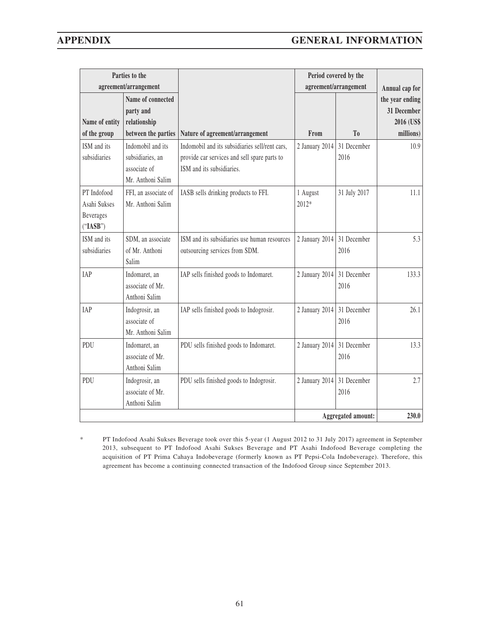| Parties to the                                       |                                                                         |                                                                                   | Period covered by the |                                         |                                                                             |
|------------------------------------------------------|-------------------------------------------------------------------------|-----------------------------------------------------------------------------------|-----------------------|-----------------------------------------|-----------------------------------------------------------------------------|
| Name of entity                                       | agreement/arrangement<br>Name of connected<br>party and<br>relationship |                                                                                   | From                  | agreement/arrangement<br>T <sub>0</sub> | Annual cap for<br>the year ending<br>31 December<br>2016 (US\$<br>millions) |
| of the group<br>ISM and its                          | between the parties<br>Indomobil and its                                | Nature of agreement/arrangement<br>Indomobil and its subsidiaries sell/rent cars, | 2 January 2014        | 31 December                             | 10.9                                                                        |
| subsidiaries                                         | subsidiaries, an<br>associate of<br>Mr. Anthoni Salim                   | provide car services and sell spare parts to<br>ISM and its subsidiaries.         |                       | 2016                                    |                                                                             |
| PT Indofood<br>Asahi Sukses<br>Beverages<br>("IASB") | FFI, an associate of<br>Mr. Anthoni Salim                               | IASB sells drinking products to FFI.                                              | 1 August<br>2012*     | 31 July 2017                            | 11.1                                                                        |
| ISM and its<br>subsidiaries                          | SDM, an associate<br>of Mr. Anthoni<br>Salim                            | ISM and its subsidiaries use human resources<br>outsourcing services from SDM.    | 2 January 2014        | 31 December<br>2016                     | 5.3                                                                         |
| <b>IAP</b>                                           | Indomaret, an<br>associate of Mr.<br>Anthoni Salim                      | IAP sells finished goods to Indomaret.                                            | 2 January 2014        | 31 December<br>2016                     | 133.3                                                                       |
| IAP                                                  | Indogrosir, an<br>associate of<br>Mr. Anthoni Salim                     | IAP sells finished goods to Indogrosir.                                           | 2 January 2014        | 31 December<br>2016                     | 26.1                                                                        |
| PDU                                                  | Indomaret, an<br>associate of Mr.<br>Anthoni Salim                      | PDU sells finished goods to Indomaret.                                            | 2 January 2014        | 31 December<br>2016                     | 13.3                                                                        |
| PDU                                                  | Indogrosir, an<br>associate of Mr.<br>Anthoni Salim                     | PDU sells finished goods to Indogrosir.                                           | 2 January 2014        | 31 December<br>2016                     | 2.7                                                                         |
|                                                      |                                                                         |                                                                                   |                       | <b>Aggregated amount:</b>               | 230.0                                                                       |

PT Indofood Asahi Sukses Beverage took over this 5-year (1 August 2012 to 31 July 2017) agreement in September 2013, subsequent to PT Indofood Asahi Sukses Beverage and PT Asahi Indofood Beverage completing the acquisition of PT Prima Cahaya Indobeverage (formerly known as PT Pepsi-Cola Indobeverage). Therefore, this agreement has become a continuing connected transaction of the Indofood Group since September 2013.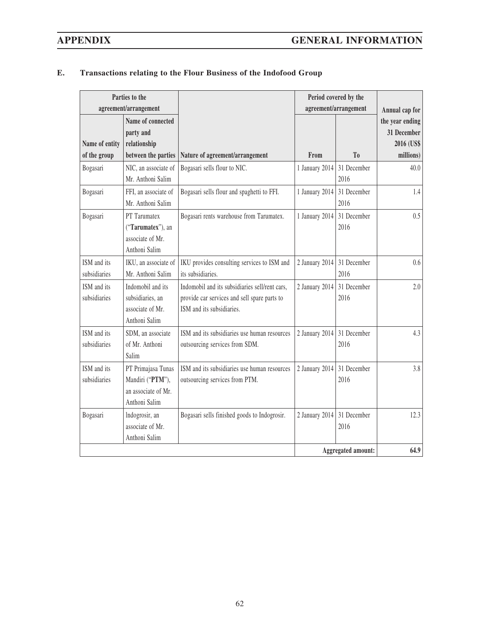| Parties to the              |                                                                                |                                                                                                                             | Period covered by the      |                           |                                                           |
|-----------------------------|--------------------------------------------------------------------------------|-----------------------------------------------------------------------------------------------------------------------------|----------------------------|---------------------------|-----------------------------------------------------------|
| agreement/arrangement       |                                                                                |                                                                                                                             | agreement/arrangement      |                           | Annual cap for                                            |
| Name of entity              | Name of connected<br>party and<br>relationship                                 |                                                                                                                             | From                       | T <sub>0</sub>            | the year ending<br>31 December<br>2016 (US\$<br>millions) |
| of the group                | between the parties                                                            | Nature of agreement/arrangement                                                                                             |                            |                           |                                                           |
| Bogasari                    | NIC, an associate of<br>Mr. Anthoni Salim                                      | Bogasari sells flour to NIC.                                                                                                | 1 January 2014             | 31 December<br>2016       | 40.0                                                      |
| Bogasari                    | FFI, an associate of<br>Mr. Anthoni Salim                                      | Bogasari sells flour and spaghetti to FFI.                                                                                  | 1 January 2014             | 31 December<br>2016       | 1.4                                                       |
| Bogasari                    | PT Tarumatex<br>("Tarumatex"), an<br>associate of Mr.<br>Anthoni Salim         | Bogasari rents warehouse from Tarumatex.                                                                                    | 1 January 2014             | 31 December<br>2016       | 0.5                                                       |
| ISM and its<br>subsidiaries | IKU, an associate of<br>Mr. Anthoni Salim                                      | IKU provides consulting services to ISM and<br>its subsidiaries.                                                            | 2 January 2014             | 31 December<br>2016       | 0.6                                                       |
| ISM and its<br>subsidiaries | Indomobil and its<br>subsidiaries, an<br>associate of Mr.<br>Anthoni Salim     | Indomobil and its subsidiaries sell/rent cars,<br>provide car services and sell spare parts to<br>ISM and its subsidiaries. | 2 January 2014             | 31 December<br>2016       | 2.0                                                       |
| ISM and its<br>subsidiaries | SDM, an associate<br>of Mr. Anthoni<br>Salim                                   | ISM and its subsidiaries use human resources<br>outsourcing services from SDM.                                              | 2 January 2014             | 31 December<br>2016       | 4.3                                                       |
| ISM and its<br>subsidiaries | PT Primajasa Tunas<br>Mandiri ("PTM"),<br>an associate of Mr.<br>Anthoni Salim | ISM and its subsidiaries use human resources<br>outsourcing services from PTM.                                              | 2 January 2014 31 December | 2016                      | 3.8                                                       |
| Bogasari                    | Indogrosir, an<br>associate of Mr.<br>Anthoni Salim                            | Bogasari sells finished goods to Indogrosir.                                                                                | 2 January 2014 31 December | 2016                      | 12.3                                                      |
|                             |                                                                                |                                                                                                                             |                            | <b>Aggregated amount:</b> | 64.9                                                      |

## **E. Transactions relating to the Flour Business of the Indofood Group**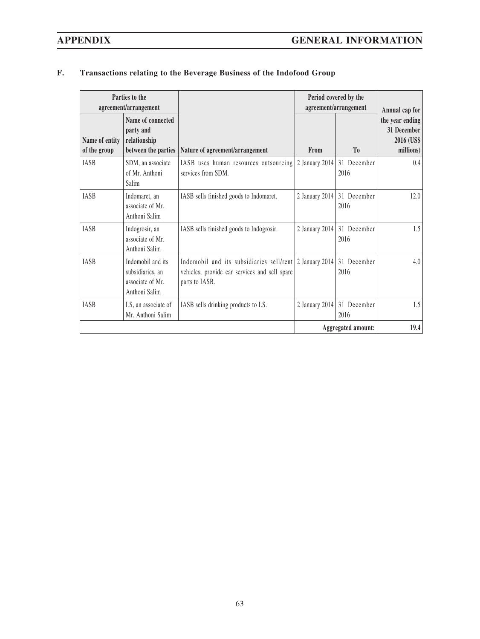| Parties to the<br>agreement/arrangement |                                                                            |                                                                                                                            | Period covered by the<br>agreement/arrangement |                                    | Annual cap for                                            |
|-----------------------------------------|----------------------------------------------------------------------------|----------------------------------------------------------------------------------------------------------------------------|------------------------------------------------|------------------------------------|-----------------------------------------------------------|
| Name of entity<br>of the group          | Name of connected<br>party and<br>relationship<br>between the parties      | Nature of agreement/arrangement                                                                                            | From                                           | T <sub>0</sub>                     | the year ending<br>31 December<br>2016 (US\$<br>millions) |
| IASB                                    | SDM, an associate<br>of Mr. Anthoni<br>Salim                               | IASB uses human resources outsourcing<br>services from SDM.                                                                | 2 January 2014                                 | 31 December<br>2016                | 0.4                                                       |
| <b>IASB</b>                             | Indomaret, an<br>associate of Mr.<br>Anthoni Salim                         | IASB sells finished goods to Indomaret.                                                                                    |                                                | 2 January 2014 31 December<br>2016 | 12.0                                                      |
| <b>IASB</b>                             | Indogrosir, an<br>associate of Mr.<br>Anthoni Salim                        | IASB sells finished goods to Indogrosir.                                                                                   | 2 January 2014                                 | 31 December<br>2016                | 1.5                                                       |
| <b>IASB</b>                             | Indomobil and its<br>subsidiaries, an<br>associate of Mr.<br>Anthoni Salim | Indomobil and its subsidiaries sell/rent 2 January 2014<br>vehicles, provide car services and sell spare<br>parts to IASB. |                                                | 31 December<br>2016                | 4.0                                                       |
| <b>IASB</b>                             | LS, an associate of<br>Mr. Anthoni Salim                                   | IASB sells drinking products to LS.                                                                                        |                                                | 2 January 2014 31 December<br>2016 | 1.5                                                       |
|                                         |                                                                            |                                                                                                                            | <b>Aggregated amount:</b>                      |                                    | 19.4                                                      |

## **F. Transactions relating to the Beverage Business of the Indofood Group**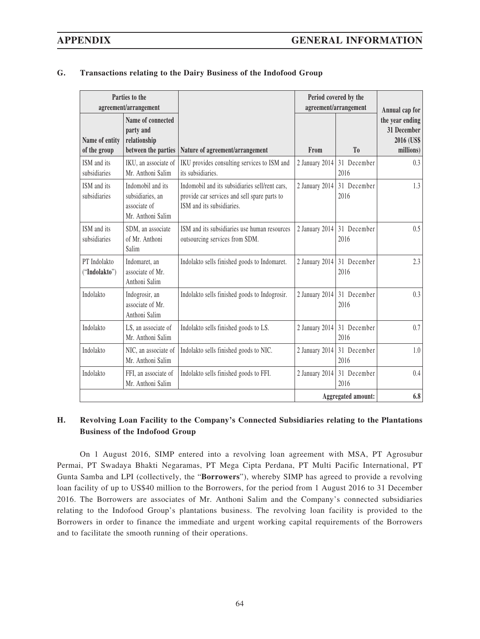| Parties to the<br>agreement/arrangement |                                                                            |                                                                                                                             | Period covered by the<br>agreement/arrangement |                                    | Annual cap for                                            |
|-----------------------------------------|----------------------------------------------------------------------------|-----------------------------------------------------------------------------------------------------------------------------|------------------------------------------------|------------------------------------|-----------------------------------------------------------|
| Name of entity<br>of the group          | Name of connected<br>party and<br>relationship<br>between the parties      | Nature of agreement/arrangement                                                                                             | From                                           | T <sub>0</sub>                     | the year ending<br>31 December<br>2016 (US\$<br>millions) |
| ISM and its<br>subsidiaries             | IKU, an associate of<br>Mr. Anthoni Salim                                  | IKU provides consulting services to ISM and<br>its subsidiaries.                                                            | 2 January 2014                                 | 31 December<br>2016                | 0.3                                                       |
| ISM and its<br>subsidiaries             | Indomobil and its<br>subsidiaries, an<br>associate of<br>Mr. Anthoni Salim | Indomobil and its subsidiaries sell/rent cars.<br>provide car services and sell spare parts to<br>ISM and its subsidiaries. | 2 January 2014                                 | 31 December<br>2016                | 1.3                                                       |
| ISM and its<br>subsidiaries             | SDM, an associate<br>of Mr. Anthoni<br>Salim                               | ISM and its subsidiaries use human resources<br>outsourcing services from SDM.                                              |                                                | 2 January 2014 31 December<br>2016 | 0.5                                                       |
| PT Indolakto<br>("Indolakto")           | Indomaret, an<br>associate of Mr.<br>Anthoni Salim                         | Indolakto sells finished goods to Indomaret.                                                                                | 2 January 2014                                 | 31 December<br>2016                | 2.3                                                       |
| Indolakto                               | Indogrosir, an<br>associate of Mr.<br>Anthoni Salim                        | Indolakto sells finished goods to Indogrosir.                                                                               |                                                | 2 January 2014 31 December<br>2016 | 0.3                                                       |
| Indolakto                               | LS, an associate of<br>Mr. Anthoni Salim                                   | Indolakto sells finished goods to LS.                                                                                       |                                                | 2 January 2014 31 December<br>2016 | 0.7                                                       |
| Indolakto                               | NIC, an associate of<br>Mr. Anthoni Salim                                  | Indolakto sells finished goods to NIC.                                                                                      | 2 January 2014                                 | 31 December<br>2016                | 1.0                                                       |
| Indolakto                               | FFI, an associate of<br>Mr. Anthoni Salim                                  | Indolakto sells finished goods to FFI.                                                                                      | 2 January 2014                                 | 31 December<br>2016                | 0.4                                                       |
|                                         |                                                                            |                                                                                                                             |                                                | Aggregated amount:                 | 6.8                                                       |

### **G. Transactions relating to the Dairy Business of the Indofood Group**

## **H. Revolving Loan Facility to the Company's Connected Subsidiaries relating to the Plantations Business of the Indofood Group**

On 1 August 2016, SIMP entered into a revolving loan agreement with MSA, PT Agrosubur Permai, PT Swadaya Bhakti Negaramas, PT Mega Cipta Perdana, PT Multi Pacific International, PT Gunta Samba and LPI (collectively, the "**Borrowers**"), whereby SIMP has agreed to provide a revolving loan facility of up to US\$40 million to the Borrowers, for the period from 1 August 2016 to 31 December 2016. The Borrowers are associates of Mr. Anthoni Salim and the Company's connected subsidiaries relating to the Indofood Group's plantations business. The revolving loan facility is provided to the Borrowers in order to finance the immediate and urgent working capital requirements of the Borrowers and to facilitate the smooth running of their operations.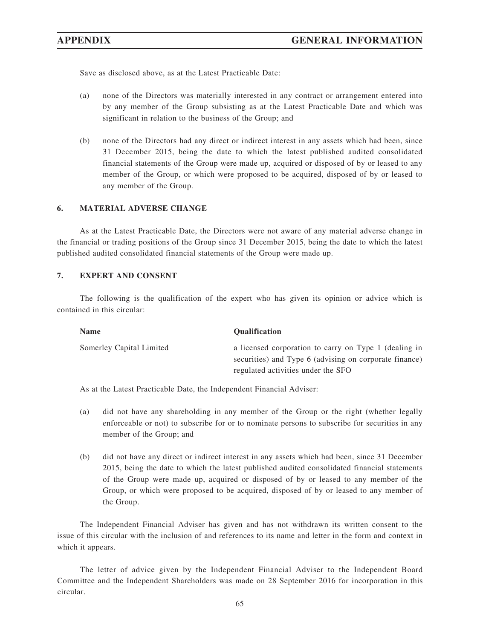Save as disclosed above, as at the Latest Practicable Date:

- (a) none of the Directors was materially interested in any contract or arrangement entered into by any member of the Group subsisting as at the Latest Practicable Date and which was significant in relation to the business of the Group; and
- (b) none of the Directors had any direct or indirect interest in any assets which had been, since 31 December 2015, being the date to which the latest published audited consolidated financial statements of the Group were made up, acquired or disposed of by or leased to any member of the Group, or which were proposed to be acquired, disposed of by or leased to any member of the Group.

### **6. MATERIAL ADVERSE CHANGE**

As at the Latest Practicable Date, the Directors were not aware of any material adverse change in the financial or trading positions of the Group since 31 December 2015, being the date to which the latest published audited consolidated financial statements of the Group were made up.

#### **7. EXPERT AND CONSENT**

The following is the qualification of the expert who has given its opinion or advice which is contained in this circular:

| <b>Name</b>              | <b>Oualification</b>                                   |
|--------------------------|--------------------------------------------------------|
| Somerley Capital Limited | a licensed corporation to carry on Type 1 (dealing in  |
|                          | securities) and Type 6 (advising on corporate finance) |
|                          | regulated activities under the SFO                     |

As at the Latest Practicable Date, the Independent Financial Adviser:

- (a) did not have any shareholding in any member of the Group or the right (whether legally enforceable or not) to subscribe for or to nominate persons to subscribe for securities in any member of the Group; and
- (b) did not have any direct or indirect interest in any assets which had been, since 31 December 2015, being the date to which the latest published audited consolidated financial statements of the Group were made up, acquired or disposed of by or leased to any member of the Group, or which were proposed to be acquired, disposed of by or leased to any member of the Group.

The Independent Financial Adviser has given and has not withdrawn its written consent to the issue of this circular with the inclusion of and references to its name and letter in the form and context in which it appears.

The letter of advice given by the Independent Financial Adviser to the Independent Board Committee and the Independent Shareholders was made on 28 September 2016 for incorporation in this circular.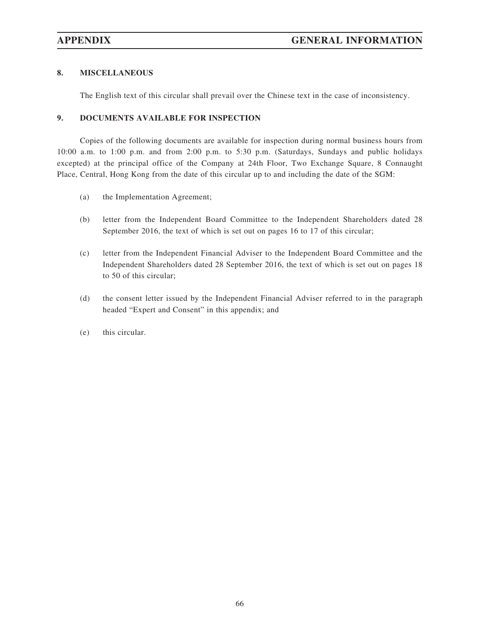### **8. MISCELLANEOUS**

The English text of this circular shall prevail over the Chinese text in the case of inconsistency.

### **9. DOCUMENTS AVAILABLE FOR INSPECTION**

Copies of the following documents are available for inspection during normal business hours from 10:00 a.m. to 1:00 p.m. and from 2:00 p.m. to 5:30 p.m. (Saturdays, Sundays and public holidays excepted) at the principal office of the Company at 24th Floor, Two Exchange Square, 8 Connaught Place, Central, Hong Kong from the date of this circular up to and including the date of the SGM:

- (a) the Implementation Agreement;
- (b) letter from the Independent Board Committee to the Independent Shareholders dated 28 September 2016, the text of which is set out on pages 16 to 17 of this circular;
- (c) letter from the Independent Financial Adviser to the Independent Board Committee and the Independent Shareholders dated 28 September 2016, the text of which is set out on pages 18 to 50 of this circular;
- (d) the consent letter issued by the Independent Financial Adviser referred to in the paragraph headed "Expert and Consent" in this appendix; and
- (e) this circular.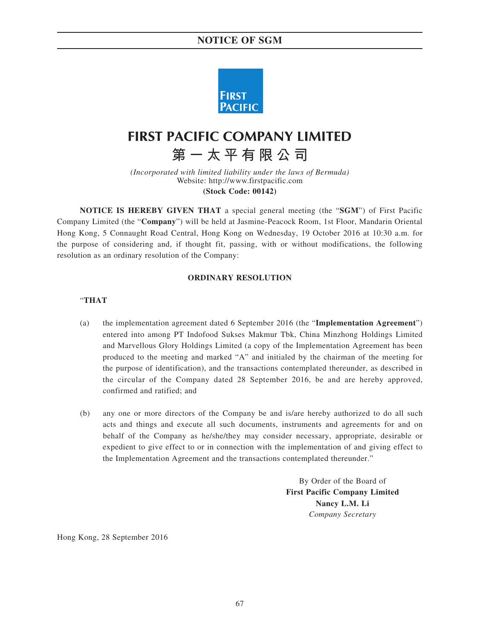## **NOTICE OF SGM**



# **FIRST PACIFIC COMPANY LIMITED**

**第一太平有限公司**

*(Incorporated with limited liability under the laws of Bermuda)* Website: http://www.firstpacific.com **(Stock Code: 00142)**

**NOTICE IS HEREBY GIVEN THAT** a special general meeting (the "**SGM**") of First Pacific Company Limited (the "**Company**") will be held at Jasmine-Peacock Room, 1st Floor, Mandarin Oriental Hong Kong, 5 Connaught Road Central, Hong Kong on Wednesday, 19 October 2016 at 10:30 a.m. for the purpose of considering and, if thought fit, passing, with or without modifications, the following resolution as an ordinary resolution of the Company:

#### **ORDINARY RESOLUTION**

#### "**THAT**

- (a) the implementation agreement dated 6 September 2016 (the "**Implementation Agreement**") entered into among PT Indofood Sukses Makmur Tbk, China Minzhong Holdings Limited and Marvellous Glory Holdings Limited (a copy of the Implementation Agreement has been produced to the meeting and marked "A" and initialed by the chairman of the meeting for the purpose of identification), and the transactions contemplated thereunder, as described in the circular of the Company dated 28 September 2016, be and are hereby approved, confirmed and ratified; and
- (b) any one or more directors of the Company be and is/are hereby authorized to do all such acts and things and execute all such documents, instruments and agreements for and on behalf of the Company as he/she/they may consider necessary, appropriate, desirable or expedient to give effect to or in connection with the implementation of and giving effect to the Implementation Agreement and the transactions contemplated thereunder."

By Order of the Board of **First Pacific Company Limited Nancy L.M. Li** *Company Secretary*

Hong Kong, 28 September 2016